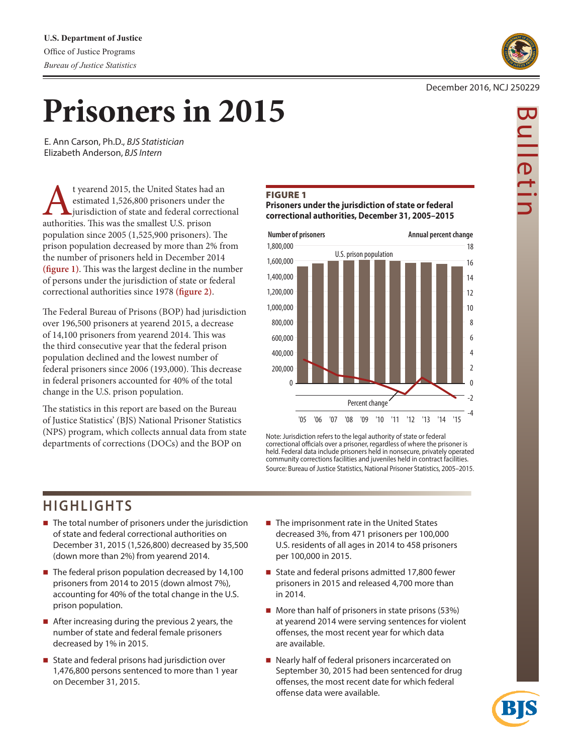

Bulletin

ulletir

# December 2016, NCJ 250229

# **Prisoners in 2015**

 E. Ann Carson, Ph.D., *BJS Statistician* Elizabeth Anderson, *BJS Intern*

t yearend 2015, the United States had an estimated 1,526,800 prisoners under the jurisdiction of state and federal correctional authorities. This was the smallest U.S. prison population since 2005 (1,525,900 prisoners). The prison population decreased by more than 2% from the number of prisoners held in December 2014 **(figure 1)**. This was the largest decline in the number of persons under the jurisdiction of state or federal correctional authorities since 1978 **(figure 2)**.

The Federal Bureau of Prisons (BOP) had jurisdiction over 196,500 prisoners at yearend 2015, a decrease of 14,100 prisoners from yearend 2014. This was the third consecutive year that the federal prison population declined and the lowest number of federal prisoners since 2006 (193,000). This decrease in federal prisoners accounted for 40% of the total change in the U.S. prison population.

The statistics in this report are based on the Bureau of Justice Statistics' (BJS) National Prisoner Statistics (NPS) program, which collects annual data from state departments of corrections (DOCs) and the BOP on

# Figure 1

**Prisoners under the jurisdiction of state or federal correctional authorities, December 31, 2005–2015**



Note: Jurisdiction refers to the legal authority of state or federal correctional officials over a prisoner, regardless of where the prisoner is held. Federal data include prisoners held in nonsecure, privately operated community corrections facilities and juveniles held in contract facilities. Source: Bureau of Justice Statistics, National Prisoner Statistics, 2005–2015.

# **HIGHLIGHTS**

- The total number of prisoners under the jurisdiction of state and federal correctional authorities on December 31, 2015 (1,526,800) decreased by 35,500 (down more than 2%) from yearend 2014.
- $\blacksquare$  The federal prison population decreased by 14,100 prisoners from 2014 to 2015 (down almost 7%), accounting for 40% of the total change in the U.S. prison population.
- After increasing during the previous 2 years, the number of state and federal female prisoners decreased by 1% in 2015.
- State and federal prisons had jurisdiction over 1,476,800 persons sentenced to more than 1 year on December 31, 2015.
- The imprisonment rate in the United States decreased 3%, from 471 prisoners per 100,000 U.S. residents of all ages in 2014 to 458 prisoners per 100,000 in 2015.
- State and federal prisons admitted 17,800 fewer prisoners in 2015 and released 4,700 more than in 2014.
- $\blacksquare$  More than half of prisoners in state prisons (53%) at yearend 2014 were serving sentences for violent offenses, the most recent year for which data are available.
- Nearly half of federal prisoners incarcerated on September 30, 2015 had been sentenced for drug offenses, the most recent date for which federal offense data were available.

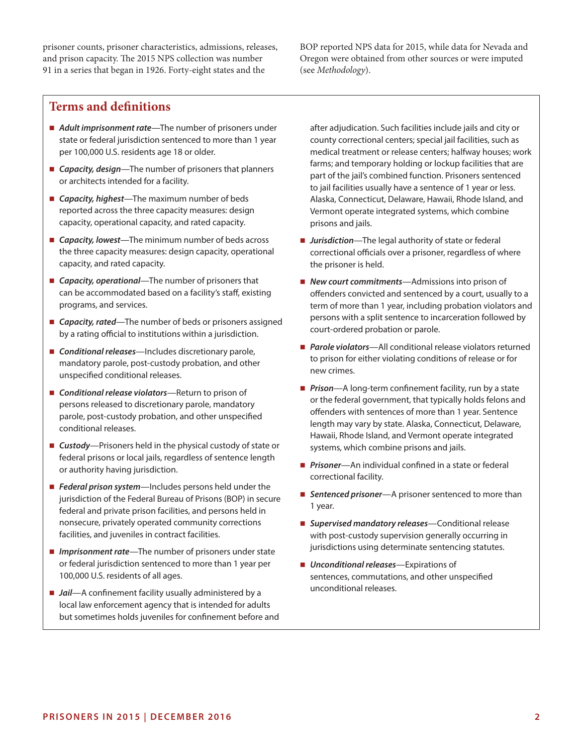prisoner counts, prisoner characteristics, admissions, releases, and prison capacity. The 2015 NPS collection was number 91 in a series that began in 1926. Forty-eight states and the

BOP reported NPS data for 2015, while data for Nevada and Oregon were obtained from other sources or were imputed (see *Methodology*).

# **Terms and definitions**

- *Adult imprisonment rate*—The number of prisoners under state or federal jurisdiction sentenced to more than 1 year per 100,000 U.S. residents age 18 or older.
- *Capacity, design*—The number of prisoners that planners or architects intended for a facility.
- *Capacity, highest*—The maximum number of beds reported across the three capacity measures: design capacity, operational capacity, and rated capacity.
- *Capacity, lowest*—The minimum number of beds across the three capacity measures: design capacity, operational capacity, and rated capacity.
- *Capacity, operational*—The number of prisoners that can be accommodated based on a facility's staff, existing programs, and services.
- *Capacity, rated*—The number of beds or prisoners assigned by a rating official to institutions within a jurisdiction.
- **Conditional releases**—Includes discretionary parole, mandatory parole, post-custody probation, and other unspecified conditional releases.
- *Conditional release violators*—Return to prison of persons released to discretionary parole, mandatory parole, post-custody probation, and other unspecified conditional releases.
- *Custody*—Prisoners held in the physical custody of state or federal prisons or local jails, regardless of sentence length or authority having jurisdiction.
- *Federal prison system*—Includes persons held under the jurisdiction of the Federal Bureau of Prisons (BOP) in secure federal and private prison facilities, and persons held in nonsecure, privately operated community corrections facilities, and juveniles in contract facilities.
- *Imprisonment rate*—The number of prisoners under state or federal jurisdiction sentenced to more than 1 year per 100,000 U.S. residents of all ages.
- *Jail*—A confinement facility usually administered by a local law enforcement agency that is intended for adults but sometimes holds juveniles for confinement before and

after adjudication. Such facilities include jails and city or county correctional centers; special jail facilities, such as medical treatment or release centers; halfway houses; work farms; and temporary holding or lockup facilities that are part of the jail's combined function. Prisoners sentenced to jail facilities usually have a sentence of 1 year or less. Alaska, Connecticut, Delaware, Hawaii, Rhode Island, and Vermont operate integrated systems, which combine prisons and jails.

- *Jurisdiction*—The legal authority of state or federal correctional officials over a prisoner, regardless of where the prisoner is held.
- *New court commitments*—Admissions into prison of offenders convicted and sentenced by a court, usually to a term of more than 1 year, including probation violators and persons with a split sentence to incarceration followed by court-ordered probation or parole.
- *Parole violators*—All conditional release violators returned to prison for either violating conditions of release or for new crimes.
- **Prison**—A long-term confinement facility, run by a state or the federal government, that typically holds felons and offenders with sentences of more than 1 year. Sentence length may vary by state. Alaska, Connecticut, Delaware, Hawaii, Rhode Island, and Vermont operate integrated systems, which combine prisons and jails.
- *Prisoner*—An individual confined in a state or federal correctional facility.
- **Sentenced prisoner**—A prisoner sentenced to more than 1 year.
- *Supervised mandatory releases*—Conditional release with post-custody supervision generally occurring in jurisdictions using determinate sentencing statutes.
- *Unconditional releases*—Expirations of sentences, commutations, and other unspecified unconditional releases.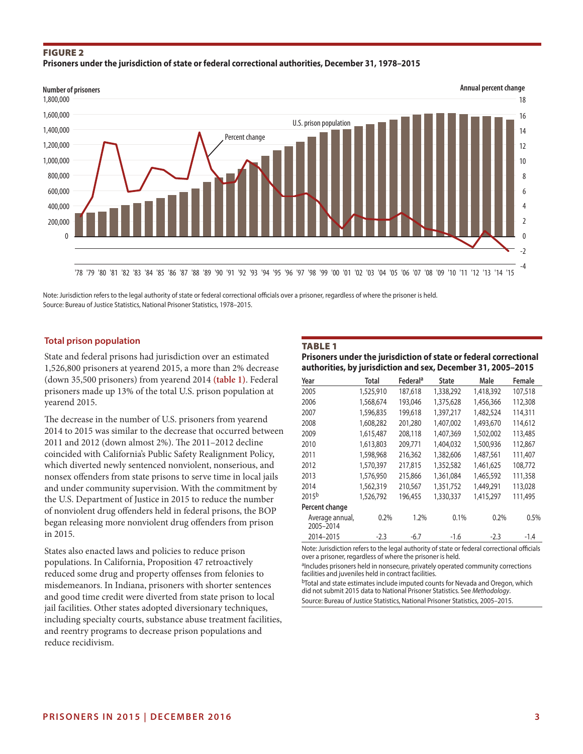# Figure 2 **Prisoners under the jurisdiction of state or federal correctional authorities, December 31, 1978–2015**



Note: Jurisdiction refers to the legal authority of state or federal correctional officials over a prisoner, regardless of where the prisoner is held. Source: Bureau of Justice Statistics, National Prisoner Statistics, 1978–2015.

# **Total prison population**

State and federal prisons had jurisdiction over an estimated 1,526,800 prisoners at yearend 2015, a more than 2% decrease (down 35,500 prisoners) from yearend 2014 **(table 1)**. Federal prisoners made up 13% of the total U.S. prison population at yearend 2015.

The decrease in the number of U.S. prisoners from yearend 2014 to 2015 was similar to the decrease that occurred between 2011 and 2012 (down almost 2%). The 2011–2012 decline coincided with California's Public Safety Realignment Policy, which diverted newly sentenced nonviolent, nonserious, and nonsex offenders from state prisons to serve time in local jails and under community supervision. With the commitment by the U.S. Department of Justice in 2015 to reduce the number of nonviolent drug offenders held in federal prisons, the BOP began releasing more nonviolent drug offenders from prison in 2015.

States also enacted laws and policies to reduce prison populations. In California, Proposition 47 retroactively reduced some drug and property offenses from felonies to misdemeanors. In Indiana, prisoners with shorter sentences and good time credit were diverted from state prison to local jail facilities. Other states adopted diversionary techniques, including specialty courts, substance abuse treatment facilities, and reentry programs to decrease prison populations and reduce recidivism.

#### TABLE 1

#### **Prisoners under the jurisdiction of state or federal correctional authorities, by jurisdiction and sex, December 31, 2005–2015**

| Year                         | Total     | Federal <sup>a</sup> | State     | Male      | Female  |
|------------------------------|-----------|----------------------|-----------|-----------|---------|
| 2005                         | 1,525,910 | 187,618              | 1,338,292 | 1,418,392 | 107,518 |
| 2006                         | 1,568,674 | 193,046              | 1,375,628 | 1,456,366 | 112,308 |
| 2007                         | 1,596,835 | 199,618              | 1,397,217 | 1,482,524 | 114,311 |
| 2008                         | 1,608,282 | 201.280              | 1,407,002 | 1,493,670 | 114,612 |
| 2009                         | 1,615,487 | 208,118              | 1,407,369 | 1,502,002 | 113,485 |
| 2010                         | 1,613,803 | 209,771              | 1,404,032 | 1,500,936 | 112,867 |
| 2011                         | 1,598,968 | 216,362              | 1,382,606 | 1,487,561 | 111,407 |
| 2012                         | 1,570,397 | 217,815              | 1,352,582 | 1,461,625 | 108,772 |
| 2013                         | 1,576,950 | 215,866              | 1,361,084 | 1,465,592 | 111,358 |
| 2014                         | 1,562,319 | 210,567              | 1,351,752 | 1,449,291 | 113,028 |
| $2015^{b}$                   | 1,526,792 | 196.455              | 1,330,337 | 1,415,297 | 111,495 |
| Percent change               |           |                      |           |           |         |
| Average annual,<br>2005-2014 | 0.2%      | 1.2%                 | 0.1%      | 0.2%      | 0.5%    |
| 2014-2015                    | $-2.3$    | $-6.7$               | $-1.6$    | $-2.3$    | $-1.4$  |

Note: Jurisdiction refers to the legal authority of state or federal correctional officials over a prisoner, regardless of where the prisoner is held.

aIncludes prisoners held in nonsecure, privately operated community corrections facilities and juveniles held in contract facilities

bTotal and state estimates include imputed counts for Nevada and Oregon, which did not submit 2015 data to National Prisoner Statistics. See *Methodology*. Source: Bureau of Justice Statistics, National Prisoner Statistics, 2005–2015.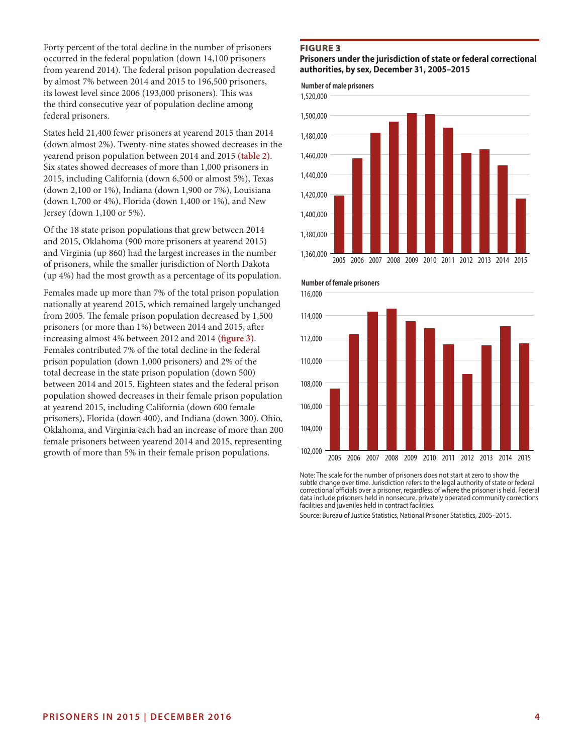Forty percent of the total decline in the number of prisoners occurred in the federal population (down 14,100 prisoners from yearend 2014). The federal prison population decreased by almost 7% between 2014 and 2015 to 196,500 prisoners, its lowest level since 2006 (193,000 prisoners). This was the third consecutive year of population decline among federal prisoners.

States held 21,400 fewer prisoners at yearend 2015 than 2014 (down almost 2%). Twenty-nine states showed decreases in the yearend prison population between 2014 and 2015 **(table 2)**. Six states showed decreases of more than 1,000 prisoners in 2015, including California (down 6,500 or almost 5%), Texas (down 2,100 or 1%), Indiana (down 1,900 or 7%), Louisiana (down 1,700 or 4%), Florida (down 1,400 or 1%), and New Jersey (down 1,100 or 5%).

Of the 18 state prison populations that grew between 2014 and 2015, Oklahoma (900 more prisoners at yearend 2015) and Virginia (up 860) had the largest increases in the number of prisoners, while the smaller jurisdiction of North Dakota (up 4%) had the most growth as a percentage of its population.

Females made up more than 7% of the total prison population nationally at yearend 2015, which remained largely unchanged from 2005. The female prison population decreased by 1,500 prisoners (or more than 1%) between 2014 and 2015, after increasing almost 4% between 2012 and 2014 **(figure 3)**. Females contributed 7% of the total decline in the federal prison population (down 1,000 prisoners) and 2% of the total decrease in the state prison population (down 500) between 2014 and 2015. Eighteen states and the federal prison population showed decreases in their female prison population at yearend 2015, including California (down 600 female prisoners), Florida (down 400), and Indiana (down 300). Ohio, Oklahoma, and Virginia each had an increase of more than 200 female prisoners between yearend 2014 and 2015, representing growth of more than 5% in their female prison populations.

#### FIGURE 3

#### **Prisoners under the jurisdiction of state or federal correctional authorities, by sex, December 31, 2005–2015**

**Number of male prisoners**







Note: The scale for the number of prisoners does not start at zero to show the subtle change over time. Jurisdiction refers to the legal authority of state or federal correctional officials over a prisoner, regardless of where the prisoner is held. Federal data include prisoners held in nonsecure, privately operated community corrections facilities and juveniles held in contract facilities.

Source: Bureau of Justice Statistics, National Prisoner Statistics, 2005–2015.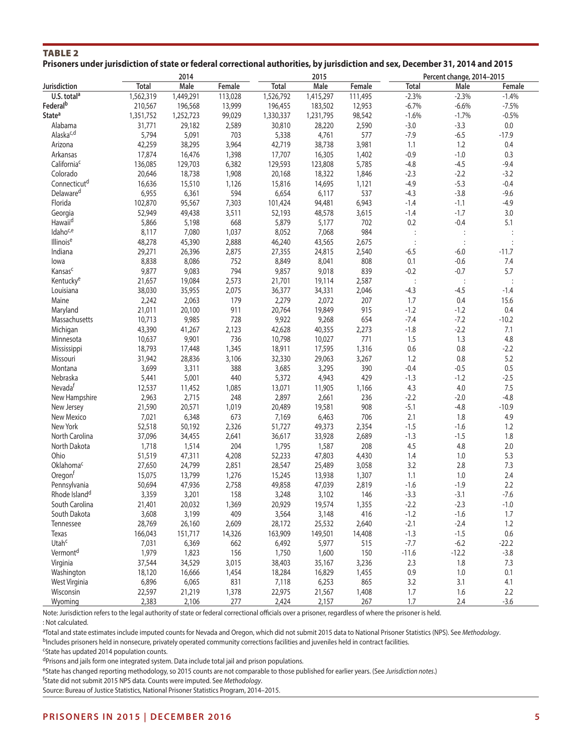# TABLE 2 **Prisoners under jurisdiction of state or federal correctional authorities, by jurisdiction and sex, December 31, 2014 and 2015**

|                           |              | 2014      |         |              | 2015      |         |                | Percent change, 2014-2015 |               |
|---------------------------|--------------|-----------|---------|--------------|-----------|---------|----------------|---------------------------|---------------|
| Jurisdiction              | <b>Total</b> | Male      | Female  | <b>Total</b> | Male      | Female  | Total          | Male                      | Female        |
| U.S. total <sup>a</sup>   | 1,562,319    | 1,449,291 | 113,028 | 1,526,792    | 1,415,297 | 111,495 | $-2.3%$        | $-2.3%$                   | $-1.4%$       |
| Federal <sup>b</sup>      | 210,567      | 196,568   | 13,999  | 196,455      | 183,502   | 12,953  | $-6.7%$        | $-6.6%$                   | $-7.5%$       |
| <b>State<sup>a</sup></b>  | 1,351,752    | 1,252,723 | 99,029  | 1,330,337    | 1,231,795 | 98,542  | $-1.6%$        | $-1.7%$                   | $-0.5%$       |
| Alabama                   | 31,771       | 29,182    | 2,589   | 30,810       | 28,220    | 2,590   | $-3.0$         | $-3.3$                    | 0.0           |
| Alaska <sup>c,d</sup>     | 5,794        | 5,091     | 703     | 5,338        | 4,761     | 577     | $-7.9$         | $-6.5$                    | $-17.9$       |
| Arizona                   | 42,259       | 38,295    | 3,964   | 42,719       | 38,738    | 3,981   | 1.1            | 1.2                       | 0.4           |
| Arkansas                  | 17,874       | 16,476    | 1,398   | 17,707       | 16,305    | 1,402   | $-0.9$         | $-1.0$                    | 0.3           |
| California <sup>c</sup>   | 136,085      | 129,703   | 6,382   | 129,593      | 123,808   | 5,785   | $-4.8$         | $-4.5$                    | $-9.4$        |
| Colorado                  | 20,646       | 18,738    | 1,908   | 20,168       | 18,322    | 1,846   | $-2.3$         | $-2.2$                    | $-3.2$        |
| Connecticut <sup>d</sup>  | 16,636       | 15,510    | 1,126   | 15,816       | 14,695    | 1,121   | $-4.9$         | $-5.3$                    | $-0.4$        |
| Delaware <sup>d</sup>     | 6,955        | 6,361     | 594     | 6,654        | 6,117     | 537     | $-4.3$         | $-3.8$                    | $-9.6$        |
| Florida                   | 102,870      | 95,567    | 7,303   | 101,424      | 94,481    | 6,943   | $-1.4$         | $-1.1$                    | $-4.9$        |
| Georgia                   | 52,949       | 49,438    | 3,511   | 52,193       | 48,578    | 3,615   | $-1.4$         | $-1.7$                    | 3.0           |
| Hawaiid                   | 5,866        | 5,198     | 668     | 5,879        | 5,177     | 702     | $0.2\,$        | $-0.4$                    | 5.1           |
| Idaho <sup>c,e</sup>      | 8,117        | 7,080     | 1,037   | 8,052        | 7,068     | 984     |                | $\vdots$                  |               |
| Illinoise                 | 48,278       | 45,390    | 2,888   | 46,240       | 43,565    | 2,675   |                | $\vdots$                  |               |
| Indiana                   | 29,271       | 26,396    | 2,875   | 27,355       | 24,815    | 2,540   | $-6.5$         | $-6.0$                    | $-11.7$       |
| lowa                      | 8,838        | 8,086     | 752     | 8,849        | 8,041     | 808     | 0.1            | $-0.6$                    | 7.4           |
| Kansasc                   | 9,877        | 9,083     | 794     | 9,857        | 9,018     | 839     | $-0.2$         | $-0.7$                    | 5.7           |
| Kentucky <sup>e</sup>     | 21,657       | 19,084    | 2,573   | 21,701       | 19,114    | 2,587   |                |                           |               |
| Louisiana                 | 38,030       | 35,955    | 2,075   | 36,377       | 34,331    | 2,046   | $-4.3$         | $\ddot{\cdot}$<br>$-4.5$  | $-1.4$        |
| Maine                     | 2,242        | 2,063     | 179     | 2,279        | 2,072     | 207     | 1.7            | 0.4                       | 15.6          |
|                           | 21,011       |           | 911     |              |           | 915     |                | $-1.2$                    | 0.4           |
| Maryland                  |              | 20,100    |         | 20,764       | 19,849    |         | $-1.2$         |                           |               |
| Massachusetts             | 10,713       | 9,985     | 728     | 9,922        | 9,268     | 654     | $-7.4$         | $-7.2$                    | $-10.2$       |
| Michigan                  | 43,390       | 41,267    | 2,123   | 42,628       | 40,355    | 2,273   | $-1.8$         | $-2.2$                    | 7.1           |
| Minnesota                 | 10,637       | 9,901     | 736     | 10,798       | 10,027    | 771     | 1.5<br>$0.6\,$ | 1.3<br>$0.8\,$            | 4.8<br>$-2.2$ |
| Mississippi               | 18,793       | 17,448    | 1,345   | 18,911       | 17,595    | 1,316   |                |                           |               |
| Missouri                  | 31,942       | 28,836    | 3,106   | 32,330       | 29,063    | 3,267   | 1.2            | 0.8                       | 5.2           |
| Montana                   | 3,699        | 3,311     | 388     | 3,685        | 3,295     | 390     | $-0.4$         | $-0.5$                    | 0.5           |
| Nebraska                  | 5,441        | 5,001     | 440     | 5,372        | 4,943     | 429     | $-1.3$         | $-1.2$                    | $-2.5$        |
| Nevada <sup>f</sup>       | 12,537       | 11,452    | 1,085   | 13,071       | 11,905    | 1,166   | 4.3            | 4.0                       | 7.5           |
| New Hampshire             | 2,963        | 2,715     | 248     | 2,897        | 2,661     | 236     | $-2.2$         | $-2.0$                    | $-4.8$        |
| New Jersey                | 21,590       | 20,571    | 1,019   | 20,489       | 19,581    | 908     | $-5.1$         | $-4.8$                    | $-10.9$       |
| New Mexico                | 7,021        | 6,348     | 673     | 7,169        | 6,463     | 706     | 2.1            | 1.8                       | 4.9           |
| New York                  | 52,518       | 50,192    | 2,326   | 51,727       | 49,373    | 2,354   | $-1.5$         | $-1.6$                    | 1.2           |
| North Carolina            | 37,096       | 34,455    | 2,641   | 36,617       | 33,928    | 2,689   | $-1.3$         | $-1.5$                    | 1.8           |
| North Dakota              | 1,718        | 1,514     | 204     | 1,795        | 1,587     | 208     | 4.5            | $4.8\,$                   | 2.0           |
| Ohio                      | 51,519       | 47,311    | 4,208   | 52,233       | 47,803    | 4,430   | 1.4            | 1.0                       | 5.3           |
| Oklahoma <sup>c</sup>     | 27,650       | 24,799    | 2,851   | 28,547       | 25,489    | 3,058   | 3.2            | 2.8                       | 7.3           |
| Oregon <sup>f</sup>       | 15,075       | 13,799    | 1,276   | 15,245       | 13,938    | 1,307   | 1.1            | 1.0                       | 2.4           |
| Pennsylvania              | 50,694       | 47,936    | 2,758   | 49,858       | 47,039    | 2,819   | $-1.6$         | $-1.9$                    | 2.2           |
| Rhode Island <sup>d</sup> | 3,359        | 3,201     | 158     | 3,248        | 3,102     | 146     | $-3.3$         | $-3.1$                    | $-7.6$        |
| South Carolina            | 21,401       | 20,032    | 1,369   | 20,929       | 19,574    | 1,355   | $-2.2$         | $-2.3$                    | $-1.0$        |
| South Dakota              | 3,608        | 3,199     | 409     | 3,564        | 3,148     | 416     | $-1.2$         | $-1.6$                    | 1.7           |
| Tennessee                 | 28,769       | 26,160    | 2,609   | 28,172       | 25,532    | 2,640   | $-2.1$         | $-2.4$                    | 1.2           |
| Texas                     | 166,043      | 151,717   | 14,326  | 163,909      | 149,501   | 14,408  | $-1.3$         | $-1.5$                    | 0.6           |
| Utahc                     | 7,031        | 6,369     | 662     | 6,492        | 5,977     | 515     | $-7.7$         | $-6.2$                    | $-22.2$       |
| Vermont <sup>d</sup>      | 1,979        | 1,823     | 156     | 1,750        | 1,600     | 150     | $-11.6$        | $-12.2$                   | $-3.8$        |
| Virginia                  | 37,544       | 34,529    | 3,015   | 38,403       | 35,167    | 3,236   | 2.3            | 1.8                       | 7.3           |
| Washington                | 18,120       | 16,666    | 1,454   | 18,284       | 16,829    | 1,455   | $0.9\,$        | 1.0                       | 0.1           |
| West Virginia             | 6,896        | 6,065     | 831     | 7,118        | 6,253     | 865     | 3.2            | 3.1                       | 4.1           |
| Wisconsin                 | 22,597       | 21,219    | 1,378   | 22,975       | 21,567    | 1,408   | $1.7$          | 1.6                       | 2.2           |
| Wyoming                   | 2,383        | 2,106     | 277     | 2,424        | 2,157     | 267     | $1.7\,$        | 2.4                       | $-3.6$        |

Note: Jurisdiction refers to the legal authority of state or federal correctional officials over a prisoner, regardless of where the prisoner is held. : Not calculated.

a Total and state estimates include imputed counts for Nevada and Oregon, which did not submit 2015 data to National Prisoner Statistics (NPS). See *Methodology*.

 $<sup>b</sup>$ Includes prisoners held in nonsecure, privately operated community corrections facilities and juveniles held in contract facilities.</sup>

cState has updated 2014 population counts.

dPrisons and jails form one integrated system. Data include total jail and prison populations.

eState has changed reporting methodology, so 2015 counts are not comparable to those published for earlier years. (See *Jurisdiction notes*.)

f State did not submit 2015 NPS data. Counts were imputed. See *Methodology*.

Source: Bureau of Justice Statistics, National Prisoner Statistics Program, 2014–2015.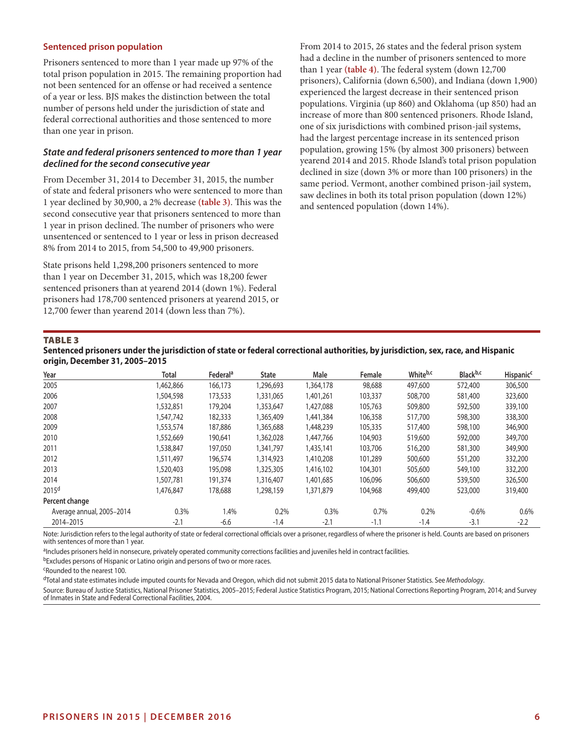#### **Sentenced prison population**

Prisoners sentenced to more than 1 year made up 97% of the total prison population in 2015. The remaining proportion had not been sentenced for an offense or had received a sentence of a year or less. BJS makes the distinction between the total number of persons held under the jurisdiction of state and federal correctional authorities and those sentenced to more than one year in prison.

#### *State and federal prisoners sentenced to more than 1 year declined for the second consecutive year*

From December 31, 2014 to December 31, 2015, the number of state and federal prisoners who were sentenced to more than 1 year declined by 30,900, a 2% decrease **(table 3)**. This was the second consecutive year that prisoners sentenced to more than 1 year in prison declined. The number of prisoners who were unsentenced or sentenced to 1 year or less in prison decreased 8% from 2014 to 2015, from 54,500 to 49,900 prisoners.

State prisons held 1,298,200 prisoners sentenced to more than 1 year on December 31, 2015, which was 18,200 fewer sentenced prisoners than at yearend 2014 (down 1%). Federal prisoners had 178,700 sentenced prisoners at yearend 2015, or 12,700 fewer than yearend 2014 (down less than 7%).

From 2014 to 2015, 26 states and the federal prison system had a decline in the number of prisoners sentenced to more than 1 year **(table 4)**. The federal system (down 12,700 prisoners), California (down 6,500), and Indiana (down 1,900) experienced the largest decrease in their sentenced prison populations. Virginia (up 860) and Oklahoma (up 850) had an increase of more than 800 sentenced prisoners. Rhode Island, one of six jurisdictions with combined prison-jail systems, had the largest percentage increase in its sentenced prison population, growing 15% (by almost 300 prisoners) between yearend 2014 and 2015. Rhode Island's total prison population declined in size (down 3% or more than 100 prisoners) in the same period. Vermont, another combined prison-jail system, saw declines in both its total prison population (down 12%) and sentenced population (down 14%).

#### TABLE 3

| Sentenced prisoners under the jurisdiction of state or federal correctional authorities, by jurisdiction, sex, race, and Hispanic |  |
|-----------------------------------------------------------------------------------------------------------------------------------|--|
| origin, December 31, 2005-2015                                                                                                    |  |

| Year                      | Total     | Federal <sup>a</sup> | <b>State</b> | Male      | Female  | Whiteb,c | Black <sup>b,c</sup> | <b>Hispanic<sup>c</sup></b> |
|---------------------------|-----------|----------------------|--------------|-----------|---------|----------|----------------------|-----------------------------|
| 2005                      | 1,462,866 | 166,173              | ,296,693     | 1,364,178 | 98,688  | 497,600  | 572,400              | 306,500                     |
| 2006                      | 1,504,598 | 173,533              | 1,331,065    | 1,401,261 | 103,337 | 508,700  | 581,400              | 323,600                     |
| 2007                      | 1,532,851 | 179,204              | 1,353,647    | 1,427,088 | 105,763 | 509,800  | 592,500              | 339,100                     |
| 2008                      | 1,547,742 | 182,333              | 1,365,409    | 1,441,384 | 106,358 | 517,700  | 598,300              | 338,300                     |
| 2009                      | 1,553,574 | 187,886              | 1,365,688    | 1,448,239 | 105,335 | 517,400  | 598,100              | 346,900                     |
| 2010                      | 1,552,669 | 190,641              | 1,362,028    | 1,447,766 | 104,903 | 519,600  | 592,000              | 349,700                     |
| 2011                      | 1,538,847 | 197,050              | 1,341,797    | 1,435,141 | 103,706 | 516,200  | 581,300              | 349,900                     |
| 2012                      | 1,511,497 | 196,574              | 1,314,923    | 1,410,208 | 101,289 | 500,600  | 551,200              | 332,200                     |
| 2013                      | 1,520,403 | 195,098              | 1,325,305    | 1,416,102 | 104,301 | 505,600  | 549,100              | 332,200                     |
| 2014                      | 1,507,781 | 191,374              | 1,316,407    | 1,401,685 | 106,096 | 506,600  | 539,500              | 326,500                     |
| 2015 <sup>d</sup>         | 1,476,847 | 178,688              | 1,298,159    | 1,371,879 | 104,968 | 499,400  | 523,000              | 319,400                     |
| Percent change            |           |                      |              |           |         |          |                      |                             |
| Average annual, 2005-2014 | 0.3%      | 1.4%                 | 0.2%         | 0.3%      | 0.7%    | 0.2%     | $-0.6%$              | 0.6%                        |
| 2014-2015                 | $-2.1$    | $-6.6$               | $-1.4$       | $-2.1$    | $-1.1$  | $-1.4$   | $-3.1$               | $-2.2$                      |

Note: Jurisdiction refers to the legal authority of state or federal correctional officials over a prisoner, regardless of where the prisoner is held. Counts are based on prisoners with sentences of more than 1 year.

aIncludes prisoners held in nonsecure, privately operated community corrections facilities and juveniles held in contract facilities.

bExcludes persons of Hispanic or Latino origin and persons of two or more races.

cRounded to the nearest 100.

dTotal and state estimates include imputed counts for Nevada and Oregon, which did not submit 2015 data to National Prisoner Statistics. See *Methodology*.

Source: Bureau of Justice Statistics, National Prisoner Statistics, 2005–2015; Federal Justice Statistics Program, 2015; National Corrections Reporting Program, 2014; and Survey of Inmates in State and Federal Correctional Facilities, 2004.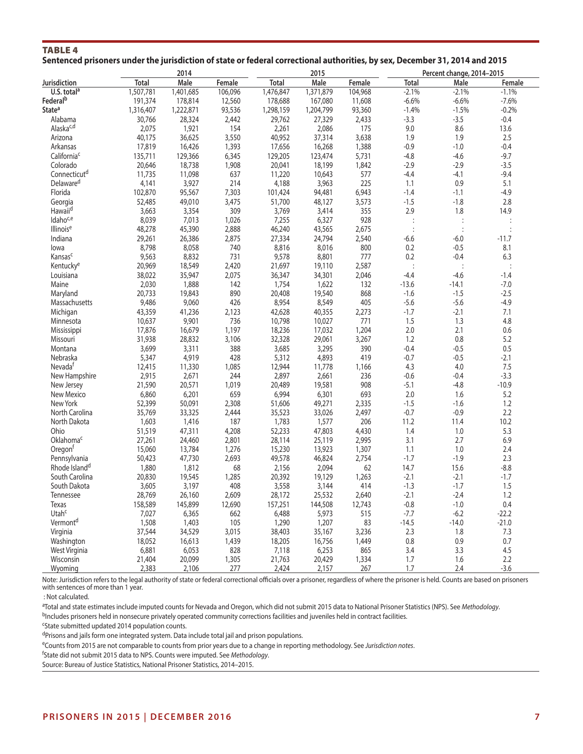| <b>TABLE 4</b>                                                                                                              |  |  |  |
|-----------------------------------------------------------------------------------------------------------------------------|--|--|--|
| Sentenced prisoners under the jurisdiction of state or federal correctional authorities, by sex, December 31, 2014 and 2015 |  |  |  |

|                           |              | 2014      |         |           | 2015      |         |              | Percent change, 2014-2015 |                |
|---------------------------|--------------|-----------|---------|-----------|-----------|---------|--------------|---------------------------|----------------|
| Jurisdiction              | <b>Total</b> | Male      | Female  | Total     | Male      | Female  | <b>Total</b> | Male                      | Female         |
| U.S. total <sup>a</sup>   | 1,507,781    | 1,401,685 | 106,096 | 1,476,847 | 1,371,879 | 104,968 | $-2.1%$      | $-2.1%$                   | $-1.1%$        |
| Federal <sup>b</sup>      | 191,374      | 178,814   | 12,560  | 178,688   | 167,080   | 11,608  | $-6.6%$      | $-6.6%$                   | $-7.6%$        |
| <b>State<sup>a</sup></b>  | 1,316,407    | 1,222,871 | 93,536  | 1,298,159 | 1,204,799 | 93,360  | $-1.4%$      | $-1.5%$                   | $-0.2%$        |
| Alabama                   | 30,766       | 28,324    | 2,442   | 29,762    | 27,329    | 2,433   | $-3.3$       | $-3.5$                    | $-0.4$         |
| Alaska <sup>c,d</sup>     | 2,075        | 1,921     | 154     | 2,261     | 2,086     | 175     | $9.0\,$      | 8.6                       | 13.6           |
| Arizona                   | 40,175       | 36,625    | 3,550   | 40,952    | 37,314    | 3,638   | 1.9          | 1.9                       | 2.5            |
| Arkansas                  | 17,819       | 16,426    | 1,393   | 17,656    | 16,268    | 1,388   | $-0.9$       | $-1.0$                    | $-0.4$         |
| California <sup>c</sup>   | 135,711      | 129,366   | 6,345   | 129,205   | 123,474   | 5,731   | $-4.8$       | $-4.6$                    | $-9.7$         |
| Colorado                  | 20,646       | 18,738    | 1,908   | 20,041    | 18,199    | 1,842   | $-2.9$       | $-2.9$                    | $-3.5$         |
| Connecticut <sup>d</sup>  | 11,735       | 11,098    | 637     | 11,220    | 10,643    | 577     | $-4.4$       | -4.1                      | $-9.4$         |
| Delaware <sup>d</sup>     |              | 3,927     | 214     |           | 3,963     | 225     | 1.1          | 0.9                       | 5.1            |
|                           | 4,141        |           |         | 4,188     |           |         |              |                           |                |
| Florida                   | 102,870      | 95,567    | 7,303   | 101,424   | 94,481    | 6,943   | $-1.4$       | $-1.1$                    | $-4.9$         |
| Georgia                   | 52,485       | 49,010    | 3,475   | 51,700    | 48,127    | 3,573   | $-1.5$       | $-1.8$                    | 2.8            |
| Hawaii <sup>d</sup>       | 3,663        | 3,354     | 309     | 3,769     | 3,414     | 355     | 2.9          | 1.8                       | 14.9           |
| Idaho <sup>c,e</sup>      | 8,039        | 7,013     | 1,026   | 7,255     | 6,327     | 928     |              |                           | :              |
| Illinoise                 | 48,278       | 45,390    | 2,888   | 46,240    | 43,565    | 2,675   |              |                           |                |
| Indiana                   | 29,261       | 26,386    | 2,875   | 27,334    | 24,794    | 2,540   | $-6.6$       | $-6.0$                    | $-11.7$        |
| lowa                      | 8,798        | 8,058     | 740     | 8,816     | 8,016     | 800     | 0.2          | $-0.5$                    | 8.1            |
| Kansasc                   | 9,563        | 8,832     | 731     | 9,578     | 8,801     | 777     | 0.2          | $-0.4$                    | 6.3            |
| Kentucky <sup>e</sup>     | 20,969       | 18,549    | 2,420   | 21,697    | 19,110    | 2,587   |              | $\ddot{\cdot}$            | $\ddot{\cdot}$ |
| Louisiana                 | 38,022       | 35,947    | 2,075   | 36,347    | 34,301    | 2,046   | $-4.4$       | $-4.6$                    | $-1.4$         |
| Maine                     | 2,030        | 1,888     | 142     | 1,754     | 1,622     | 132     | $-13.6$      | $-14.1$                   | $-7.0$         |
| Maryland                  | 20,733       | 19,843    | 890     | 20,408    | 19,540    | 868     | $-1.6$       | $-1.5$                    | $-2.5$         |
| Massachusetts             | 9,486        | 9,060     | 426     | 8,954     | 8,549     | 405     | $-5.6$       | $-5.6$                    | $-4.9$         |
| Michigan                  | 43,359       | 41,236    | 2,123   | 42,628    | 40,355    | 2,273   | $-1.7$       | $-2.1$                    | 7.1            |
| Minnesota                 | 10,637       | 9,901     | 736     | 10,798    | 10,027    | 771     | 1.5          | 1.3                       | 4.8            |
| Mississippi               | 17,876       | 16,679    | 1,197   | 18,236    | 17,032    | 1,204   | $2.0\,$      | 2.1                       | 0.6            |
| Missouri                  | 31,938       | 28,832    | 3,106   | 32,328    | 29,061    | 3,267   | 1.2          | 0.8                       | 5.2            |
| Montana                   | 3,699        | 3,311     | 388     | 3,685     | 3,295     | 390     | $-0.4$       | $-0.5$                    | 0.5            |
| Nebraska                  | 5,347        | 4,919     | 428     | 5,312     | 4,893     | 419     | $-0.7$       | $-0.5$                    | $-2.1$         |
| Nevada <sup>f</sup>       | 12,415       | 11,330    | 1,085   | 12,944    | 11,778    | 1,166   | 4.3          | 4.0                       | 7.5            |
| New Hampshire             | 2,915        | 2,671     | 244     | 2,897     | 2,661     | 236     | $-0.6$       | $-0.4$                    | $-3.3$         |
| New Jersey                | 21,590       | 20,571    | 1,019   | 20,489    | 19,581    | 908     | $-5.1$       | $-4.8$                    | $-10.9$        |
| New Mexico                | 6,860        | 6,201     | 659     | 6,994     | 6,301     | 693     | 2.0          | 1.6                       | 5.2            |
| New York                  | 52,399       | 50,091    | 2,308   | 51,606    | 49,271    | 2,335   | $-1.5$       | $-1.6$                    | 1.2            |
| North Carolina            | 35,769       | 33,325    | 2,444   | 35,523    | 33,026    | 2,497   | $-0.7$       | $-0.9$                    | 2.2            |
| North Dakota              | 1,603        | 1,416     | 187     | 1,783     | 1,577     | 206     | 11.2         | 11.4                      | 10.2           |
| Ohio                      | 51,519       | 47,311    | 4,208   | 52,233    | 47,803    | 4,430   | 1.4          | 1.0                       | 5.3            |
| Oklahoma <sup>c</sup>     | 27,261       | 24,460    | 2,801   | 28,114    | 25,119    | 2,995   | 3.1          | 2.7                       | 6.9            |
| Oregon <sup>t</sup>       | 15,060       | 13,784    | 1,276   | 15,230    | 13,923    | 1,307   | 1.1          | 1.0                       | 2.4            |
| Pennsylvania              | 50,423       | 47,730    | 2,693   | 49,578    | 46,824    | 2,754   | $-1.7$       | $-1.9$                    | 2.3            |
| Rhode Island <sup>d</sup> | 1,880        | 1,812     | 68      | 2,156     | 2,094     | 62      | 14.7         | 15.6                      | $-8.8$         |
| South Carolina            | 20,830       | 19,545    | 1,285   | 20,392    | 19,129    | 1,263   | $-2.1$       | $-2.1$                    | $-1.7$         |
| South Dakota              | 3,605        | 3,197     | 408     | 3,558     | 3,144     | 414     | $-1.3$       | $-1.7$                    | 1.5            |
| Tennessee                 | 28,769       | 26,160    | 2,609   | 28,172    | 25,532    | 2,640   | $-2.1$       | $-2.4$                    | 1.2            |
| Texas                     | 158,589      | 145,899   | 12,690  | 157,251   | 144,508   | 12,743  | $-0.8$       | $-1.0$                    | 0.4            |
| Utah <sup>c</sup>         | 7,027        | 6,365     | 662     | 6,488     | 5,973     | 515     | $-7.7$       | $-6.2$                    | $-22.2$        |
| Vermont <sup>d</sup>      | 1,508        | 1,403     | 105     | 1,290     | 1,207     | 83      | $-14.5$      | $-14.0$                   | $-21.0$        |
| Virginia                  | 37,544       | 34,529    | 3,015   | 38,403    | 35,167    | 3,236   | 2.3          | 1.8                       | 7.3            |
| Washington                | 18,052       | 16,613    | 1,439   | 18,205    | 16,756    | 1,449   | 0.8          | 0.9                       | 0.7            |
| West Virginia             | 6,881        | 6,053     | 828     | 7,118     | 6,253     | 865     | 3.4          | 3.3                       | 4.5            |
| Wisconsin                 | 21,404       | 20,099    | 1,305   | 21,763    | 20,429    | 1,334   | 1.7          | 1.6                       | 2.2            |
| Wyoming                   | 2,383        | 2,106     | 277     | 2,424     | 2,157     | 267     | 1.7          | 2.4                       | $-3.6$         |

Note: Jurisdiction refers to the legal authority of state or federal correctional officials over a prisoner, regardless of where the prisoner is held. Counts are based on prisoners with sentences of more than 1 year.

: Not calculated.

a Total and state estimates include imputed counts for Nevada and Oregon, which did not submit 2015 data to National Prisoner Statistics (NPS). See *Methodology*.

bIncludes prisoners held in nonsecure privately operated community corrections facilities and juveniles held in contract facilities.

cState submitted updated 2014 population counts.

dPrisons and jails form one integrated system. Data include total jail and prison populations.

eCounts from 2015 are not comparable to counts from prior years due to a change in reporting methodology. See *Jurisdiction notes*.

f State did not submit 2015 data to NPS. Counts were imputed. See *Methodology*.

Source: Bureau of Justice Statistics, National Prisoner Statistics, 2014–2015.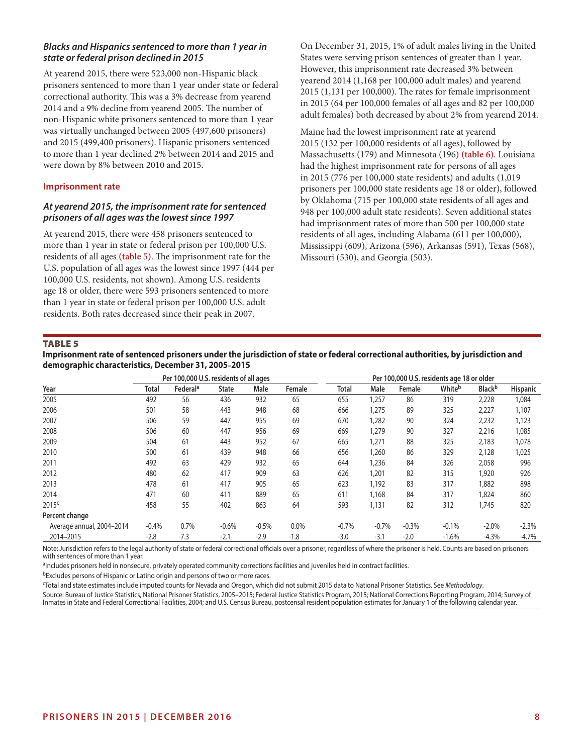# *Blacks and Hispanics sentenced to more than 1 year in state or federal prison declined in 2015*

At yearend 2015, there were 523,000 non-Hispanic black prisoners sentenced to more than 1 year under state or federal correctional authority. This was a 3% decrease from yearend 2014 and a 9% decline from yearend 2005. The number of non-Hispanic white prisoners sentenced to more than 1 year was virtually unchanged between 2005 (497,600 prisoners) and 2015 (499,400 prisoners). Hispanic prisoners sentenced to more than 1 year declined 2% between 2014 and 2015 and were down by 8% between 2010 and 2015.

# **Imprisonment rate**

# *At yearend 2015, the imprisonment rate for sentenced prisoners of all ages was the lowest since 1997*

At yearend 2015, there were 458 prisoners sentenced to more than 1 year in state or federal prison per 100,000 U.S. residents of all ages **(table 5)**. The imprisonment rate for the U.S. population of all ages was the lowest since 1997 (444 per 100,000 U.S. residents, not shown). Among U.S. residents age 18 or older, there were 593 prisoners sentenced to more than 1 year in state or federal prison per 100,000 U.S. adult residents. Both rates decreased since their peak in 2007.

On December 31, 2015, 1% of adult males living in the United States were serving prison sentences of greater than 1 year. However, this imprisonment rate decreased 3% between yearend 2014 (1,168 per 100,000 adult males) and yearend 2015 (1,131 per 100,000). The rates for female imprisonment in 2015 (64 per 100,000 females of all ages and 82 per 100,000 adult females) both decreased by about 2% from yearend 2014.

Maine had the lowest imprisonment rate at yearend 2015 (132 per 100,000 residents of all ages), followed by Massachusetts (179) and Minnesota (196) **(table 6)**. Louisiana had the highest imprisonment rate for persons of all ages in 2015 (776 per 100,000 state residents) and adults (1,019 prisoners per 100,000 state residents age 18 or older), followed by Oklahoma (715 per 100,000 state residents of all ages and 948 per 100,000 adult state residents). Seven additional states had imprisonment rates of more than 500 per 100,000 state residents of all ages, including Alabama (611 per 100,000), Mississippi (609), Arizona (596), Arkansas (591), Texas (568), Missouri (530), and Georgia (503).

#### TABLE 5

**Imprisonment rate of sentenced prisoners under the jurisdiction of state or federal correctional authorities, by jurisdiction and demographic characteristics, December 31, 2005–2015**

|                           |              | Per 100,000 U.S. residents of all ages |              |         |        |         |         |         | Per 100,000 U.S. residents age 18 or older |                           |                 |
|---------------------------|--------------|----------------------------------------|--------------|---------|--------|---------|---------|---------|--------------------------------------------|---------------------------|-----------------|
| Year                      | <b>Total</b> | Federal <sup>a</sup>                   | <b>State</b> | Male    | Female | Total   | Male    | Female  | Whiteb                                     | <b>Black</b> <sup>b</sup> | <b>Hispanic</b> |
| 2005                      | 492          | 56                                     | 436          | 932     | 65     | 655     | 1,257   | 86      | 319                                        | 2,228                     | 1,084           |
| 2006                      | 501          | 58                                     | 443          | 948     | 68     | 666     | 1,275   | 89      | 325                                        | 2,227                     | 1,107           |
| 2007                      | 506          | 59                                     | 447          | 955     | 69     | 670     | 1,282   | 90      | 324                                        | 2,232                     | 1,123           |
| 2008                      | 506          | 60                                     | 447          | 956     | 69     | 669     | 1,279   | 90      | 327                                        | 2,216                     | 1,085           |
| 2009                      | 504          | 61                                     | 443          | 952     | 67     | 665     | 1,271   | 88      | 325                                        | 2,183                     | 1,078           |
| 2010                      | 500          | 61                                     | 439          | 948     | 66     | 656     | 1,260   | 86      | 329                                        | 2,128                     | 1,025           |
| 2011                      | 492          | 63                                     | 429          | 932     | 65     | 644     | 1,236   | 84      | 326                                        | 2,058                     | 996             |
| 2012                      | 480          | 62                                     | 417          | 909     | 63     | 626     | 1,201   | 82      | 315                                        | 1,920                     | 926             |
| 2013                      | 478          | 61                                     | 417          | 905     | 65     | 623     | 1,192   | 83      | 317                                        | 1,882                     | 898             |
| 2014                      | 471          | 60                                     | 411          | 889     | 65     | 611     | 1,168   | 84      | 317                                        | 1,824                     | 860             |
| 2015 <sup>c</sup>         | 458          | 55                                     | 402          | 863     | 64     | 593     | 1,131   | 82      | 312                                        | 1,745                     | 820             |
| Percent change            |              |                                        |              |         |        |         |         |         |                                            |                           |                 |
| Average annual, 2004-2014 | $-0.4%$      | 0.7%                                   | $-0.6%$      | $-0.5%$ | 0.0%   | $-0.7%$ | $-0.7%$ | $-0.3%$ | $-0.1%$                                    | $-2.0\%$                  | $-2.3%$         |
| 2014-2015                 | $-2.8$       | $-7.3$                                 | $-2.1$       | $-2.9$  | $-1.8$ | $-3.0$  | $-3.1$  | $-2.0$  | $-1.6%$                                    | $-4.3%$                   | $-4.7\%$        |

Note: Jurisdiction refers to the legal authority of state or federal correctional officials over a prisoner, regardless of where the prisoner is held. Counts are based on prisoners with sentences of more than 1 year.

aIncludes prisoners held in nonsecure, privately operated community corrections facilities and juveniles held in contract facilities.

bExcludes persons of Hispanic or Latino origin and persons of two or more races.

c Total and state estimates include imputed counts for Nevada and Oregon, which did not submit 2015 data to National Prisoner Statistics. See *Methodology*.

Source: Bureau of Justice Statistics, National Prisoner Statistics, 2005–2015; Federal Justice Statistics Program, 2015; National Corrections Reporting Program, 2014; Survey of Inmates in State and Federal Correctional Facilities, 2004; and U.S. Census Bureau, postcensal resident population estimates for January 1 of the following calendar year.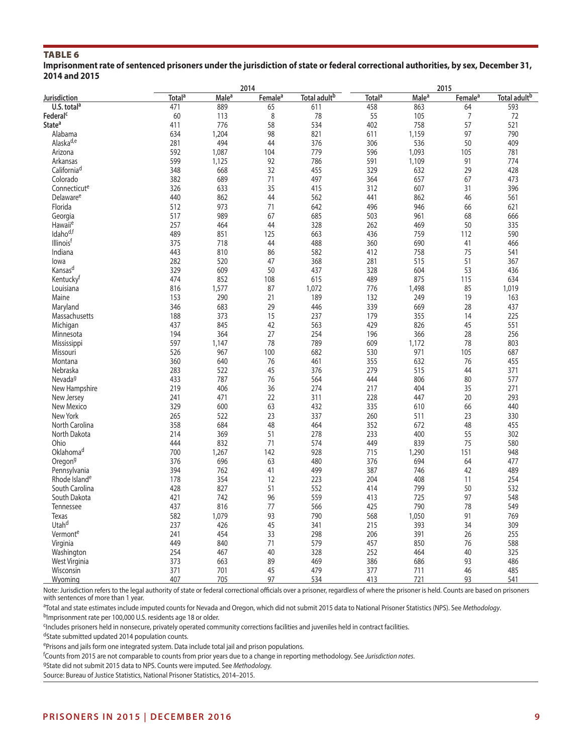# TABLE 6

**Imprisonment rate of sentenced prisoners under the jurisdiction of state or federal correctional authorities, by sex, December 31, 2014 and 2015**

| Total adult <sup>b</sup><br>Total <sup>a</sup><br>Total adult <sup>b</sup><br>Male <sup>a</sup><br>Female <sup>a</sup><br>Total <sup>a</sup><br>Male <sup>a</sup><br>Female <sup>a</sup><br>U.S. total $a$<br>471<br>889<br>611<br>458<br>863<br>593<br>65<br>64<br>8<br>55<br>Federal <sup>c</sup><br>60<br>78<br>7<br>113<br>105<br>72<br>State <sup>a</sup><br>411<br>776<br>58<br>534<br>402<br>57<br>758<br>521<br>98<br>97<br>Alabama<br>634<br>1,204<br>821<br>1,159<br>790<br>611<br>Alaska <sup>d,e</sup><br>281<br>494<br>44<br>376<br>306<br>536<br>50<br>409<br>592<br>104<br>779<br>596<br>Arizona<br>1,087<br>1,093<br>105<br>781<br>599<br>92<br>786<br>591<br>1,109<br>91<br>774<br>Arkansas<br>1,125<br>California <sup>d</sup><br>348<br>668<br>32<br>455<br>329<br>632<br>29<br>428<br>Colorado<br>382<br>689<br>71<br>497<br>364<br>657<br>67<br>473<br>326<br>633<br>35<br>415<br>312<br>607<br>31<br>396<br>Connecticute<br>Delaware <sup>e</sup><br>440<br>862<br>44<br>562<br>441<br>46<br>862<br>561<br>Florida<br>512<br>973<br>71<br>642<br>496<br>946<br>66<br>621<br>67<br>517<br>989<br>503<br>68<br>Georgia<br>685<br>961<br>666<br>257<br>44<br>328<br>50<br>Hawaii <sup>e</sup><br>464<br>262<br>469<br>335<br>Idaho <sup>d,f</sup><br>489<br>851<br>125<br>663<br>436<br>759<br>112<br>590<br>Illinois <sup>t</sup><br>375<br>44<br>488<br>718<br>360<br>690<br>41<br>466<br>443<br>75<br>Indiana<br>810<br>86<br>582<br>412<br>758<br>541<br>282<br>520<br>47<br>368<br>281<br>51<br>lowa<br>515<br>367<br>Kansas <sup>d</sup><br>329<br>609<br>50<br>437<br>328<br>604<br>53<br>436<br>474<br>Kentucky <sup>t</sup><br>852<br>108<br>615<br>489<br>875<br>115<br>634<br>816<br>1,577<br>87<br>1,072<br>776<br>1,498<br>85<br>1,019<br>Louisiana<br>21<br>189<br>19<br>Maine<br>153<br>290<br>132<br>249<br>163<br>29<br>346<br>683<br>446<br>339<br>669<br>28<br>437<br>Maryland<br>188<br>373<br>15<br>179<br>Massachusetts<br>237<br>355<br>14<br>225<br>437<br>845<br>42<br>429<br>45<br>563<br>826<br>551<br>Michigan<br>27<br>194<br>364<br>254<br>196<br>28<br>Minnesota<br>366<br>256<br>597<br>78<br>789<br>609<br>78<br>1,147<br>1,172<br>803<br>Mississippi<br>526<br>100<br>971<br>967<br>682<br>530<br>105<br>687<br>Missouri<br>360<br>640<br>76<br>461<br>355<br>632<br>76<br>455<br>Montana<br>45<br>279<br>283<br>522<br>376<br>515<br>44<br>371<br>Nebraska<br>76<br>80<br>Nevada <sup>g</sup><br>433<br>787<br>564<br>444<br>806<br>577<br>219<br>406<br>36<br>274<br>217<br>404<br>35<br>New Hampshire<br>271<br>241<br>20<br>471<br>22<br>311<br>228<br>447<br>293<br>New Jersey<br>New Mexico<br>329<br>600<br>63<br>432<br>335<br>610<br>66<br>440<br>265<br>522<br>23<br>260<br>23<br>New York<br>337<br>511<br>330<br>358<br>684<br>48<br>352<br>48<br>North Carolina<br>464<br>672<br>455<br>51<br>55<br>North Dakota<br>214<br>369<br>278<br>233<br>400<br>302<br>444<br>832<br>71<br>574<br>449<br>839<br>75<br>Ohio<br>580<br>Oklahoma <sup>d</sup><br>700<br>142<br>928<br>715<br>1,267<br>1,290<br>151<br>948<br>376<br>696<br>63<br>480<br>376<br>694<br>64<br>477<br>Oregon <sup>g</sup><br>394<br>41<br>499<br>387<br>489<br>Pennsylvania<br>762<br>746<br>42<br>Rhode Island <sup>e</sup><br>178<br>354<br>12<br>223<br>204<br>408<br>11<br>254<br>51<br>428<br>827<br>552<br>414<br>799<br>50<br>532<br>South Carolina<br>96<br>559<br>97<br>South Dakota<br>421<br>742<br>413<br>725<br>548<br>437<br>77<br>425<br>790<br>78<br>816<br>566<br>549<br>Tennessee<br>582<br>93<br>790<br>91<br><b>Texas</b><br>1,079<br>568<br>1,050<br>769<br>Utah <sup>d</sup><br>237<br>45<br>341<br>215<br>393<br>34<br>309<br>426<br>241<br>454<br>33<br>298<br>206<br>391<br>26<br>Vermonte<br>255<br>449<br>71<br>579<br>457<br>Virginia<br>840<br>850<br>76<br>588<br>254<br>40<br>252<br>40<br>467<br>328<br>325<br>Washington<br>464<br>373<br>89<br>469<br>386<br>93<br>486<br>West Virginia<br>663<br>686<br>371<br>701<br>45<br>479<br>377<br>46<br>485<br>711<br>Wisconsin |              |     |     | 2014 |     |     |     |    |     |
|-----------------------------------------------------------------------------------------------------------------------------------------------------------------------------------------------------------------------------------------------------------------------------------------------------------------------------------------------------------------------------------------------------------------------------------------------------------------------------------------------------------------------------------------------------------------------------------------------------------------------------------------------------------------------------------------------------------------------------------------------------------------------------------------------------------------------------------------------------------------------------------------------------------------------------------------------------------------------------------------------------------------------------------------------------------------------------------------------------------------------------------------------------------------------------------------------------------------------------------------------------------------------------------------------------------------------------------------------------------------------------------------------------------------------------------------------------------------------------------------------------------------------------------------------------------------------------------------------------------------------------------------------------------------------------------------------------------------------------------------------------------------------------------------------------------------------------------------------------------------------------------------------------------------------------------------------------------------------------------------------------------------------------------------------------------------------------------------------------------------------------------------------------------------------------------------------------------------------------------------------------------------------------------------------------------------------------------------------------------------------------------------------------------------------------------------------------------------------------------------------------------------------------------------------------------------------------------------------------------------------------------------------------------------------------------------------------------------------------------------------------------------------------------------------------------------------------------------------------------------------------------------------------------------------------------------------------------------------------------------------------------------------------------------------------------------------------------------------------------------------------------------------------------------------------------------------------------------------------------------------------------------------------------------------------------------------------------------------------------------------------------------------------------------------------------------------------------------------------------------------------------------------------------------------------------------------------------------------------------------------------------------------------------------------------------------------------------------------------------------------------------------------------------------------------------------------------------------------------------------------------------------------------------------------------------------------------------------------------------------------------------------------------------------------|--------------|-----|-----|------|-----|-----|-----|----|-----|
|                                                                                                                                                                                                                                                                                                                                                                                                                                                                                                                                                                                                                                                                                                                                                                                                                                                                                                                                                                                                                                                                                                                                                                                                                                                                                                                                                                                                                                                                                                                                                                                                                                                                                                                                                                                                                                                                                                                                                                                                                                                                                                                                                                                                                                                                                                                                                                                                                                                                                                                                                                                                                                                                                                                                                                                                                                                                                                                                                                                                                                                                                                                                                                                                                                                                                                                                                                                                                                                                                                                                                                                                                                                                                                                                                                                                                                                                                                                                                                                                                                               | Jurisdiction |     |     |      |     |     |     |    |     |
|                                                                                                                                                                                                                                                                                                                                                                                                                                                                                                                                                                                                                                                                                                                                                                                                                                                                                                                                                                                                                                                                                                                                                                                                                                                                                                                                                                                                                                                                                                                                                                                                                                                                                                                                                                                                                                                                                                                                                                                                                                                                                                                                                                                                                                                                                                                                                                                                                                                                                                                                                                                                                                                                                                                                                                                                                                                                                                                                                                                                                                                                                                                                                                                                                                                                                                                                                                                                                                                                                                                                                                                                                                                                                                                                                                                                                                                                                                                                                                                                                                               |              |     |     |      |     |     |     |    |     |
|                                                                                                                                                                                                                                                                                                                                                                                                                                                                                                                                                                                                                                                                                                                                                                                                                                                                                                                                                                                                                                                                                                                                                                                                                                                                                                                                                                                                                                                                                                                                                                                                                                                                                                                                                                                                                                                                                                                                                                                                                                                                                                                                                                                                                                                                                                                                                                                                                                                                                                                                                                                                                                                                                                                                                                                                                                                                                                                                                                                                                                                                                                                                                                                                                                                                                                                                                                                                                                                                                                                                                                                                                                                                                                                                                                                                                                                                                                                                                                                                                                               |              |     |     |      |     |     |     |    |     |
|                                                                                                                                                                                                                                                                                                                                                                                                                                                                                                                                                                                                                                                                                                                                                                                                                                                                                                                                                                                                                                                                                                                                                                                                                                                                                                                                                                                                                                                                                                                                                                                                                                                                                                                                                                                                                                                                                                                                                                                                                                                                                                                                                                                                                                                                                                                                                                                                                                                                                                                                                                                                                                                                                                                                                                                                                                                                                                                                                                                                                                                                                                                                                                                                                                                                                                                                                                                                                                                                                                                                                                                                                                                                                                                                                                                                                                                                                                                                                                                                                                               |              |     |     |      |     |     |     |    |     |
|                                                                                                                                                                                                                                                                                                                                                                                                                                                                                                                                                                                                                                                                                                                                                                                                                                                                                                                                                                                                                                                                                                                                                                                                                                                                                                                                                                                                                                                                                                                                                                                                                                                                                                                                                                                                                                                                                                                                                                                                                                                                                                                                                                                                                                                                                                                                                                                                                                                                                                                                                                                                                                                                                                                                                                                                                                                                                                                                                                                                                                                                                                                                                                                                                                                                                                                                                                                                                                                                                                                                                                                                                                                                                                                                                                                                                                                                                                                                                                                                                                               |              |     |     |      |     |     |     |    |     |
|                                                                                                                                                                                                                                                                                                                                                                                                                                                                                                                                                                                                                                                                                                                                                                                                                                                                                                                                                                                                                                                                                                                                                                                                                                                                                                                                                                                                                                                                                                                                                                                                                                                                                                                                                                                                                                                                                                                                                                                                                                                                                                                                                                                                                                                                                                                                                                                                                                                                                                                                                                                                                                                                                                                                                                                                                                                                                                                                                                                                                                                                                                                                                                                                                                                                                                                                                                                                                                                                                                                                                                                                                                                                                                                                                                                                                                                                                                                                                                                                                                               |              |     |     |      |     |     |     |    |     |
|                                                                                                                                                                                                                                                                                                                                                                                                                                                                                                                                                                                                                                                                                                                                                                                                                                                                                                                                                                                                                                                                                                                                                                                                                                                                                                                                                                                                                                                                                                                                                                                                                                                                                                                                                                                                                                                                                                                                                                                                                                                                                                                                                                                                                                                                                                                                                                                                                                                                                                                                                                                                                                                                                                                                                                                                                                                                                                                                                                                                                                                                                                                                                                                                                                                                                                                                                                                                                                                                                                                                                                                                                                                                                                                                                                                                                                                                                                                                                                                                                                               |              |     |     |      |     |     |     |    |     |
|                                                                                                                                                                                                                                                                                                                                                                                                                                                                                                                                                                                                                                                                                                                                                                                                                                                                                                                                                                                                                                                                                                                                                                                                                                                                                                                                                                                                                                                                                                                                                                                                                                                                                                                                                                                                                                                                                                                                                                                                                                                                                                                                                                                                                                                                                                                                                                                                                                                                                                                                                                                                                                                                                                                                                                                                                                                                                                                                                                                                                                                                                                                                                                                                                                                                                                                                                                                                                                                                                                                                                                                                                                                                                                                                                                                                                                                                                                                                                                                                                                               |              |     |     |      |     |     |     |    |     |
|                                                                                                                                                                                                                                                                                                                                                                                                                                                                                                                                                                                                                                                                                                                                                                                                                                                                                                                                                                                                                                                                                                                                                                                                                                                                                                                                                                                                                                                                                                                                                                                                                                                                                                                                                                                                                                                                                                                                                                                                                                                                                                                                                                                                                                                                                                                                                                                                                                                                                                                                                                                                                                                                                                                                                                                                                                                                                                                                                                                                                                                                                                                                                                                                                                                                                                                                                                                                                                                                                                                                                                                                                                                                                                                                                                                                                                                                                                                                                                                                                                               |              |     |     |      |     |     |     |    |     |
|                                                                                                                                                                                                                                                                                                                                                                                                                                                                                                                                                                                                                                                                                                                                                                                                                                                                                                                                                                                                                                                                                                                                                                                                                                                                                                                                                                                                                                                                                                                                                                                                                                                                                                                                                                                                                                                                                                                                                                                                                                                                                                                                                                                                                                                                                                                                                                                                                                                                                                                                                                                                                                                                                                                                                                                                                                                                                                                                                                                                                                                                                                                                                                                                                                                                                                                                                                                                                                                                                                                                                                                                                                                                                                                                                                                                                                                                                                                                                                                                                                               |              |     |     |      |     |     |     |    |     |
|                                                                                                                                                                                                                                                                                                                                                                                                                                                                                                                                                                                                                                                                                                                                                                                                                                                                                                                                                                                                                                                                                                                                                                                                                                                                                                                                                                                                                                                                                                                                                                                                                                                                                                                                                                                                                                                                                                                                                                                                                                                                                                                                                                                                                                                                                                                                                                                                                                                                                                                                                                                                                                                                                                                                                                                                                                                                                                                                                                                                                                                                                                                                                                                                                                                                                                                                                                                                                                                                                                                                                                                                                                                                                                                                                                                                                                                                                                                                                                                                                                               |              |     |     |      |     |     |     |    |     |
|                                                                                                                                                                                                                                                                                                                                                                                                                                                                                                                                                                                                                                                                                                                                                                                                                                                                                                                                                                                                                                                                                                                                                                                                                                                                                                                                                                                                                                                                                                                                                                                                                                                                                                                                                                                                                                                                                                                                                                                                                                                                                                                                                                                                                                                                                                                                                                                                                                                                                                                                                                                                                                                                                                                                                                                                                                                                                                                                                                                                                                                                                                                                                                                                                                                                                                                                                                                                                                                                                                                                                                                                                                                                                                                                                                                                                                                                                                                                                                                                                                               |              |     |     |      |     |     |     |    |     |
|                                                                                                                                                                                                                                                                                                                                                                                                                                                                                                                                                                                                                                                                                                                                                                                                                                                                                                                                                                                                                                                                                                                                                                                                                                                                                                                                                                                                                                                                                                                                                                                                                                                                                                                                                                                                                                                                                                                                                                                                                                                                                                                                                                                                                                                                                                                                                                                                                                                                                                                                                                                                                                                                                                                                                                                                                                                                                                                                                                                                                                                                                                                                                                                                                                                                                                                                                                                                                                                                                                                                                                                                                                                                                                                                                                                                                                                                                                                                                                                                                                               |              |     |     |      |     |     |     |    |     |
|                                                                                                                                                                                                                                                                                                                                                                                                                                                                                                                                                                                                                                                                                                                                                                                                                                                                                                                                                                                                                                                                                                                                                                                                                                                                                                                                                                                                                                                                                                                                                                                                                                                                                                                                                                                                                                                                                                                                                                                                                                                                                                                                                                                                                                                                                                                                                                                                                                                                                                                                                                                                                                                                                                                                                                                                                                                                                                                                                                                                                                                                                                                                                                                                                                                                                                                                                                                                                                                                                                                                                                                                                                                                                                                                                                                                                                                                                                                                                                                                                                               |              |     |     |      |     |     |     |    |     |
|                                                                                                                                                                                                                                                                                                                                                                                                                                                                                                                                                                                                                                                                                                                                                                                                                                                                                                                                                                                                                                                                                                                                                                                                                                                                                                                                                                                                                                                                                                                                                                                                                                                                                                                                                                                                                                                                                                                                                                                                                                                                                                                                                                                                                                                                                                                                                                                                                                                                                                                                                                                                                                                                                                                                                                                                                                                                                                                                                                                                                                                                                                                                                                                                                                                                                                                                                                                                                                                                                                                                                                                                                                                                                                                                                                                                                                                                                                                                                                                                                                               |              |     |     |      |     |     |     |    |     |
|                                                                                                                                                                                                                                                                                                                                                                                                                                                                                                                                                                                                                                                                                                                                                                                                                                                                                                                                                                                                                                                                                                                                                                                                                                                                                                                                                                                                                                                                                                                                                                                                                                                                                                                                                                                                                                                                                                                                                                                                                                                                                                                                                                                                                                                                                                                                                                                                                                                                                                                                                                                                                                                                                                                                                                                                                                                                                                                                                                                                                                                                                                                                                                                                                                                                                                                                                                                                                                                                                                                                                                                                                                                                                                                                                                                                                                                                                                                                                                                                                                               |              |     |     |      |     |     |     |    |     |
|                                                                                                                                                                                                                                                                                                                                                                                                                                                                                                                                                                                                                                                                                                                                                                                                                                                                                                                                                                                                                                                                                                                                                                                                                                                                                                                                                                                                                                                                                                                                                                                                                                                                                                                                                                                                                                                                                                                                                                                                                                                                                                                                                                                                                                                                                                                                                                                                                                                                                                                                                                                                                                                                                                                                                                                                                                                                                                                                                                                                                                                                                                                                                                                                                                                                                                                                                                                                                                                                                                                                                                                                                                                                                                                                                                                                                                                                                                                                                                                                                                               |              |     |     |      |     |     |     |    |     |
|                                                                                                                                                                                                                                                                                                                                                                                                                                                                                                                                                                                                                                                                                                                                                                                                                                                                                                                                                                                                                                                                                                                                                                                                                                                                                                                                                                                                                                                                                                                                                                                                                                                                                                                                                                                                                                                                                                                                                                                                                                                                                                                                                                                                                                                                                                                                                                                                                                                                                                                                                                                                                                                                                                                                                                                                                                                                                                                                                                                                                                                                                                                                                                                                                                                                                                                                                                                                                                                                                                                                                                                                                                                                                                                                                                                                                                                                                                                                                                                                                                               |              |     |     |      |     |     |     |    |     |
|                                                                                                                                                                                                                                                                                                                                                                                                                                                                                                                                                                                                                                                                                                                                                                                                                                                                                                                                                                                                                                                                                                                                                                                                                                                                                                                                                                                                                                                                                                                                                                                                                                                                                                                                                                                                                                                                                                                                                                                                                                                                                                                                                                                                                                                                                                                                                                                                                                                                                                                                                                                                                                                                                                                                                                                                                                                                                                                                                                                                                                                                                                                                                                                                                                                                                                                                                                                                                                                                                                                                                                                                                                                                                                                                                                                                                                                                                                                                                                                                                                               |              |     |     |      |     |     |     |    |     |
|                                                                                                                                                                                                                                                                                                                                                                                                                                                                                                                                                                                                                                                                                                                                                                                                                                                                                                                                                                                                                                                                                                                                                                                                                                                                                                                                                                                                                                                                                                                                                                                                                                                                                                                                                                                                                                                                                                                                                                                                                                                                                                                                                                                                                                                                                                                                                                                                                                                                                                                                                                                                                                                                                                                                                                                                                                                                                                                                                                                                                                                                                                                                                                                                                                                                                                                                                                                                                                                                                                                                                                                                                                                                                                                                                                                                                                                                                                                                                                                                                                               |              |     |     |      |     |     |     |    |     |
|                                                                                                                                                                                                                                                                                                                                                                                                                                                                                                                                                                                                                                                                                                                                                                                                                                                                                                                                                                                                                                                                                                                                                                                                                                                                                                                                                                                                                                                                                                                                                                                                                                                                                                                                                                                                                                                                                                                                                                                                                                                                                                                                                                                                                                                                                                                                                                                                                                                                                                                                                                                                                                                                                                                                                                                                                                                                                                                                                                                                                                                                                                                                                                                                                                                                                                                                                                                                                                                                                                                                                                                                                                                                                                                                                                                                                                                                                                                                                                                                                                               |              |     |     |      |     |     |     |    |     |
|                                                                                                                                                                                                                                                                                                                                                                                                                                                                                                                                                                                                                                                                                                                                                                                                                                                                                                                                                                                                                                                                                                                                                                                                                                                                                                                                                                                                                                                                                                                                                                                                                                                                                                                                                                                                                                                                                                                                                                                                                                                                                                                                                                                                                                                                                                                                                                                                                                                                                                                                                                                                                                                                                                                                                                                                                                                                                                                                                                                                                                                                                                                                                                                                                                                                                                                                                                                                                                                                                                                                                                                                                                                                                                                                                                                                                                                                                                                                                                                                                                               |              |     |     |      |     |     |     |    |     |
|                                                                                                                                                                                                                                                                                                                                                                                                                                                                                                                                                                                                                                                                                                                                                                                                                                                                                                                                                                                                                                                                                                                                                                                                                                                                                                                                                                                                                                                                                                                                                                                                                                                                                                                                                                                                                                                                                                                                                                                                                                                                                                                                                                                                                                                                                                                                                                                                                                                                                                                                                                                                                                                                                                                                                                                                                                                                                                                                                                                                                                                                                                                                                                                                                                                                                                                                                                                                                                                                                                                                                                                                                                                                                                                                                                                                                                                                                                                                                                                                                                               |              |     |     |      |     |     |     |    |     |
|                                                                                                                                                                                                                                                                                                                                                                                                                                                                                                                                                                                                                                                                                                                                                                                                                                                                                                                                                                                                                                                                                                                                                                                                                                                                                                                                                                                                                                                                                                                                                                                                                                                                                                                                                                                                                                                                                                                                                                                                                                                                                                                                                                                                                                                                                                                                                                                                                                                                                                                                                                                                                                                                                                                                                                                                                                                                                                                                                                                                                                                                                                                                                                                                                                                                                                                                                                                                                                                                                                                                                                                                                                                                                                                                                                                                                                                                                                                                                                                                                                               |              |     |     |      |     |     |     |    |     |
|                                                                                                                                                                                                                                                                                                                                                                                                                                                                                                                                                                                                                                                                                                                                                                                                                                                                                                                                                                                                                                                                                                                                                                                                                                                                                                                                                                                                                                                                                                                                                                                                                                                                                                                                                                                                                                                                                                                                                                                                                                                                                                                                                                                                                                                                                                                                                                                                                                                                                                                                                                                                                                                                                                                                                                                                                                                                                                                                                                                                                                                                                                                                                                                                                                                                                                                                                                                                                                                                                                                                                                                                                                                                                                                                                                                                                                                                                                                                                                                                                                               |              |     |     |      |     |     |     |    |     |
|                                                                                                                                                                                                                                                                                                                                                                                                                                                                                                                                                                                                                                                                                                                                                                                                                                                                                                                                                                                                                                                                                                                                                                                                                                                                                                                                                                                                                                                                                                                                                                                                                                                                                                                                                                                                                                                                                                                                                                                                                                                                                                                                                                                                                                                                                                                                                                                                                                                                                                                                                                                                                                                                                                                                                                                                                                                                                                                                                                                                                                                                                                                                                                                                                                                                                                                                                                                                                                                                                                                                                                                                                                                                                                                                                                                                                                                                                                                                                                                                                                               |              |     |     |      |     |     |     |    |     |
|                                                                                                                                                                                                                                                                                                                                                                                                                                                                                                                                                                                                                                                                                                                                                                                                                                                                                                                                                                                                                                                                                                                                                                                                                                                                                                                                                                                                                                                                                                                                                                                                                                                                                                                                                                                                                                                                                                                                                                                                                                                                                                                                                                                                                                                                                                                                                                                                                                                                                                                                                                                                                                                                                                                                                                                                                                                                                                                                                                                                                                                                                                                                                                                                                                                                                                                                                                                                                                                                                                                                                                                                                                                                                                                                                                                                                                                                                                                                                                                                                                               |              |     |     |      |     |     |     |    |     |
|                                                                                                                                                                                                                                                                                                                                                                                                                                                                                                                                                                                                                                                                                                                                                                                                                                                                                                                                                                                                                                                                                                                                                                                                                                                                                                                                                                                                                                                                                                                                                                                                                                                                                                                                                                                                                                                                                                                                                                                                                                                                                                                                                                                                                                                                                                                                                                                                                                                                                                                                                                                                                                                                                                                                                                                                                                                                                                                                                                                                                                                                                                                                                                                                                                                                                                                                                                                                                                                                                                                                                                                                                                                                                                                                                                                                                                                                                                                                                                                                                                               |              |     |     |      |     |     |     |    |     |
|                                                                                                                                                                                                                                                                                                                                                                                                                                                                                                                                                                                                                                                                                                                                                                                                                                                                                                                                                                                                                                                                                                                                                                                                                                                                                                                                                                                                                                                                                                                                                                                                                                                                                                                                                                                                                                                                                                                                                                                                                                                                                                                                                                                                                                                                                                                                                                                                                                                                                                                                                                                                                                                                                                                                                                                                                                                                                                                                                                                                                                                                                                                                                                                                                                                                                                                                                                                                                                                                                                                                                                                                                                                                                                                                                                                                                                                                                                                                                                                                                                               |              |     |     |      |     |     |     |    |     |
|                                                                                                                                                                                                                                                                                                                                                                                                                                                                                                                                                                                                                                                                                                                                                                                                                                                                                                                                                                                                                                                                                                                                                                                                                                                                                                                                                                                                                                                                                                                                                                                                                                                                                                                                                                                                                                                                                                                                                                                                                                                                                                                                                                                                                                                                                                                                                                                                                                                                                                                                                                                                                                                                                                                                                                                                                                                                                                                                                                                                                                                                                                                                                                                                                                                                                                                                                                                                                                                                                                                                                                                                                                                                                                                                                                                                                                                                                                                                                                                                                                               |              |     |     |      |     |     |     |    |     |
|                                                                                                                                                                                                                                                                                                                                                                                                                                                                                                                                                                                                                                                                                                                                                                                                                                                                                                                                                                                                                                                                                                                                                                                                                                                                                                                                                                                                                                                                                                                                                                                                                                                                                                                                                                                                                                                                                                                                                                                                                                                                                                                                                                                                                                                                                                                                                                                                                                                                                                                                                                                                                                                                                                                                                                                                                                                                                                                                                                                                                                                                                                                                                                                                                                                                                                                                                                                                                                                                                                                                                                                                                                                                                                                                                                                                                                                                                                                                                                                                                                               |              |     |     |      |     |     |     |    |     |
|                                                                                                                                                                                                                                                                                                                                                                                                                                                                                                                                                                                                                                                                                                                                                                                                                                                                                                                                                                                                                                                                                                                                                                                                                                                                                                                                                                                                                                                                                                                                                                                                                                                                                                                                                                                                                                                                                                                                                                                                                                                                                                                                                                                                                                                                                                                                                                                                                                                                                                                                                                                                                                                                                                                                                                                                                                                                                                                                                                                                                                                                                                                                                                                                                                                                                                                                                                                                                                                                                                                                                                                                                                                                                                                                                                                                                                                                                                                                                                                                                                               |              |     |     |      |     |     |     |    |     |
|                                                                                                                                                                                                                                                                                                                                                                                                                                                                                                                                                                                                                                                                                                                                                                                                                                                                                                                                                                                                                                                                                                                                                                                                                                                                                                                                                                                                                                                                                                                                                                                                                                                                                                                                                                                                                                                                                                                                                                                                                                                                                                                                                                                                                                                                                                                                                                                                                                                                                                                                                                                                                                                                                                                                                                                                                                                                                                                                                                                                                                                                                                                                                                                                                                                                                                                                                                                                                                                                                                                                                                                                                                                                                                                                                                                                                                                                                                                                                                                                                                               |              |     |     |      |     |     |     |    |     |
|                                                                                                                                                                                                                                                                                                                                                                                                                                                                                                                                                                                                                                                                                                                                                                                                                                                                                                                                                                                                                                                                                                                                                                                                                                                                                                                                                                                                                                                                                                                                                                                                                                                                                                                                                                                                                                                                                                                                                                                                                                                                                                                                                                                                                                                                                                                                                                                                                                                                                                                                                                                                                                                                                                                                                                                                                                                                                                                                                                                                                                                                                                                                                                                                                                                                                                                                                                                                                                                                                                                                                                                                                                                                                                                                                                                                                                                                                                                                                                                                                                               |              |     |     |      |     |     |     |    |     |
|                                                                                                                                                                                                                                                                                                                                                                                                                                                                                                                                                                                                                                                                                                                                                                                                                                                                                                                                                                                                                                                                                                                                                                                                                                                                                                                                                                                                                                                                                                                                                                                                                                                                                                                                                                                                                                                                                                                                                                                                                                                                                                                                                                                                                                                                                                                                                                                                                                                                                                                                                                                                                                                                                                                                                                                                                                                                                                                                                                                                                                                                                                                                                                                                                                                                                                                                                                                                                                                                                                                                                                                                                                                                                                                                                                                                                                                                                                                                                                                                                                               |              |     |     |      |     |     |     |    |     |
|                                                                                                                                                                                                                                                                                                                                                                                                                                                                                                                                                                                                                                                                                                                                                                                                                                                                                                                                                                                                                                                                                                                                                                                                                                                                                                                                                                                                                                                                                                                                                                                                                                                                                                                                                                                                                                                                                                                                                                                                                                                                                                                                                                                                                                                                                                                                                                                                                                                                                                                                                                                                                                                                                                                                                                                                                                                                                                                                                                                                                                                                                                                                                                                                                                                                                                                                                                                                                                                                                                                                                                                                                                                                                                                                                                                                                                                                                                                                                                                                                                               |              |     |     |      |     |     |     |    |     |
|                                                                                                                                                                                                                                                                                                                                                                                                                                                                                                                                                                                                                                                                                                                                                                                                                                                                                                                                                                                                                                                                                                                                                                                                                                                                                                                                                                                                                                                                                                                                                                                                                                                                                                                                                                                                                                                                                                                                                                                                                                                                                                                                                                                                                                                                                                                                                                                                                                                                                                                                                                                                                                                                                                                                                                                                                                                                                                                                                                                                                                                                                                                                                                                                                                                                                                                                                                                                                                                                                                                                                                                                                                                                                                                                                                                                                                                                                                                                                                                                                                               |              |     |     |      |     |     |     |    |     |
|                                                                                                                                                                                                                                                                                                                                                                                                                                                                                                                                                                                                                                                                                                                                                                                                                                                                                                                                                                                                                                                                                                                                                                                                                                                                                                                                                                                                                                                                                                                                                                                                                                                                                                                                                                                                                                                                                                                                                                                                                                                                                                                                                                                                                                                                                                                                                                                                                                                                                                                                                                                                                                                                                                                                                                                                                                                                                                                                                                                                                                                                                                                                                                                                                                                                                                                                                                                                                                                                                                                                                                                                                                                                                                                                                                                                                                                                                                                                                                                                                                               |              |     |     |      |     |     |     |    |     |
|                                                                                                                                                                                                                                                                                                                                                                                                                                                                                                                                                                                                                                                                                                                                                                                                                                                                                                                                                                                                                                                                                                                                                                                                                                                                                                                                                                                                                                                                                                                                                                                                                                                                                                                                                                                                                                                                                                                                                                                                                                                                                                                                                                                                                                                                                                                                                                                                                                                                                                                                                                                                                                                                                                                                                                                                                                                                                                                                                                                                                                                                                                                                                                                                                                                                                                                                                                                                                                                                                                                                                                                                                                                                                                                                                                                                                                                                                                                                                                                                                                               |              |     |     |      |     |     |     |    |     |
|                                                                                                                                                                                                                                                                                                                                                                                                                                                                                                                                                                                                                                                                                                                                                                                                                                                                                                                                                                                                                                                                                                                                                                                                                                                                                                                                                                                                                                                                                                                                                                                                                                                                                                                                                                                                                                                                                                                                                                                                                                                                                                                                                                                                                                                                                                                                                                                                                                                                                                                                                                                                                                                                                                                                                                                                                                                                                                                                                                                                                                                                                                                                                                                                                                                                                                                                                                                                                                                                                                                                                                                                                                                                                                                                                                                                                                                                                                                                                                                                                                               |              |     |     |      |     |     |     |    |     |
|                                                                                                                                                                                                                                                                                                                                                                                                                                                                                                                                                                                                                                                                                                                                                                                                                                                                                                                                                                                                                                                                                                                                                                                                                                                                                                                                                                                                                                                                                                                                                                                                                                                                                                                                                                                                                                                                                                                                                                                                                                                                                                                                                                                                                                                                                                                                                                                                                                                                                                                                                                                                                                                                                                                                                                                                                                                                                                                                                                                                                                                                                                                                                                                                                                                                                                                                                                                                                                                                                                                                                                                                                                                                                                                                                                                                                                                                                                                                                                                                                                               |              |     |     |      |     |     |     |    |     |
|                                                                                                                                                                                                                                                                                                                                                                                                                                                                                                                                                                                                                                                                                                                                                                                                                                                                                                                                                                                                                                                                                                                                                                                                                                                                                                                                                                                                                                                                                                                                                                                                                                                                                                                                                                                                                                                                                                                                                                                                                                                                                                                                                                                                                                                                                                                                                                                                                                                                                                                                                                                                                                                                                                                                                                                                                                                                                                                                                                                                                                                                                                                                                                                                                                                                                                                                                                                                                                                                                                                                                                                                                                                                                                                                                                                                                                                                                                                                                                                                                                               |              |     |     |      |     |     |     |    |     |
|                                                                                                                                                                                                                                                                                                                                                                                                                                                                                                                                                                                                                                                                                                                                                                                                                                                                                                                                                                                                                                                                                                                                                                                                                                                                                                                                                                                                                                                                                                                                                                                                                                                                                                                                                                                                                                                                                                                                                                                                                                                                                                                                                                                                                                                                                                                                                                                                                                                                                                                                                                                                                                                                                                                                                                                                                                                                                                                                                                                                                                                                                                                                                                                                                                                                                                                                                                                                                                                                                                                                                                                                                                                                                                                                                                                                                                                                                                                                                                                                                                               |              |     |     |      |     |     |     |    |     |
|                                                                                                                                                                                                                                                                                                                                                                                                                                                                                                                                                                                                                                                                                                                                                                                                                                                                                                                                                                                                                                                                                                                                                                                                                                                                                                                                                                                                                                                                                                                                                                                                                                                                                                                                                                                                                                                                                                                                                                                                                                                                                                                                                                                                                                                                                                                                                                                                                                                                                                                                                                                                                                                                                                                                                                                                                                                                                                                                                                                                                                                                                                                                                                                                                                                                                                                                                                                                                                                                                                                                                                                                                                                                                                                                                                                                                                                                                                                                                                                                                                               |              |     |     |      |     |     |     |    |     |
|                                                                                                                                                                                                                                                                                                                                                                                                                                                                                                                                                                                                                                                                                                                                                                                                                                                                                                                                                                                                                                                                                                                                                                                                                                                                                                                                                                                                                                                                                                                                                                                                                                                                                                                                                                                                                                                                                                                                                                                                                                                                                                                                                                                                                                                                                                                                                                                                                                                                                                                                                                                                                                                                                                                                                                                                                                                                                                                                                                                                                                                                                                                                                                                                                                                                                                                                                                                                                                                                                                                                                                                                                                                                                                                                                                                                                                                                                                                                                                                                                                               |              |     |     |      |     |     |     |    |     |
|                                                                                                                                                                                                                                                                                                                                                                                                                                                                                                                                                                                                                                                                                                                                                                                                                                                                                                                                                                                                                                                                                                                                                                                                                                                                                                                                                                                                                                                                                                                                                                                                                                                                                                                                                                                                                                                                                                                                                                                                                                                                                                                                                                                                                                                                                                                                                                                                                                                                                                                                                                                                                                                                                                                                                                                                                                                                                                                                                                                                                                                                                                                                                                                                                                                                                                                                                                                                                                                                                                                                                                                                                                                                                                                                                                                                                                                                                                                                                                                                                                               |              |     |     |      |     |     |     |    |     |
|                                                                                                                                                                                                                                                                                                                                                                                                                                                                                                                                                                                                                                                                                                                                                                                                                                                                                                                                                                                                                                                                                                                                                                                                                                                                                                                                                                                                                                                                                                                                                                                                                                                                                                                                                                                                                                                                                                                                                                                                                                                                                                                                                                                                                                                                                                                                                                                                                                                                                                                                                                                                                                                                                                                                                                                                                                                                                                                                                                                                                                                                                                                                                                                                                                                                                                                                                                                                                                                                                                                                                                                                                                                                                                                                                                                                                                                                                                                                                                                                                                               |              |     |     |      |     |     |     |    |     |
|                                                                                                                                                                                                                                                                                                                                                                                                                                                                                                                                                                                                                                                                                                                                                                                                                                                                                                                                                                                                                                                                                                                                                                                                                                                                                                                                                                                                                                                                                                                                                                                                                                                                                                                                                                                                                                                                                                                                                                                                                                                                                                                                                                                                                                                                                                                                                                                                                                                                                                                                                                                                                                                                                                                                                                                                                                                                                                                                                                                                                                                                                                                                                                                                                                                                                                                                                                                                                                                                                                                                                                                                                                                                                                                                                                                                                                                                                                                                                                                                                                               |              |     |     |      |     |     |     |    |     |
|                                                                                                                                                                                                                                                                                                                                                                                                                                                                                                                                                                                                                                                                                                                                                                                                                                                                                                                                                                                                                                                                                                                                                                                                                                                                                                                                                                                                                                                                                                                                                                                                                                                                                                                                                                                                                                                                                                                                                                                                                                                                                                                                                                                                                                                                                                                                                                                                                                                                                                                                                                                                                                                                                                                                                                                                                                                                                                                                                                                                                                                                                                                                                                                                                                                                                                                                                                                                                                                                                                                                                                                                                                                                                                                                                                                                                                                                                                                                                                                                                                               |              |     |     |      |     |     |     |    |     |
|                                                                                                                                                                                                                                                                                                                                                                                                                                                                                                                                                                                                                                                                                                                                                                                                                                                                                                                                                                                                                                                                                                                                                                                                                                                                                                                                                                                                                                                                                                                                                                                                                                                                                                                                                                                                                                                                                                                                                                                                                                                                                                                                                                                                                                                                                                                                                                                                                                                                                                                                                                                                                                                                                                                                                                                                                                                                                                                                                                                                                                                                                                                                                                                                                                                                                                                                                                                                                                                                                                                                                                                                                                                                                                                                                                                                                                                                                                                                                                                                                                               |              |     |     |      |     |     |     |    |     |
|                                                                                                                                                                                                                                                                                                                                                                                                                                                                                                                                                                                                                                                                                                                                                                                                                                                                                                                                                                                                                                                                                                                                                                                                                                                                                                                                                                                                                                                                                                                                                                                                                                                                                                                                                                                                                                                                                                                                                                                                                                                                                                                                                                                                                                                                                                                                                                                                                                                                                                                                                                                                                                                                                                                                                                                                                                                                                                                                                                                                                                                                                                                                                                                                                                                                                                                                                                                                                                                                                                                                                                                                                                                                                                                                                                                                                                                                                                                                                                                                                                               |              |     |     |      |     |     |     |    |     |
|                                                                                                                                                                                                                                                                                                                                                                                                                                                                                                                                                                                                                                                                                                                                                                                                                                                                                                                                                                                                                                                                                                                                                                                                                                                                                                                                                                                                                                                                                                                                                                                                                                                                                                                                                                                                                                                                                                                                                                                                                                                                                                                                                                                                                                                                                                                                                                                                                                                                                                                                                                                                                                                                                                                                                                                                                                                                                                                                                                                                                                                                                                                                                                                                                                                                                                                                                                                                                                                                                                                                                                                                                                                                                                                                                                                                                                                                                                                                                                                                                                               |              |     |     |      |     |     |     |    |     |
|                                                                                                                                                                                                                                                                                                                                                                                                                                                                                                                                                                                                                                                                                                                                                                                                                                                                                                                                                                                                                                                                                                                                                                                                                                                                                                                                                                                                                                                                                                                                                                                                                                                                                                                                                                                                                                                                                                                                                                                                                                                                                                                                                                                                                                                                                                                                                                                                                                                                                                                                                                                                                                                                                                                                                                                                                                                                                                                                                                                                                                                                                                                                                                                                                                                                                                                                                                                                                                                                                                                                                                                                                                                                                                                                                                                                                                                                                                                                                                                                                                               |              |     |     |      |     |     |     |    |     |
|                                                                                                                                                                                                                                                                                                                                                                                                                                                                                                                                                                                                                                                                                                                                                                                                                                                                                                                                                                                                                                                                                                                                                                                                                                                                                                                                                                                                                                                                                                                                                                                                                                                                                                                                                                                                                                                                                                                                                                                                                                                                                                                                                                                                                                                                                                                                                                                                                                                                                                                                                                                                                                                                                                                                                                                                                                                                                                                                                                                                                                                                                                                                                                                                                                                                                                                                                                                                                                                                                                                                                                                                                                                                                                                                                                                                                                                                                                                                                                                                                                               |              |     |     |      |     |     |     |    |     |
|                                                                                                                                                                                                                                                                                                                                                                                                                                                                                                                                                                                                                                                                                                                                                                                                                                                                                                                                                                                                                                                                                                                                                                                                                                                                                                                                                                                                                                                                                                                                                                                                                                                                                                                                                                                                                                                                                                                                                                                                                                                                                                                                                                                                                                                                                                                                                                                                                                                                                                                                                                                                                                                                                                                                                                                                                                                                                                                                                                                                                                                                                                                                                                                                                                                                                                                                                                                                                                                                                                                                                                                                                                                                                                                                                                                                                                                                                                                                                                                                                                               |              |     |     |      |     |     |     |    |     |
|                                                                                                                                                                                                                                                                                                                                                                                                                                                                                                                                                                                                                                                                                                                                                                                                                                                                                                                                                                                                                                                                                                                                                                                                                                                                                                                                                                                                                                                                                                                                                                                                                                                                                                                                                                                                                                                                                                                                                                                                                                                                                                                                                                                                                                                                                                                                                                                                                                                                                                                                                                                                                                                                                                                                                                                                                                                                                                                                                                                                                                                                                                                                                                                                                                                                                                                                                                                                                                                                                                                                                                                                                                                                                                                                                                                                                                                                                                                                                                                                                                               | Wyoming      | 407 | 705 | 97   | 534 | 413 | 721 | 93 | 541 |

Note: Jurisdiction refers to the legal authority of state or federal correctional officials over a prisoner, regardless of where the prisoner is held. Counts are based on prisoners with sentences of more than 1 year.

ªTotal and state estimates include imputed counts for Nevada and Oregon, which did not submit 2015 data to National Prisoner Statistics (NPS). See *Methodology.*<br><sup>b</sup>Imprisonment rate per 100,000 U.S. residents age 18 or ol

<sup>c</sup>Includes prisoners held in nonsecure, privately operated community corrections facilities and juveniles held in contract facilities.

dState submitted updated 2014 population counts.

ePrisons and jails form one integrated system. Data include total jail and prison populations.

f Counts from 2015 are not comparable to counts from prior years due to a change in reporting methodology. See *Jurisdiction notes*.

gState did not submit 2015 data to NPS. Counts were imputed. See *Methodolog*y.

Source: Bureau of Justice Statistics, National Prisoner Statistics, 2014–2015.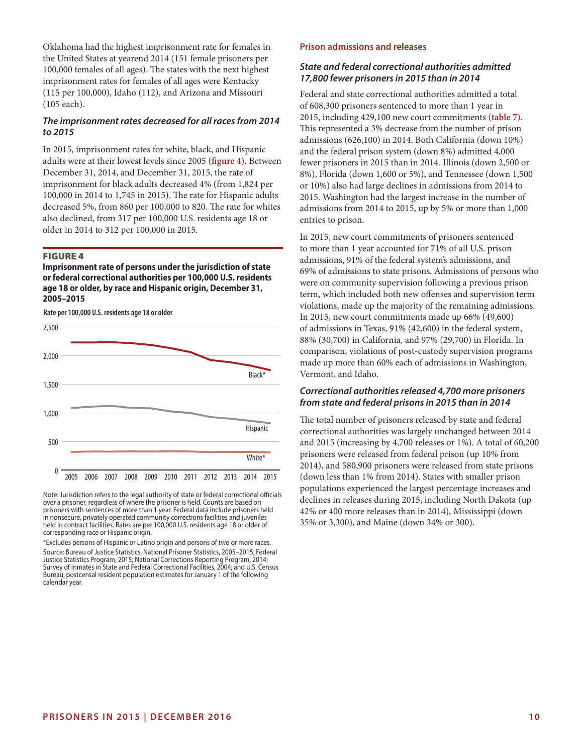Oklahoma had the highest imprisonment rate for females in the United States at yearend 2014 (151 female prisoners per 100,000 females of all ages). The states with the next highest imprisonment rates for females of all ages were Kentucky (115 per 100,000), Idaho (112), and Arizona and Missouri (105 each).

# *The imprisonment rates decreased for all races from 2014 to 2015*

In 2015, imprisonment rates for white, black, and Hispanic adults were at their lowest levels since 2005 **(figure 4)**. Between December 31, 2014, and December 31, 2015, the rate of imprisonment for black adults decreased 4% (from 1,824 per 100,000 in 2014 to 1,745 in 2015). The rate for Hispanic adults decreased 5%, from 860 per 100,000 to 820. The rate for whites also declined, from 317 per 100,000 U.S. residents age 18 or older in 2014 to 312 per 100,000 in 2015.

#### FIGURE 4

**Imprisonment rate of persons under the jurisdiction of state or federal correctional authorities per 100,000 U.S. residents age 18 or older, by race and Hispanic origin, December 31, 2005–2015**

**Rate per 100,000 U.S. residents age 18 or older**



Note: Jurisdiction refers to the legal authority of state or federal correctional officials over a prisoner, regardless of where the prisoner is held. Counts are based on prisoners with sentences of more than 1 year. Federal data include prisoners held in nonsecure, privately operated community corrections facilities and juveniles held in contract facilities. Rates are per 100,000 U.S. residents age 18 or older of corresponding race or Hispanic origin.

\*Excludes persons of Hispanic or Latino origin and persons of two or more races. Source: Bureau of Justice Statistics, National Prisoner Statistics, 2005–2015; Federal Justice Statistics Program, 2015; National Corrections Reporting Program, 2014; Survey of Inmates in State and Federal Correctional Facilities, 2004; and U.S. Census Bureau, postcensal resident population estimates for January 1 of the following calendar year.

#### **Prison admissions and releases**

## *State and federal correctional authorities admitted 17,800 fewer prisoners in 2015 than in 2014*

Federal and state correctional authorities admitted a total of 608,300 prisoners sentenced to more than 1 year in 2015, including 429,100 new court commitments **(table 7)**. This represented a 3% decrease from the number of prison admissions (626,100) in 2014. Both California (down 10%) and the federal prison system (down 8%) admitted 4,000 fewer prisoners in 2015 than in 2014. Illinois (down 2,500 or 8%), Florida (down 1,600 or 5%), and Tennessee (down 1,500 or 10%) also had large declines in admissions from 2014 to 2015. Washington had the largest increase in the number of admissions from 2014 to 2015, up by 5% or more than 1,000 entries to prison.

In 2015, new court commitments of prisoners sentenced to more than 1 year accounted for 71% of all U.S. prison admissions, 91% of the federal system's admissions, and 69% of admissions to state prisons. Admissions of persons who were on community supervision following a previous prison term, which included both new offenses and supervision term violations, made up the majority of the remaining admissions. In 2015, new court commitments made up 66% (49,600) of admissions in Texas, 91% (42,600) in the federal system, 88% (30,700) in California, and 97% (29,700) in Florida. In comparison, violations of post-custody supervision programs made up more than 60% each of admissions in Washington, Vermont, and Idaho.

#### *Correctional authorities released 4,700 more prisoners from state and federal prisons in 2015 than in 2014*

The total number of prisoners released by state and federal correctional authorities was largely unchanged between 2014 and 2015 (increasing by 4,700 releases or 1%). A total of 60,200 prisoners were released from federal prison (up 10% from 2014), and 580,900 prisoners were released from state prisons (down less than 1% from 2014). States with smaller prison populations experienced the largest percentage increases and declines in releases during 2015, including North Dakota (up 42% or 400 more releases than in 2014), Mississippi (down 35% or 3,300), and Maine (down 34% or 300).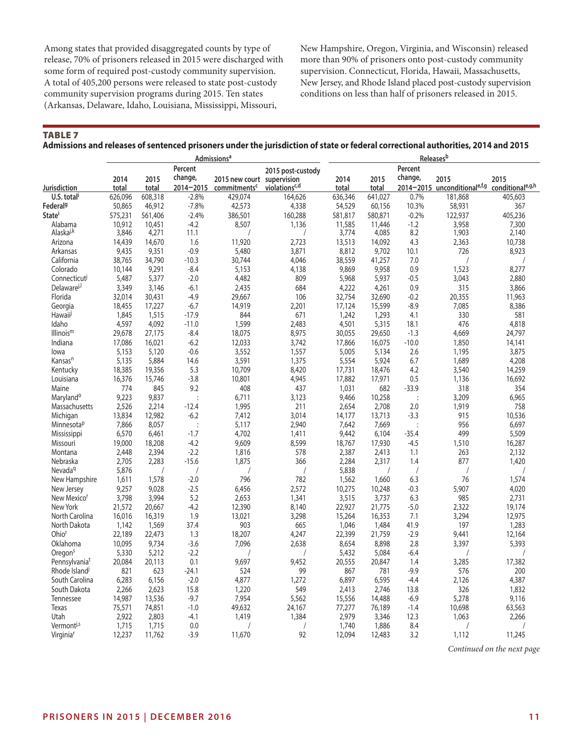Among states that provided disaggregated counts by type of release, 70% of prisoners released in 2015 were discharged with some form of required post-custody community supervision. A total of 405,200 persons were released to state post-custody community supervision programs during 2015. Ten states (Arkansas, Delaware, Idaho, Louisiana, Mississippi, Missouri,

New Hampshire, Oregon, Virginia, and Wisconsin) released more than 90% of prisoners onto post-custody community supervision. Connecticut, Florida, Hawaii, Massachusetts, New Jersey, and Rhode Island placed post-custody supervision conditions on less than half of prisoners released in 2015.

TABLE 7

**Admissions and releases of sentenced prisoners under the jurisdiction of state or federal correctional authorities, 2014 and 2015**

|                           |         |         |                | <b>Admissions<sup>a</sup></b> |                           |         |         |                      | Releases <sup>b</sup>        |                                |
|---------------------------|---------|---------|----------------|-------------------------------|---------------------------|---------|---------|----------------------|------------------------------|--------------------------------|
|                           |         |         | Percent        |                               | 2015 post-custody         |         |         | Percent              |                              |                                |
|                           | 2014    | 2015    | change,        | 2015 new court supervision    |                           | 2014    | 2015    | change,              | 2015                         | 2015                           |
| Jurisdiction              | total   | total   | 2014-2015      | commitments <sup>c</sup>      | violations <sup>c,d</sup> | total   | total   |                      | 2014-2015 unconditionale,f,g | conditional <sup>e, g, h</sup> |
| U.S. total                | 626,096 | 608,318 | $-2.8%$        | 429,074                       | 164,626                   | 636,346 | 641,027 | 0.7%                 | 181,868                      | 405,603                        |
| Federal <sup>g</sup>      | 50,865  | 46,912  | $-7.8%$        | 42,573                        | 4,338                     | 54,529  | 60.156  | 10.3%                | 58,931                       | 367                            |
| <b>State</b>              | 575,231 | 561,406 | $-2.4%$        | 386,501                       | 160,288                   | 581,817 | 580,871 | $-0.2%$              | 122,937                      | 405,236                        |
| Alabama                   | 10,912  | 10,451  | $-4.2$         | 8,507                         | 1,136                     | 11,585  | 11,446  | $-1.2$               | 3,958                        | 7,300                          |
| Alaska <sup>J,k</sup>     | 3,846   | 4,271   | 11.1           |                               |                           | 3,774   | 4,085   | 8.2                  | 1,903                        | 2,140                          |
| Arizona                   | 14,439  | 14,670  | 1.6            | 11,920                        | 2,723                     | 13,513  | 14,092  | 4.3                  | 2,363                        | 10,738                         |
| Arkansas                  | 9,435   | 9,351   | $-0.9$         | 5,480                         | 3,871                     | 8,812   | 9,702   | 10.1                 | 726                          | 8,923                          |
| California                | 38,765  | 34,790  | $-10.3$        | 30,744                        | 4,046                     | 38,559  | 41,257  | 7.0                  |                              |                                |
| Colorado                  | 10,144  | 9,291   | $-8.4$         | 5,153                         | 4,138                     | 9,869   | 9,958   | 0.9                  | 1,523                        | 8,277                          |
| Connecticut               | 5,487   | 5,377   | $-2.0$         | 4,482                         | 809                       | 5,968   | 5,937   | $-0.5$               | 3,043                        | 2,880                          |
| Delaware <sup>j,l</sup>   | 3,349   | 3,146   | $-6.1$         | 2,435                         | 684                       | 4,222   | 4,261   | 0.9                  | 315                          | 3,866                          |
| Florida                   | 32,014  | 30,431  | $-4.9$         | 29.667                        | 106                       | 32,754  | 32,690  | $-0.2$               | 20,355                       | 11,963                         |
| Georgia                   | 18,455  | 17,227  | $-6.7$         | 14,919                        | 2,201                     | 17,124  | 15,599  | $-8.9$               | 7,085                        | 8,386                          |
| Hawaii                    | 1,845   | 1,515   | $-17.9$        | 844                           | 671                       | 1,242   | 1,293   | 4.1                  | 330                          | 581                            |
| Idaho                     | 4,597   | 4,092   | $-11.0$        | 1,599                         | 2,483                     | 4,501   | 5,315   | 18.1                 | 476                          | 4,818                          |
| Illinois <sup>m</sup>     | 29,678  | 27,175  | $-8.4$         | 18,075                        | 8,975                     | 30,055  | 29,650  | $-1.3$               | 4,669                        | 24,797                         |
| Indiana                   | 17,086  | 16,021  | $-6.2$         | 12,033                        | 3,742                     | 17,866  | 16,075  | $-10.0$              | 1,850                        | 14,141                         |
| lowa                      | 5,153   | 5,120   | $-0.6$         | 3,552                         | 1,557                     | 5,005   | 5,134   | 2.6                  | 1,195                        | 3,875                          |
| Kansas <sup>n</sup>       | 5,135   | 5,884   | 14.6           | 3,591                         | 1,375                     | 5,554   | 5,924   | 6.7                  | 1,689                        | 4,208                          |
| Kentucky                  | 18,385  | 19,356  | 5.3            | 10,709                        | 8,420                     | 17,731  | 18,476  | 4.2                  | 3,540                        | 14,259                         |
| Louisiana                 | 16,376  | 15,746  | $-3.8$         | 10,801                        | 4,945                     | 17,882  | 17,971  | 0.5                  | 1,136                        | 16,692                         |
| Maine                     | 774     | 845     | 9.2            | 408                           | 437                       | 1,031   | 682     | $-33.9$              | 318                          | 354                            |
| Maryland <sup>o</sup>     | 9,223   | 9,837   | $\ddot{\cdot}$ | 6,711                         | 3,123                     | 9,466   | 10,258  | $\ddot{\phantom{a}}$ | 3,209                        | 6,965                          |
| Massachusetts             | 2,526   | 2,214   | $-12.4$        | 1,995                         | 211                       | 2,654   | 2,708   | 2.0                  | 1,919                        | 758                            |
| Michigan                  | 13,834  | 12,982  | $-6.2$         | 7,412                         | 3,014                     | 14,177  | 13,713  | $-3.3$               | 915                          | 10,536                         |
| Minnesota <sup>p</sup>    | 7,866   | 8,057   | $\cdot$        | 5,117                         | 2,940                     | 7.642   | 7,669   | $\ddot{\phantom{a}}$ | 956                          | 6,697                          |
| <b>Mississippi</b>        | 6,570   | 6,461   | $-1.7$         | 4,702                         | 1,411                     | 9,442   | 6,104   | $-35.4$              | 499                          | 5,509                          |
| Missouri                  | 19,000  | 18,208  | $-4.2$         | 9,609                         | 8,599                     | 18,767  | 17,930  | $-4.5$               | 1,510                        | 16,287                         |
| Montana                   | 2,448   | 2,394   | $-2.2$         | 1,816                         | 578                       | 2,387   | 2.413   | 1.1                  | 263                          | 2,132                          |
| Nebraska                  | 2,705   | 2,283   | $-15.6$        | 1,875                         | 366                       | 2,284   | 2,317   | 1.4                  | 877                          | 1,420                          |
| Nevada <sup>q</sup>       | 5,876   |         |                |                               |                           | 5,838   |         |                      | $\sqrt{2}$                   |                                |
| New Hampshire             | 1,611   | 1,578   | $-2.0$         | 796                           | 782                       | 1,562   | 1,660   | 6.3                  | 76                           | 1,574                          |
| New Jersey                | 9,257   | 9,028   | $-2.5$         | 6,456                         | 2,572                     | 10,275  | 10,248  | $-0.3$               | 5,907                        | 4,020                          |
| New Mexico <sup>r</sup>   | 3,798   | 3,994   | 5.2            | 2.653                         | 1,341                     | 3,515   | 3,737   | 6.3                  | 985                          | 2,731                          |
| New York                  | 21,572  | 20,667  | $-4.2$         | 12,390                        | 8,140                     | 22,927  | 21,775  | $-5.0$               | 2,322                        | 19,174                         |
| North Carolina            | 16,016  | 16,319  | 1.9            | 13,021                        | 3,298                     | 15,264  | 16,353  | 7.1                  | 3,294                        | 12,975                         |
| North Dakota              | 1,142   | 1,569   | 37.4           | 903                           | 665                       | 1,046   | 1,484   | 41.9                 | 197                          | 1,283                          |
| Ohio <sup>r</sup>         | 22,189  | 22,473  | 1.3            | 18,207                        | 4,247                     | 22,399  | 21,759  | $-2.9$               | 9,441                        | 12,164                         |
| Oklahoma                  | 10,095  | 9,734   | $-3.6$         | 7,096                         | 2,638                     | 8,654   | 8,898   | 2.8                  | 3,397                        | 5,393                          |
| Oregon <sup>s</sup>       | 5,330   | 5,212   | $-2.2$         |                               |                           | 5,432   | 5,084   | $-6.4$               | $\sqrt{2}$                   | $\sqrt{2}$                     |
| Pennsylvania <sup>t</sup> | 20,084  | 20,113  | 0.1            | 9,697                         | 9,452                     | 20,555  | 20,847  | 1.4                  | 3,285                        | 17,382                         |
| Rhode Island <sup>J</sup> | 821     | 623     | $-24.1$        | 524                           | 99                        | 867     | 781     | $-9.9$               | 576                          | 200                            |
| South Carolina            | 6,283   | 6,156   | $-2.0$         | 4,877                         | 1,272                     | 6,897   | 6,595   | $-4.4$               | 2,126                        | 4,387                          |
| South Dakota              | 2,266   | 2,623   | 15.8           | 1,220                         | 549                       | 2,413   | 2,746   | 13.8                 | 326                          | 1,832                          |
| Tennessee                 | 14,987  | 13,536  | $-9.7$         | 7,954                         | 5,562                     | 15,556  | 14,488  | $-6.9$               | 5,278                        | 9,116                          |
| Texas                     | 75,571  | 74,851  | $-1.0$         | 49,632                        | 24,167                    | 77,277  | 76,189  | $-1.4$               | 10,698                       | 63,563                         |
| Utah                      | 2,922   | 2,803   | $-4.1$         | 1,419                         | 1,384                     | 2,979   | 3,346   | 12.3                 | 1,063                        | 2,266                          |
| Vermont <sup>j,s</sup>    | 1,715   | 1,715   | 0.0            |                               |                           | 1,740   | 1,886   | 8.4                  |                              |                                |
| Virginia <sup>r</sup>     | 12,237  | 11,762  | $-3.9$         | 11,670                        | 92                        | 12,094  | 12,483  | 3.2                  | 1,112                        | 11,245                         |
|                           |         |         |                |                               |                           |         |         |                      |                              |                                |

*Continued on the next page*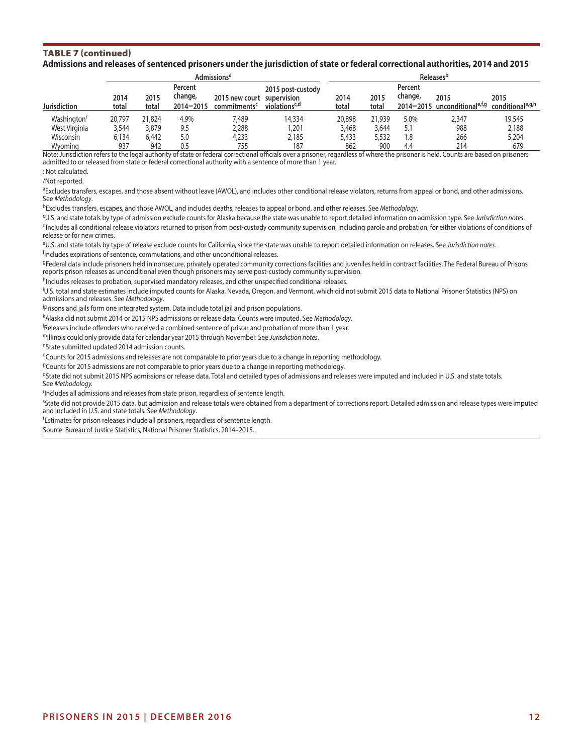#### TABLE 7 (continued) **Admissions and releases of sentenced prisoners under the jurisdiction of state or federal correctional authorities, 2014 and 2015**

|                         |               |               |                                     | <b>Admissions</b> <sup>a</sup>             |                                                               | <b>Releases</b> <sup>b</sup> |               |                    |                                                      |                                        |  |  |
|-------------------------|---------------|---------------|-------------------------------------|--------------------------------------------|---------------------------------------------------------------|------------------------------|---------------|--------------------|------------------------------------------------------|----------------------------------------|--|--|
| <b>Jurisdiction</b>     | 2014<br>total | 2015<br>total | Percent<br>change,<br>$2014 - 2015$ | 2015 new court<br>commitments <sup>c</sup> | 2015 post-custody<br>supervision<br>violations <sup>c,d</sup> | 2014<br>total                | 2015<br>total | Percent<br>change, | 2015<br>$2014 - 2015$ unconditional <sup>e,t,g</sup> | 2015<br>conditional <sup>e, g, h</sup> |  |  |
| Washington <sup>r</sup> | 20.797        | 21,824        | 4.9%                                | 7,489                                      | 14,334                                                        | 20,898                       | 21,939        | 5.0%               | 2,347                                                | 19,545                                 |  |  |
| West Virginia           | 3,544         | 3,879         | 9.5                                 | 2,288                                      | 1,201                                                         | 3,468                        | 3,644         | 5.1                | 988                                                  | 2,188                                  |  |  |
| Wisconsin               | 6.134         | 6,442         | 5.0                                 | 4.233                                      | 2.185                                                         | 5,433                        | 5,532         | 1.8                | 266                                                  | 5,204                                  |  |  |
| Wyoming                 | 937           | 942           |                                     | 755                                        | 187                                                           | 862                          | 900           | 4.4                | 214                                                  | 679                                    |  |  |

Note: Jurisdiction refers to the legal authority of state or federal correctional officials over a prisoner, regardless of where the prisoner is held. Counts are based on prisoners admitted to or released from state or federal correctional authority with a sentence of more than 1 year.

: Not calculated.

/Not reported.

aExcludes transfers, escapes, and those absent without leave (AWOL), and includes other conditional release violators, returns from appeal or bond, and other admissions. See *Methodology*.

bExcludes transfers, escapes, and those AWOL, and includes deaths, releases to appeal or bond, and other releases. See *Methodology*.

<sup>c</sup>U.S. and state totals by type of admission exclude counts for Alaska because the state was unable to report detailed information on admission type. See Jurisdiction notes.<br><sup>d</sup>Includes all conditional release violators r release or for new crimes.

eU.S. and state totals by type of release exclude counts for California, since the state was unable to report detailed information on releases. See *Jurisdiction notes*. <sup>f</sup>Includes expirations of sentence, commutations, and other unconditional releases.

gFederal data include prisoners held in nonsecure, privately operated community corrections facilities and juveniles held in contract facilities. The Federal Bureau of Prisons reports prison releases as unconditional even though prisoners may serve post-custody community supervision.

hIncludes releases to probation, supervised mandatory releases, and other unspecified conditional releases.

i U.S. total and state estimates include imputed counts for Alaska, Nevada, Oregon, and Vermont, which did not submit 2015 data to National Prisoner Statistics (NPS) on admissions and releases. See *Methodology*.

<sup>j</sup>Prisons and jails form one integrated system. Data include total jail and prison populations.

kAlaska did not submit 2014 or 2015 NPS admissions or release data. Counts were imputed. See *Methodology*.

Releases include offenders who received a combined sentence of prison and probation of more than 1 year.

mIllinois could only provide data for calendar year 2015 through November. See *Jurisdiction notes*.

nState submitted updated 2014 admission counts.

oCounts for 2015 admissions and releases are not comparable to prior years due to a change in reporting methodology.

PCounts for 2015 admissions are not comparable to prior years due to a change in reporting methodology.

9State did not submit 2015 NPS admissions or release data. Total and detailed types of admissions and releases were imputed and included in U.S. and state totals. See *Methodology.*

r Includes all admissions and releases from state prison, regardless of sentence length.

<sup>5</sup>State did not provide 2015 data, but admission and release totals were obtained from a department of corrections report. Detailed admission and release types were imputed and included in U.S. and state totals. See *Methodology*.

<sup>t</sup>Estimates for prison releases include all prisoners, regardless of sentence length.

Source: Bureau of Justice Statistics, National Prisoner Statistics, 2014–2015.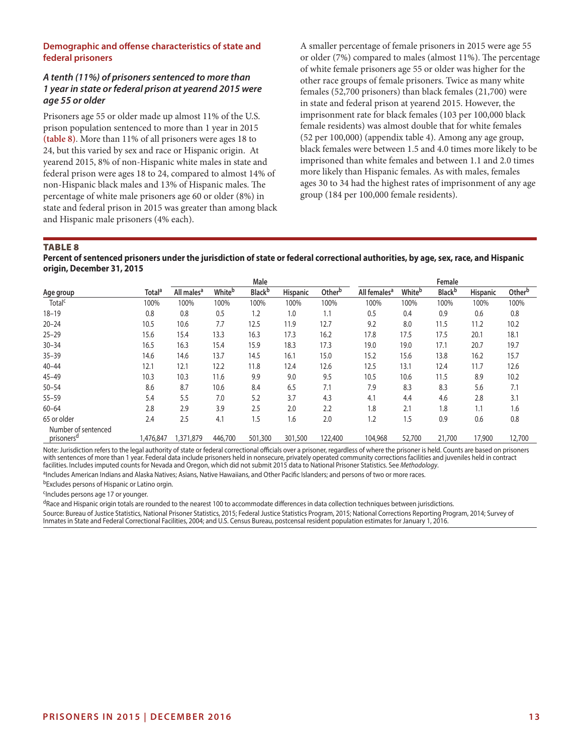# **Demographic and offense characteristics of state and federal prisoners**

# *A tenth (11%) of prisoners sentenced to more than 1 year in state or federal prison at yearend 2015 were age 55 or older*

Prisoners age 55 or older made up almost 11% of the U.S. prison population sentenced to more than 1 year in 2015 **(table 8)**. More than 11% of all prisoners were ages 18 to 24, but this varied by sex and race or Hispanic origin. At yearend 2015, 8% of non-Hispanic white males in state and federal prison were ages 18 to 24, compared to almost 14% of non-Hispanic black males and 13% of Hispanic males. The percentage of white male prisoners age 60 or older (8%) in state and federal prison in 2015 was greater than among black and Hispanic male prisoners (4% each).

A smaller percentage of female prisoners in 2015 were age 55 or older (7%) compared to males (almost 11%). The percentage of white female prisoners age 55 or older was higher for the other race groups of female prisoners. Twice as many white females (52,700 prisoners) than black females (21,700) were in state and federal prison at yearend 2015. However, the imprisonment rate for black females (103 per 100,000 black female residents) was almost double that for white females (52 per 100,000) (appendix table 4). Among any age group, black females were between 1.5 and 4.0 times more likely to be imprisoned than white females and between 1.1 and 2.0 times more likely than Hispanic females. As with males, females ages 30 to 34 had the highest rates of imprisonment of any age group (184 per 100,000 female residents).

#### TABLE 8

**Percent of sentenced prisoners under the jurisdiction of state or federal correctional authorities, by age, sex, race, and Hispanic origin, December 31, 2015**

|                                               |                    |                        |         | Male           |          |                    |                          |        | Female         |                 |        |
|-----------------------------------------------|--------------------|------------------------|---------|----------------|----------|--------------------|--------------------------|--------|----------------|-----------------|--------|
| Age group                                     | Total <sup>a</sup> | All males <sup>a</sup> | Whiteb  | <b>Black</b> b | Hispanic | Other <sup>b</sup> | All females <sup>a</sup> | Whiteb | <b>Black</b> b | <b>Hispanic</b> | Otherb |
| Total <sup>c</sup>                            | 100%               | 100%                   | 100%    | 100%           | 100%     | 100%               | 100%                     | 100%   | 100%           | 100%            | 100%   |
| $18 - 19$                                     | 0.8                | 0.8                    | 0.5     | 1.2            | 1.0      | 1.1                | 0.5                      | 0.4    | 0.9            | 0.6             | 0.8    |
| $20 - 24$                                     | 10.5               | 10.6                   | 7.7     | 12.5           | 11.9     | 12.7               | 9.2                      | 8.0    | 11.5           | 11.2            | 10.2   |
| $25 - 29$                                     | 15.6               | 15.4                   | 13.3    | 16.3           | 17.3     | 16.2               | 17.8                     | 17.5   | 17.5           | 20.1            | 18.1   |
| $30 - 34$                                     | 16.5               | 16.3                   | 15.4    | 15.9           | 18.3     | 17.3               | 19.0                     | 19.0   | 17.1           | 20.7            | 19.7   |
| $35 - 39$                                     | 14.6               | 14.6                   | 13.7    | 14.5           | 16.1     | 15.0               | 15.2                     | 15.6   | 13.8           | 16.2            | 15.7   |
| $40 - 44$                                     | 12.1               | 12.1                   | 12.2    | 11.8           | 12.4     | 12.6               | 12.5                     | 13.1   | 12.4           | 11.7            | 12.6   |
| $45 - 49$                                     | 10.3               | 10.3                   | 11.6    | 9.9            | 9.0      | 9.5                | 10.5                     | 10.6   | 11.5           | 8.9             | 10.2   |
| $50 - 54$                                     | 8.6                | 8.7                    | 10.6    | 8.4            | 6.5      | 7.1                | 7.9                      | 8.3    | 8.3            | 5.6             | 7.1    |
| $55 - 59$                                     | 5.4                | 5.5                    | 7.0     | 5.2            | 3.7      | 4.3                | 4.1                      | 4.4    | 4.6            | 2.8             | 3.1    |
| $60 - 64$                                     | 2.8                | 2.9                    | 3.9     | 2.5            | 2.0      | 2.2                | 1.8                      | 2.1    | 1.8            | 1.1             | 1.6    |
| 65 or older                                   | 2.4                | 2.5                    | 4.1     | 1.5            | 1.6      | 2.0                | 1.2                      | 1.5    | 0.9            | 0.6             | 0.8    |
| Number of sentenced<br>prisoners <sup>a</sup> | 1,476,847          | 1,371,879              | 446,700 | 501,300        | 301,500  | 122,400            | 104,968                  | 52,700 | 21,700         | 17,900          | 12,700 |

Note: Jurisdiction refers to the legal authority of state or federal correctional officials over a prisoner, regardless of where the prisoner is held. Counts are based on prisoners with sentences of more than 1 year. Federal data include prisoners held in nonsecure, privately operated community corrections facilities and juveniles held in contract facilities. Includes imputed counts for Nevada and Oregon, which did not submit 2015 data to National Prisoner Statistics. See *Methodology*.

aIncludes American Indians and Alaska Natives; Asians, Native Hawaiians, and Other Pacific Islanders; and persons of two or more races.

bExcludes persons of Hispanic or Latino orgin.

<sup>c</sup>Includes persons age 17 or younger.

dRace and Hispanic origin totals are rounded to the nearest 100 to accommodate differences in data collection techniques between jurisdictions.

Source: Bureau of Justice Statistics, National Prisoner Statistics, 2015; Federal Justice Statistics Program, 2015; National Corrections Reporting Program, 2014; Survey of Inmates in State and Federal Correctional Facilities, 2004; and U.S. Census Bureau, postcensal resident population estimates for January 1, 2016.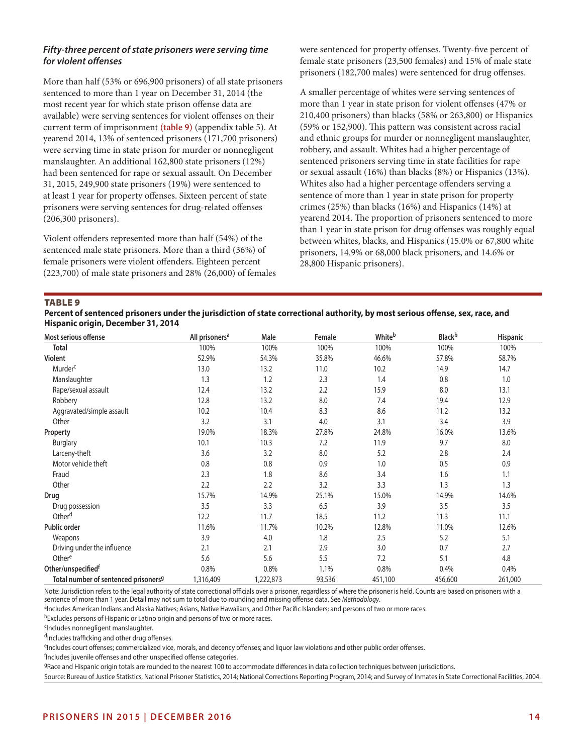# *Fifty-three percent of state prisoners were serving time for violent offenses*

More than half (53% or 696,900 prisoners) of all state prisoners sentenced to more than 1 year on December 31, 2014 (the most recent year for which state prison offense data are available) were serving sentences for violent offenses on their current term of imprisonment **(table 9)** (appendix table 5). At yearend 2014, 13% of sentenced prisoners (171,700 prisoners) were serving time in state prison for murder or nonnegligent manslaughter. An additional 162,800 state prisoners (12%) had been sentenced for rape or sexual assault. On December 31, 2015, 249,900 state prisoners (19%) were sentenced to at least 1 year for property offenses. Sixteen percent of state prisoners were serving sentences for drug-related offenses (206,300 prisoners).

Violent offenders represented more than half (54%) of the sentenced male state prisoners. More than a third (36%) of female prisoners were violent offenders. Eighteen percent (223,700) of male state prisoners and 28% (26,000) of females were sentenced for property offenses. Twenty-five percent of female state prisoners (23,500 females) and 15% of male state prisoners (182,700 males) were sentenced for drug offenses.

A smaller percentage of whites were serving sentences of more than 1 year in state prison for violent offenses (47% or 210,400 prisoners) than blacks (58% or 263,800) or Hispanics (59% or 152,900). This pattern was consistent across racial and ethnic groups for murder or nonnegligent manslaughter, robbery, and assault. Whites had a higher percentage of sentenced prisoners serving time in state facilities for rape or sexual assault (16%) than blacks (8%) or Hispanics (13%). Whites also had a higher percentage offenders serving a sentence of more than 1 year in state prison for property crimes (25%) than blacks (16%) and Hispanics (14%) at yearend 2014. The proportion of prisoners sentenced to more than 1 year in state prison for drug offenses was roughly equal between whites, blacks, and Hispanics (15.0% or 67,800 white prisoners, 14.9% or 68,000 black prisoners, and 14.6% or 28,800 Hispanic prisoners).

TABLE 9

| Percent of sentenced prisoners under the jurisdiction of state correctional authority, by most serious offense, sex, race, and |  |
|--------------------------------------------------------------------------------------------------------------------------------|--|
| Hispanic origin, December 31, 2014                                                                                             |  |

| Most serious offense                             | All prisoners <sup>a</sup> | Male      | Female | Whiteb  | <b>Black</b> b | <b>Hispanic</b> |
|--------------------------------------------------|----------------------------|-----------|--------|---------|----------------|-----------------|
| Total                                            | 100%                       | 100%      | 100%   | 100%    | 100%           | 100%            |
| <b>Violent</b>                                   | 52.9%                      | 54.3%     | 35.8%  | 46.6%   | 57.8%          | 58.7%           |
| Murder <sup>c</sup>                              | 13.0                       | 13.2      | 11.0   | 10.2    | 14.9           | 14.7            |
| Manslaughter                                     | 1.3                        | 1.2       | 2.3    | 1.4     | 0.8            | 1.0             |
| Rape/sexual assault                              | 12.4                       | 13.2      | 2.2    | 15.9    | 8.0            | 13.1            |
| Robbery                                          | 12.8                       | 13.2      | 8.0    | 7.4     | 19.4           | 12.9            |
| Aggravated/simple assault                        | 10.2                       | 10.4      | 8.3    | 8.6     | 11.2           | 13.2            |
| Other                                            | 3.2                        | 3.1       | 4.0    | 3.1     | 3.4            | 3.9             |
| Property                                         | 19.0%                      | 18.3%     | 27.8%  | 24.8%   | 16.0%          | 13.6%           |
| Burglary                                         | 10.1                       | 10.3      | 7.2    | 11.9    | 9.7            | 8.0             |
| Larceny-theft                                    | 3.6                        | 3.2       | 8.0    | 5.2     | 2.8            | 2.4             |
| Motor vehicle theft                              | 0.8                        | 0.8       | 0.9    | 1.0     | 0.5            | 0.9             |
| Fraud                                            | 2.3                        | 1.8       | 8.6    | 3.4     | 1.6            | 1.1             |
| Other                                            | 2.2                        | 2.2       | 3.2    | 3.3     | 1.3            | 1.3             |
| Drug                                             | 15.7%                      | 14.9%     | 25.1%  | 15.0%   | 14.9%          | 14.6%           |
| Drug possession                                  | 3.5                        | 3.3       | 6.5    | 3.9     | 3.5            | 3.5             |
| Other <sup>d</sup>                               | 12.2                       | 11.7      | 18.5   | 11.2    | 11.3           | 11.1            |
| Public order                                     | 11.6%                      | 11.7%     | 10.2%  | 12.8%   | 11.0%          | 12.6%           |
| Weapons                                          | 3.9                        | 4.0       | 1.8    | 2.5     | 5.2            | 5.1             |
| Driving under the influence                      | 2.1                        | 2.1       | 2.9    | 3.0     | 0.7            | 2.7             |
| Othere                                           | 5.6                        | 5.6       | 5.5    | 7.2     | 5.1            | 4.8             |
| Other/unspecifiedf                               | 0.8%                       | 0.8%      | 1.1%   | 0.8%    | 0.4%           | 0.4%            |
| Total number of sentenced prisoners <sup>g</sup> | 1,316,409                  | 1,222,873 | 93,536 | 451,100 | 456,600        | 261,000         |

Note: Jurisdiction refers to the legal authority of state correctional officials over a prisoner, regardless of where the prisoner is held. Counts are based on prisoners with a sentence of more than 1 year. Detail may not sum to total due to rounding and missing offense data. See *Methodology*.

aIncludes American Indians and Alaska Natives; Asians, Native Hawaiians, and Other Pacific Islanders; and persons of two or more races.

bExcludes persons of Hispanic or Latino origin and persons of two or more races.

cIncludes nonnegligent manslaughter.

dIncludes trafficking and other drug offenses.

eIncludes court offenses; commercialized vice, morals, and decency offenses; and liquor law violations and other public order offenses.

<sup>f</sup>Includes juvenile offenses and other unspecified offense categories.

9Race and Hispanic origin totals are rounded to the nearest 100 to accommodate differences in data collection techniques between jurisdictions.

Source: Bureau of Justice Statistics, National Prisoner Statistics, 2014; National Corrections Reporting Program, 2014; and Survey of Inmates in State Correctional Facilities, 2004.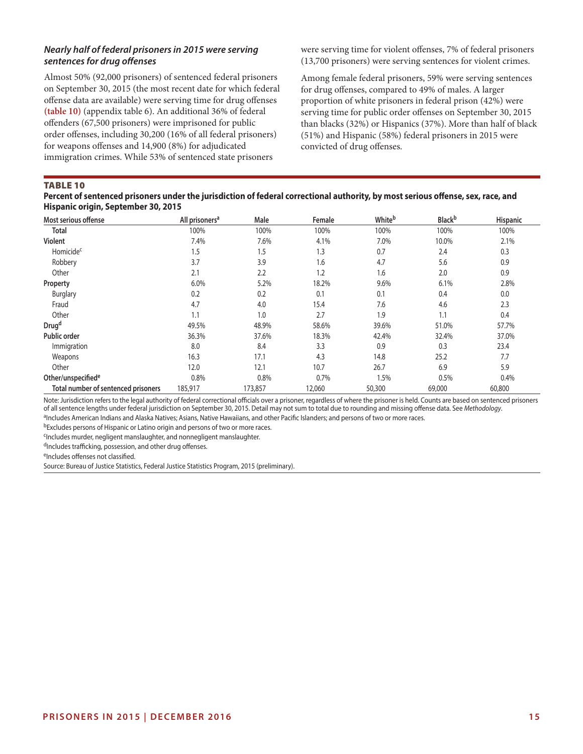# *Nearly half of federal prisoners in 2015 were serving sentences for drug offenses*

Almost 50% (92,000 prisoners) of sentenced federal prisoners on September 30, 2015 (the most recent date for which federal offense data are available) were serving time for drug offenses **(table 10)** (appendix table 6). An additional 36% of federal offenders (67,500 prisoners) were imprisoned for public order offenses, including 30,200 (16% of all federal prisoners) for weapons offenses and 14,900 (8%) for adjudicated immigration crimes. While 53% of sentenced state prisoners

were serving time for violent offenses, 7% of federal prisoners (13,700 prisoners) were serving sentences for violent crimes.

Among female federal prisoners, 59% were serving sentences for drug offenses, compared to 49% of males. A larger proportion of white prisoners in federal prison (42%) were serving time for public order offenses on September 30, 2015 than blacks (32%) or Hispanics (37%). More than half of black (51%) and Hispanic (58%) federal prisoners in 2015 were convicted of drug offenses.

## TABLE 10

# **Percent of sentenced prisoners under the jurisdiction of federal correctional authority, by most serious offense, sex, race, and Hispanic origin, September 30, 2015**

| Most serious offense                | All prisoners <sup>a</sup> | Male    | Female | Whiteb | <b>Black</b> b | <b>Hispanic</b> |
|-------------------------------------|----------------------------|---------|--------|--------|----------------|-----------------|
| <b>Total</b>                        | 100%                       | 100%    | 100%   | 100%   | 100%           | 100%            |
| Violent                             | 7.4%                       | 7.6%    | 4.1%   | 7.0%   | 10.0%          | 2.1%            |
| Homicide <sup>c</sup>               | 1.5                        | 1.5     | 1.3    | 0.7    | 2.4            | 0.3             |
| Robbery                             | 3.7                        | 3.9     | 1.6    | 4.7    | 5.6            | 0.9             |
| Other                               | 2.1                        | 2.2     | 1.2    | 1.6    | 2.0            | 0.9             |
| Property                            | 6.0%                       | 5.2%    | 18.2%  | 9.6%   | 6.1%           | 2.8%            |
| <b>Burglary</b>                     | 0.2                        | 0.2     | 0.1    | 0.1    | 0.4            | 0.0             |
| Fraud                               | 4.7                        | 4.0     | 15.4   | 7.6    | 4.6            | 2.3             |
| Other                               | 1.1                        | 1.0     | 2.7    | 1.9    | 1.1            | 0.4             |
| Drug <sup>d</sup>                   | 49.5%                      | 48.9%   | 58.6%  | 39.6%  | 51.0%          | 57.7%           |
| Public order                        | 36.3%                      | 37.6%   | 18.3%  | 42.4%  | 32.4%          | 37.0%           |
| Immigration                         | 8.0                        | 8.4     | 3.3    | 0.9    | 0.3            | 23.4            |
| Weapons                             | 16.3                       | 17.1    | 4.3    | 14.8   | 25.2           | 7.7             |
| Other                               | 12.0                       | 12.1    | 10.7   | 26.7   | 6.9            | 5.9             |
| Other/unspecified <sup>e</sup>      | 0.8%                       | 0.8%    | 0.7%   | 1.5%   | 0.5%           | 0.4%            |
| Total number of sentenced prisoners | 185,917                    | 173,857 | 12,060 | 50,300 | 69,000         | 60,800          |

Note: Jurisdiction refers to the legal authority of federal correctional officials over a prisoner, regardless of where the prisoner is held. Counts are based on sentenced prisoners of all sentence lengths under federal jurisdiction on September 30, 2015. Detail may not sum to total due to rounding and missing offense data. See *Methodology*. aIncludes American Indians and Alaska Natives; Asians, Native Hawaiians, and other Pacific Islanders; and persons of two or more races.

bExcludes persons of Hispanic or Latino origin and persons of two or more races.

cIncludes murder, negligent manslaughter, and nonnegligent manslaughter.

dIncludes trafficking, possession, and other drug offenses.

eIncludes offenses not classified.

Source: Bureau of Justice Statistics, Federal Justice Statistics Program, 2015 (preliminary).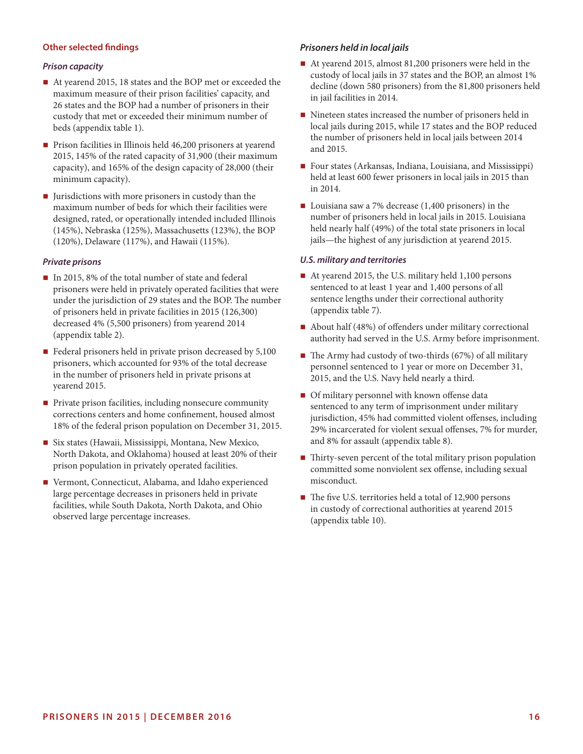# **Other selected findings**

#### *Prison capacity*

- At yearend 2015, 18 states and the BOP met or exceeded the maximum measure of their prison facilities' capacity, and 26 states and the BOP had a number of prisoners in their custody that met or exceeded their minimum number of beds (appendix table 1).
- Prison facilities in Illinois held 46,200 prisoners at yearend 2015, 145% of the rated capacity of 31,900 (their maximum capacity), and 165% of the design capacity of 28,000 (their minimum capacity).
- $\blacksquare$  Jurisdictions with more prisoners in custody than the maximum number of beds for which their facilities were designed, rated, or operationally intended included Illinois (145%), Nebraska (125%), Massachusetts (123%), the BOP (120%), Delaware (117%), and Hawaii (115%).

#### *Private prisons*

- In 2015, 8% of the total number of state and federal prisoners were held in privately operated facilities that were under the jurisdiction of 29 states and the BOP. The number of prisoners held in private facilities in 2015 (126,300) decreased 4% (5,500 prisoners) from yearend 2014 (appendix table 2).
- Federal prisoners held in private prison decreased by  $5,100$ prisoners, which accounted for 93% of the total decrease in the number of prisoners held in private prisons at yearend 2015.
- **Private prison facilities, including nonsecure community** corrections centers and home confinement, housed almost 18% of the federal prison population on December 31, 2015.
- Six states (Hawaii, Mississippi, Montana, New Mexico, North Dakota, and Oklahoma) housed at least 20% of their prison population in privately operated facilities.
- Vermont, Connecticut, Alabama, and Idaho experienced large percentage decreases in prisoners held in private facilities, while South Dakota, North Dakota, and Ohio observed large percentage increases.

#### *Prisoners held in local jails*

- At yearend 2015, almost 81,200 prisoners were held in the custody of local jails in 37 states and the BOP, an almost 1% decline (down 580 prisoners) from the 81,800 prisoners held in jail facilities in 2014.
- Nineteen states increased the number of prisoners held in local jails during 2015, while 17 states and the BOP reduced the number of prisoners held in local jails between 2014 and 2015.
- Four states (Arkansas, Indiana, Louisiana, and Mississippi) held at least 600 fewer prisoners in local jails in 2015 than in 2014.
- Louisiana saw a 7% decrease  $(1,400 \text{ prisoners})$  in the number of prisoners held in local jails in 2015. Louisiana held nearly half (49%) of the total state prisoners in local jails—the highest of any jurisdiction at yearend 2015.

#### *U.S. military and territories*

- At yearend 2015, the U.S. military held 1,100 persons sentenced to at least 1 year and 1,400 persons of all sentence lengths under their correctional authority (appendix table 7).
- About half (48%) of offenders under military correctional authority had served in the U.S. Army before imprisonment.
- $\blacksquare$  The Army had custody of two-thirds (67%) of all military personnel sentenced to 1 year or more on December 31, 2015, and the U.S. Navy held nearly a third.
- **Of military personnel with known offense data** sentenced to any term of imprisonment under military jurisdiction, 45% had committed violent offenses, including 29% incarcerated for violent sexual offenses, 7% for murder, and 8% for assault (appendix table 8).
- $\blacksquare$  Thirty-seven percent of the total military prison population committed some nonviolent sex offense, including sexual misconduct.
- The five U.S. territories held a total of 12,900 persons in custody of correctional authorities at yearend 2015 (appendix table 10).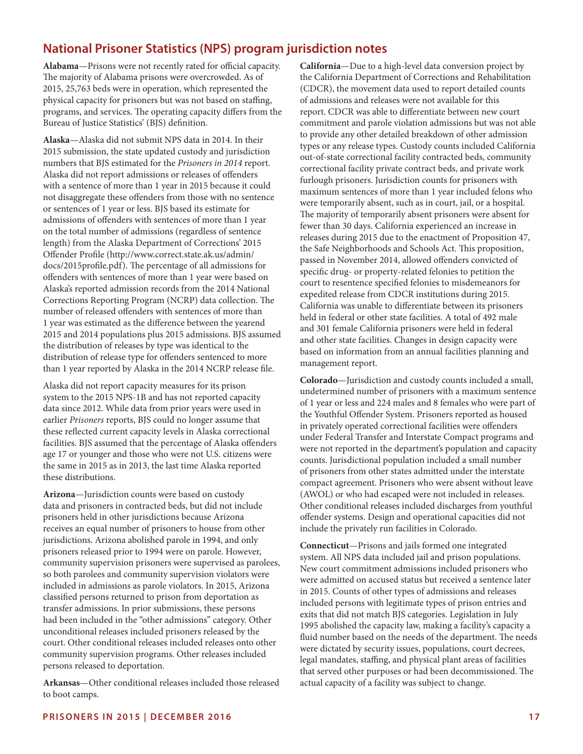# **National Prisoner Statistics (NPS) program jurisdiction notes**

**Alabama**—Prisons were not recently rated for official capacity. The majority of Alabama prisons were overcrowded. As of 2015, 25,763 beds were in operation, which represented the physical capacity for prisoners but was not based on staffing, programs, and services. The operating capacity differs from the Bureau of Justice Statistics' (BJS) definition.

**Alaska**—Alaska did not submit NPS data in 2014. In their 2015 submission, the state updated custody and jurisdiction numbers that BJS estimated for the *Prisoners in 2014* report. Alaska did not report admissions or releases of offenders with a sentence of more than 1 year in 2015 because it could not disaggregate these offenders from those with no sentence or sentences of 1 year or less. BJS based its estimate for admissions of offenders with sentences of more than 1 year on the total number of admissions (regardless of sentence length) from the Alaska Department of Corrections' 2015 Offender Profile (http://www.correct.state.ak.us/admin/ docs/2015profile.pdf). The percentage of all admissions for offenders with sentences of more than 1 year were based on Alaska's reported admission records from the 2014 National Corrections Reporting Program (NCRP) data collection. The number of released offenders with sentences of more than 1 year was estimated as the difference between the yearend 2015 and 2014 populations plus 2015 admissions. BJS assumed the distribution of releases by type was identical to the distribution of release type for offenders sentenced to more than 1 year reported by Alaska in the 2014 NCRP release file.

Alaska did not report capacity measures for its prison system to the 2015 NPS-1B and has not reported capacity data since 2012. While data from prior years were used in earlier *Prisoners* reports, BJS could no longer assume that these reflected current capacity levels in Alaska correctional facilities. BJS assumed that the percentage of Alaska offenders age 17 or younger and those who were not U.S. citizens were the same in 2015 as in 2013, the last time Alaska reported these distributions.

**Arizona**—Jurisdiction counts were based on custody data and prisoners in contracted beds, but did not include prisoners held in other jurisdictions because Arizona receives an equal number of prisoners to house from other jurisdictions. Arizona abolished parole in 1994, and only prisoners released prior to 1994 were on parole. However, community supervision prisoners were supervised as parolees, so both parolees and community supervision violators were included in admissions as parole violators. In 2015, Arizona classified persons returned to prison from deportation as transfer admissions. In prior submissions, these persons had been included in the "other admissions" category. Other unconditional releases included prisoners released by the court. Other conditional releases included releases onto other community supervision programs. Other releases included persons released to deportation.

**Arkansas**—Other conditional releases included those released to boot camps.

**California**—Due to a high-level data conversion project by the California Department of Corrections and Rehabilitation (CDCR), the movement data used to report detailed counts of admissions and releases were not available for this report. CDCR was able to differentiate between new court commitment and parole violation admissions but was not able to provide any other detailed breakdown of other admission types or any release types. Custody counts included California out-of-state correctional facility contracted beds, community correctional facility private contract beds, and private work furlough prisoners. Jurisdiction counts for prisoners with maximum sentences of more than 1 year included felons who were temporarily absent, such as in court, jail, or a hospital. The majority of temporarily absent prisoners were absent for fewer than 30 days. California experienced an increase in releases during 2015 due to the enactment of Proposition 47, the Safe Neighborhoods and Schools Act. This proposition, passed in November 2014, allowed offenders convicted of specific drug- or property-related felonies to petition the court to resentence specified felonies to misdemeanors for expedited release from CDCR institutions during 2015. California was unable to differentiate between its prisoners held in federal or other state facilities. A total of 492 male and 301 female California prisoners were held in federal and other state facilities. Changes in design capacity were based on information from an annual facilities planning and management report.

**Colorado**—Jurisdiction and custody counts included a small, undetermined number of prisoners with a maximum sentence of 1 year or less and 224 males and 8 females who were part of the Youthful Offender System. Prisoners reported as housed in privately operated correctional facilities were offenders under Federal Transfer and Interstate Compact programs and were not reported in the department's population and capacity counts. Jurisdictional population included a small number of prisoners from other states admitted under the interstate compact agreement. Prisoners who were absent without leave (AWOL) or who had escaped were not included in releases. Other conditional releases included discharges from youthful offender systems. Design and operational capacities did not include the privately run facilities in Colorado.

**Connecticut**—Prisons and jails formed one integrated system. All NPS data included jail and prison populations. New court commitment admissions included prisoners who were admitted on accused status but received a sentence later in 2015. Counts of other types of admissions and releases included persons with legitimate types of prison entries and exits that did not match BJS categories. Legislation in July 1995 abolished the capacity law, making a facility's capacity a fluid number based on the needs of the department. The needs were dictated by security issues, populations, court decrees, legal mandates, staffing, and physical plant areas of facilities that served other purposes or had been decommissioned. The actual capacity of a facility was subject to change.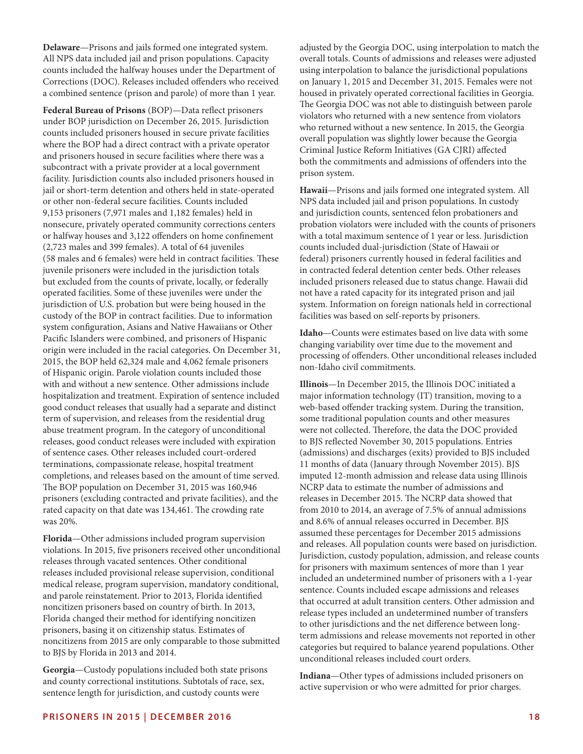**Delaware**—Prisons and jails formed one integrated system. All NPS data included jail and prison populations. Capacity counts included the halfway houses under the Department of Corrections (DOC). Releases included offenders who received a combined sentence (prison and parole) of more than 1 year.

**Federal Bureau of Prisons** (BOP)—Data reflect prisoners under BOP jurisdiction on December 26, 2015. Jurisdiction counts included prisoners housed in secure private facilities where the BOP had a direct contract with a private operator and prisoners housed in secure facilities where there was a subcontract with a private provider at a local government facility. Jurisdiction counts also included prisoners housed in jail or short-term detention and others held in state-operated or other non-federal secure facilities. Counts included 9,153 prisoners (7,971 males and 1,182 females) held in nonsecure, privately operated community corrections centers or halfway houses and 3,122 offenders on home confinement (2,723 males and 399 females). A total of 64 juveniles (58 males and 6 females) were held in contract facilities. These juvenile prisoners were included in the jurisdiction totals but excluded from the counts of private, locally, or federally operated facilities. Some of these juveniles were under the jurisdiction of U.S. probation but were being housed in the custody of the BOP in contract facilities. Due to information system configuration, Asians and Native Hawaiians or Other Pacific Islanders were combined, and prisoners of Hispanic origin were included in the racial categories. On December 31, 2015, the BOP held 62,324 male and 4,062 female prisoners of Hispanic origin. Parole violation counts included those with and without a new sentence. Other admissions include hospitalization and treatment. Expiration of sentence included good conduct releases that usually had a separate and distinct term of supervision, and releases from the residential drug abuse treatment program. In the category of unconditional releases, good conduct releases were included with expiration of sentence cases. Other releases included court-ordered terminations, compassionate release, hospital treatment completions, and releases based on the amount of time served. The BOP population on December 31, 2015 was 160,946 prisoners (excluding contracted and private facilities), and the rated capacity on that date was 134,461. The crowding rate was 20%.

**Florida**—Other admissions included program supervision violations. In 2015, five prisoners received other unconditional releases through vacated sentences. Other conditional releases included provisional release supervision, conditional medical release, program supervision, mandatory conditional, and parole reinstatement. Prior to 2013, Florida identified noncitizen prisoners based on country of birth. In 2013, Florida changed their method for identifying noncitizen prisoners, basing it on citizenship status. Estimates of noncitizens from 2015 are only comparable to those submitted to BJS by Florida in 2013 and 2014.

**Georgia**—Custody populations included both state prisons and county correctional institutions. Subtotals of race, sex, sentence length for jurisdiction, and custody counts were

adjusted by the Georgia DOC, using interpolation to match the overall totals. Counts of admissions and releases were adjusted using interpolation to balance the jurisdictional populations on January 1, 2015 and December 31, 2015. Females were not housed in privately operated correctional facilities in Georgia. The Georgia DOC was not able to distinguish between parole violators who returned with a new sentence from violators who returned without a new sentence. In 2015, the Georgia overall population was slightly lower because the Georgia Criminal Justice Reform Initiatives (GA CJRI) affected both the commitments and admissions of offenders into the prison system.

**Hawaii**—Prisons and jails formed one integrated system. All NPS data included jail and prison populations. In custody and jurisdiction counts, sentenced felon probationers and probation violators were included with the counts of prisoners with a total maximum sentence of 1 year or less. Jurisdiction counts included dual-jurisdiction (State of Hawaii or federal) prisoners currently housed in federal facilities and in contracted federal detention center beds. Other releases included prisoners released due to status change. Hawaii did not have a rated capacity for its integrated prison and jail system. Information on foreign nationals held in correctional facilities was based on self-reports by prisoners.

**Idaho**—Counts were estimates based on live data with some changing variability over time due to the movement and processing of offenders. Other unconditional releases included non-Idaho civil commitments.

**Illinois**—In December 2015, the Illinois DOC initiated a major information technology (IT) transition, moving to a web-based offender tracking system. During the transition, some traditional population counts and other measures were not collected. Therefore, the data the DOC provided to BJS reflected November 30, 2015 populations. Entries (admissions) and discharges (exits) provided to BJS included 11 months of data (January through November 2015). BJS imputed 12-month admission and release data using Illinois NCRP data to estimate the number of admissions and releases in December 2015. The NCRP data showed that from 2010 to 2014, an average of 7.5% of annual admissions and 8.6% of annual releases occurred in December. BJS assumed these percentages for December 2015 admissions and releases. All population counts were based on jurisdiction. Jurisdiction, custody population, admission, and release counts for prisoners with maximum sentences of more than 1 year included an undetermined number of prisoners with a 1-year sentence. Counts included escape admissions and releases that occurred at adult transition centers. Other admission and release types included an undetermined number of transfers to other jurisdictions and the net difference between longterm admissions and release movements not reported in other categories but required to balance yearend populations. Other unconditional releases included court orders.

**Indiana**—Other types of admissions included prisoners on active supervision or who were admitted for prior charges.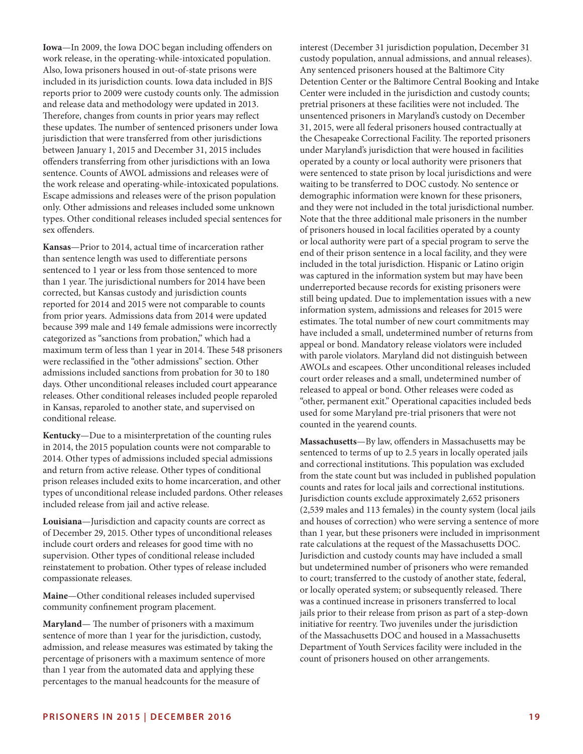**Iowa**—In 2009, the Iowa DOC began including offenders on work release, in the operating-while-intoxicated population. Also, Iowa prisoners housed in out-of-state prisons were included in its jurisdiction counts. Iowa data included in BJS reports prior to 2009 were custody counts only. The admission and release data and methodology were updated in 2013. Therefore, changes from counts in prior years may reflect these updates. The number of sentenced prisoners under Iowa jurisdiction that were transferred from other jurisdictions between January 1, 2015 and December 31, 2015 includes offenders transferring from other jurisdictions with an Iowa sentence. Counts of AWOL admissions and releases were of the work release and operating-while-intoxicated populations. Escape admissions and releases were of the prison population only. Other admissions and releases included some unknown types. Other conditional releases included special sentences for sex offenders.

**Kansas**—Prior to 2014, actual time of incarceration rather than sentence length was used to differentiate persons sentenced to 1 year or less from those sentenced to more than 1 year. The jurisdictional numbers for 2014 have been corrected, but Kansas custody and jurisdiction counts reported for 2014 and 2015 were not comparable to counts from prior years. Admissions data from 2014 were updated because 399 male and 149 female admissions were incorrectly categorized as "sanctions from probation," which had a maximum term of less than 1 year in 2014. These 548 prisoners were reclassified in the "other admissions" section. Other admissions included sanctions from probation for 30 to 180 days. Other unconditional releases included court appearance releases. Other conditional releases included people reparoled in Kansas, reparoled to another state, and supervised on conditional release.

**Kentucky**—Due to a misinterpretation of the counting rules in 2014, the 2015 population counts were not comparable to 2014. Other types of admissions included special admissions and return from active release. Other types of conditional prison releases included exits to home incarceration, and other types of unconditional release included pardons. Other releases included release from jail and active release.

**Louisiana**—Jurisdiction and capacity counts are correct as of December 29, 2015. Other types of unconditional releases include court orders and releases for good time with no supervision. Other types of conditional release included reinstatement to probation. Other types of release included compassionate releases.

**Maine**—Other conditional releases included supervised community confinement program placement.

**Maryland**— The number of prisoners with a maximum sentence of more than 1 year for the jurisdiction, custody, admission, and release measures was estimated by taking the percentage of prisoners with a maximum sentence of more than 1 year from the automated data and applying these percentages to the manual headcounts for the measure of

interest (December 31 jurisdiction population, December 31 custody population, annual admissions, and annual releases). Any sentenced prisoners housed at the Baltimore City Detention Center or the Baltimore Central Booking and Intake Center were included in the jurisdiction and custody counts; pretrial prisoners at these facilities were not included. The unsentenced prisoners in Maryland's custody on December 31, 2015, were all federal prisoners housed contractually at the Chesapeake Correctional Facility. The reported prisoners under Maryland's jurisdiction that were housed in facilities operated by a county or local authority were prisoners that were sentenced to state prison by local jurisdictions and were waiting to be transferred to DOC custody. No sentence or demographic information were known for these prisoners, and they were not included in the total jurisdictional number. Note that the three additional male prisoners in the number of prisoners housed in local facilities operated by a county or local authority were part of a special program to serve the end of their prison sentence in a local facility, and they were included in the total jurisdiction. Hispanic or Latino origin was captured in the information system but may have been underreported because records for existing prisoners were still being updated. Due to implementation issues with a new information system, admissions and releases for 2015 were estimates. The total number of new court commitments may have included a small, undetermined number of returns from appeal or bond. Mandatory release violators were included with parole violators. Maryland did not distinguish between AWOLs and escapees. Other unconditional releases included court order releases and a small, undetermined number of released to appeal or bond. Other releases were coded as "other, permanent exit." Operational capacities included beds used for some Maryland pre-trial prisoners that were not counted in the yearend counts.

**Massachusetts**—By law, offenders in Massachusetts may be sentenced to terms of up to 2.5 years in locally operated jails and correctional institutions. This population was excluded from the state count but was included in published population counts and rates for local jails and correctional institutions. Jurisdiction counts exclude approximately 2,652 prisoners (2,539 males and 113 females) in the county system (local jails and houses of correction) who were serving a sentence of more than 1 year, but these prisoners were included in imprisonment rate calculations at the request of the Massachusetts DOC. Jurisdiction and custody counts may have included a small but undetermined number of prisoners who were remanded to court; transferred to the custody of another state, federal, or locally operated system; or subsequently released. There was a continued increase in prisoners transferred to local jails prior to their release from prison as part of a step-down initiative for reentry. Two juveniles under the jurisdiction of the Massachusetts DOC and housed in a Massachusetts Department of Youth Services facility were included in the count of prisoners housed on other arrangements.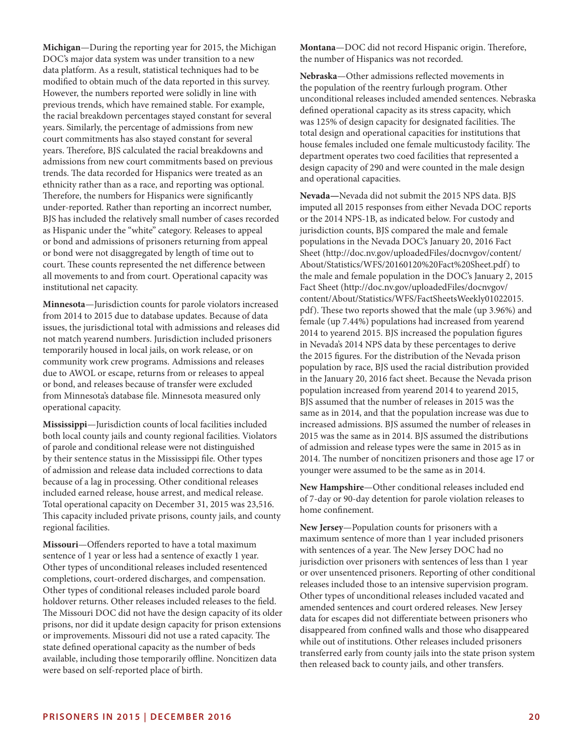**Michigan**—During the reporting year for 2015, the Michigan DOC's major data system was under transition to a new data platform. As a result, statistical techniques had to be modified to obtain much of the data reported in this survey. However, the numbers reported were solidly in line with previous trends, which have remained stable. For example, the racial breakdown percentages stayed constant for several years. Similarly, the percentage of admissions from new court commitments has also stayed constant for several years. Therefore, BJS calculated the racial breakdowns and admissions from new court commitments based on previous trends. The data recorded for Hispanics were treated as an ethnicity rather than as a race, and reporting was optional. Therefore, the numbers for Hispanics were significantly under-reported. Rather than reporting an incorrect number, BJS has included the relatively small number of cases recorded as Hispanic under the "white" category. Releases to appeal or bond and admissions of prisoners returning from appeal or bond were not disaggregated by length of time out to court. These counts represented the net difference between all movements to and from court. Operational capacity was institutional net capacity.

**Minnesota**—Jurisdiction counts for parole violators increased from 2014 to 2015 due to database updates. Because of data issues, the jurisdictional total with admissions and releases did not match yearend numbers. Jurisdiction included prisoners temporarily housed in local jails, on work release, or on community work crew programs. Admissions and releases due to AWOL or escape, returns from or releases to appeal or bond, and releases because of transfer were excluded from Minnesota's database file. Minnesota measured only operational capacity.

**Mississippi**—Jurisdiction counts of local facilities included both local county jails and county regional facilities. Violators of parole and conditional release were not distinguished by their sentence status in the Mississippi file. Other types of admission and release data included corrections to data because of a lag in processing. Other conditional releases included earned release, house arrest, and medical release. Total operational capacity on December 31, 2015 was 23,516. This capacity included private prisons, county jails, and county regional facilities.

**Missouri**—Offenders reported to have a total maximum sentence of 1 year or less had a sentence of exactly 1 year. Other types of unconditional releases included resentenced completions, court-ordered discharges, and compensation. Other types of conditional releases included parole board holdover returns. Other releases included releases to the field. The Missouri DOC did not have the design capacity of its older prisons, nor did it update design capacity for prison extensions or improvements. Missouri did not use a rated capacity. The state defined operational capacity as the number of beds available, including those temporarily offline. Noncitizen data were based on self-reported place of birth.

**Montana**—DOC did not record Hispanic origin. Therefore, the number of Hispanics was not recorded.

**Nebraska**—Other admissions reflected movements in the population of the reentry furlough program. Other unconditional releases included amended sentences. Nebraska defined operational capacity as its stress capacity, which was 125% of design capacity for designated facilities. The total design and operational capacities for institutions that house females included one female multicustody facility. The department operates two coed facilities that represented a design capacity of 290 and were counted in the male design and operational capacities.

**Nevada—**Nevada did not submit the 2015 NPS data. BJS imputed all 2015 responses from either Nevada DOC reports or the 2014 NPS-1B, as indicated below. For custody and jurisdiction counts, BJS compared the male and female populations in the Nevada DOC's January 20, 2016 Fact Sheet (http://doc.nv.gov/uploadedFiles/docnvgov/content/ About/Statistics/WFS/20160120%20Fact%20Sheet.pdf) to the male and female population in the DOC's January 2, 2015 Fact Sheet (http://doc.nv.gov/uploadedFiles/docnvgov/ content/About/Statistics/WFS/FactSheetsWeekly01022015. pdf). These two reports showed that the male (up 3.96%) and female (up 7.44%) populations had increased from yearend 2014 to yearend 2015. BJS increased the population figures in Nevada's 2014 NPS data by these percentages to derive the 2015 figures. For the distribution of the Nevada prison population by race, BJS used the racial distribution provided in the January 20, 2016 fact sheet. Because the Nevada prison population increased from yearend 2014 to yearend 2015, BJS assumed that the number of releases in 2015 was the same as in 2014, and that the population increase was due to increased admissions. BJS assumed the number of releases in 2015 was the same as in 2014. BJS assumed the distributions of admission and release types were the same in 2015 as in 2014. The number of noncitizen prisoners and those age 17 or younger were assumed to be the same as in 2014.

**New Hampshire**—Other conditional releases included end of 7-day or 90-day detention for parole violation releases to home confinement.

**New Jersey**—Population counts for prisoners with a maximum sentence of more than 1 year included prisoners with sentences of a year. The New Jersey DOC had no jurisdiction over prisoners with sentences of less than 1 year or over unsentenced prisoners. Reporting of other conditional releases included those to an intensive supervision program. Other types of unconditional releases included vacated and amended sentences and court ordered releases. New Jersey data for escapes did not differentiate between prisoners who disappeared from confined walls and those who disappeared while out of institutions. Other releases included prisoners transferred early from county jails into the state prison system then released back to county jails, and other transfers.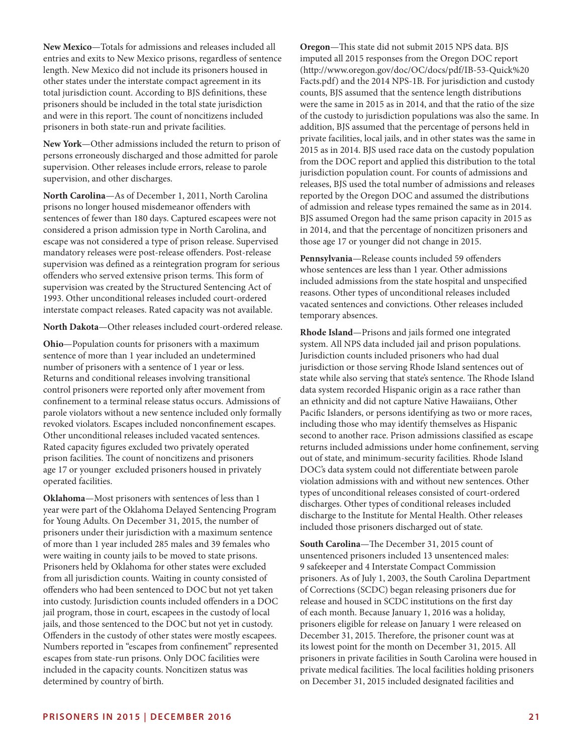**New Mexico**—Totals for admissions and releases included all entries and exits to New Mexico prisons, regardless of sentence length. New Mexico did not include its prisoners housed in other states under the interstate compact agreement in its total jurisdiction count. According to BJS definitions, these prisoners should be included in the total state jurisdiction and were in this report. The count of noncitizens included prisoners in both state-run and private facilities.

**New York**—Other admissions included the return to prison of persons erroneously discharged and those admitted for parole supervision. Other releases include errors, release to parole supervision, and other discharges.

**North Carolina**—As of December 1, 2011, North Carolina prisons no longer housed misdemeanor offenders with sentences of fewer than 180 days. Captured escapees were not considered a prison admission type in North Carolina, and escape was not considered a type of prison release. Supervised mandatory releases were post-release offenders. Post-release supervision was defined as a reintegration program for serious offenders who served extensive prison terms. This form of supervision was created by the Structured Sentencing Act of 1993. Other unconditional releases included court-ordered interstate compact releases. Rated capacity was not available.

**North Dakota**—Other releases included court-ordered release.

**Ohio**—Population counts for prisoners with a maximum sentence of more than 1 year included an undetermined number of prisoners with a sentence of 1 year or less. Returns and conditional releases involving transitional control prisoners were reported only after movement from confinement to a terminal release status occurs. Admissions of parole violators without a new sentence included only formally revoked violators. Escapes included nonconfinement escapes. Other unconditional releases included vacated sentences. Rated capacity figures excluded two privately operated prison facilities. The count of noncitizens and prisoners age 17 or younger excluded prisoners housed in privately operated facilities.

**Oklahoma**—Most prisoners with sentences of less than 1 year were part of the Oklahoma Delayed Sentencing Program for Young Adults. On December 31, 2015, the number of prisoners under their jurisdiction with a maximum sentence of more than 1 year included 285 males and 39 females who were waiting in county jails to be moved to state prisons. Prisoners held by Oklahoma for other states were excluded from all jurisdiction counts. Waiting in county consisted of offenders who had been sentenced to DOC but not yet taken into custody. Jurisdiction counts included offenders in a DOC jail program, those in court, escapees in the custody of local jails, and those sentenced to the DOC but not yet in custody. Offenders in the custody of other states were mostly escapees. Numbers reported in "escapes from confinement" represented escapes from state-run prisons. Only DOC facilities were included in the capacity counts. Noncitizen status was determined by country of birth.

**Oregon**—This state did not submit 2015 NPS data. BJS imputed all 2015 responses from the Oregon DOC report (http://www.oregon.gov/doc/OC/docs/pdf/IB-53-Quick%20 Facts.pdf) and the 2014 NPS-1B. For jurisdiction and custody counts, BJS assumed that the sentence length distributions were the same in 2015 as in 2014, and that the ratio of the size of the custody to jurisdiction populations was also the same. In addition, BJS assumed that the percentage of persons held in private facilities, local jails, and in other states was the same in 2015 as in 2014. BJS used race data on the custody population from the DOC report and applied this distribution to the total jurisdiction population count. For counts of admissions and releases, BJS used the total number of admissions and releases reported by the Oregon DOC and assumed the distributions of admission and release types remained the same as in 2014. BJS assumed Oregon had the same prison capacity in 2015 as in 2014, and that the percentage of noncitizen prisoners and those age 17 or younger did not change in 2015.

**Pennsylvania**—Release counts included 59 offenders whose sentences are less than 1 year. Other admissions included admissions from the state hospital and unspecified reasons. Other types of unconditional releases included vacated sentences and convictions. Other releases included temporary absences.

**Rhode Island**—Prisons and jails formed one integrated system. All NPS data included jail and prison populations. Jurisdiction counts included prisoners who had dual jurisdiction or those serving Rhode Island sentences out of state while also serving that state's sentence. The Rhode Island data system recorded Hispanic origin as a race rather than an ethnicity and did not capture Native Hawaiians, Other Pacific Islanders, or persons identifying as two or more races, including those who may identify themselves as Hispanic second to another race. Prison admissions classified as escape returns included admissions under home confinement, serving out of state, and minimum-security facilities. Rhode Island DOC's data system could not differentiate between parole violation admissions with and without new sentences. Other types of unconditional releases consisted of court-ordered discharges. Other types of conditional releases included discharge to the Institute for Mental Health. Other releases included those prisoners discharged out of state.

**South Carolina**—The December 31, 2015 count of unsentenced prisoners included 13 unsentenced males: 9 safekeeper and 4 Interstate Compact Commission prisoners. As of July 1, 2003, the South Carolina Department of Corrections (SCDC) began releasing prisoners due for release and housed in SCDC institutions on the first day of each month. Because January 1, 2016 was a holiday, prisoners eligible for release on January 1 were released on December 31, 2015. Therefore, the prisoner count was at its lowest point for the month on December 31, 2015. All prisoners in private facilities in South Carolina were housed in private medical facilities. The local facilities holding prisoners on December 31, 2015 included designated facilities and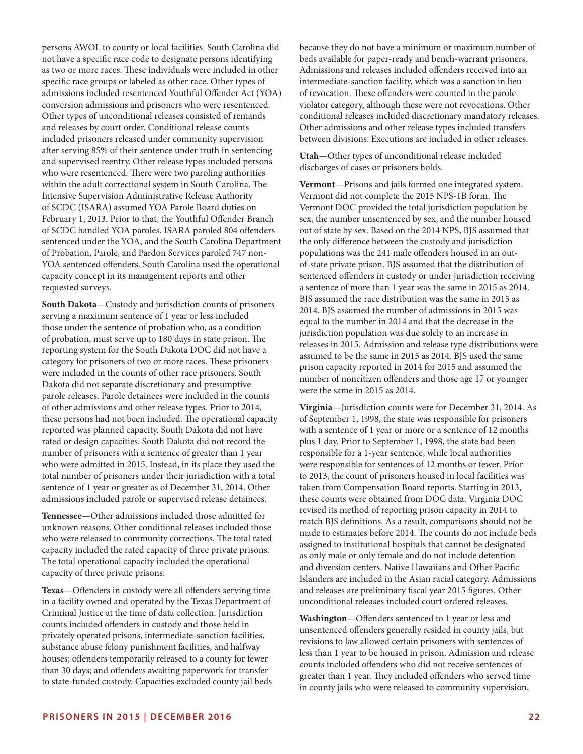persons AWOL to county or local facilities. South Carolina did not have a specific race code to designate persons identifying as two or more races. These individuals were included in other specific race groups or labeled as other race. Other types of admissions included resentenced Youthful Offender Act (YOA) conversion admissions and prisoners who were resentenced. Other types of unconditional releases consisted of remands and releases by court order. Conditional release counts included prisoners released under community supervision after serving 85% of their sentence under truth in sentencing and supervised reentry. Other release types included persons who were resentenced. There were two paroling authorities within the adult correctional system in South Carolina. The Intensive Supervision Administrative Release Authority of SCDC (ISARA) assumed YOA Parole Board duties on February 1, 2013. Prior to that, the Youthful Offender Branch of SCDC handled YOA paroles. ISARA paroled 804 offenders sentenced under the YOA, and the South Carolina Department of Probation, Parole, and Pardon Services paroled 747 non-YOA sentenced offenders. South Carolina used the operational capacity concept in its management reports and other requested surveys.

**South Dakota**—Custody and jurisdiction counts of prisoners serving a maximum sentence of 1 year or less included those under the sentence of probation who, as a condition of probation, must serve up to 180 days in state prison. The reporting system for the South Dakota DOC did not have a category for prisoners of two or more races. These prisoners were included in the counts of other race prisoners. South Dakota did not separate discretionary and presumptive parole releases. Parole detainees were included in the counts of other admissions and other release types. Prior to 2014, these persons had not been included. The operational capacity reported was planned capacity. South Dakota did not have rated or design capacities. South Dakota did not record the number of prisoners with a sentence of greater than 1 year who were admitted in 2015. Instead, in its place they used the total number of prisoners under their jurisdiction with a total sentence of 1 year or greater as of December 31, 2014. Other admissions included parole or supervised release detainees.

**Tennessee**—Other admissions included those admitted for unknown reasons. Other conditional releases included those who were released to community corrections. The total rated capacity included the rated capacity of three private prisons. The total operational capacity included the operational capacity of three private prisons.

**Texas**—Offenders in custody were all offenders serving time in a facility owned and operated by the Texas Department of Criminal Justice at the time of data collection. Jurisdiction counts included offenders in custody and those held in privately operated prisons, intermediate-sanction facilities, substance abuse felony punishment facilities, and halfway houses; offenders temporarily released to a county for fewer than 30 days; and offenders awaiting paperwork for transfer to state-funded custody. Capacities excluded county jail beds because they do not have a minimum or maximum number of beds available for paper-ready and bench-warrant prisoners. Admissions and releases included offenders received into an intermediate-sanction facility, which was a sanction in lieu of revocation. These offenders were counted in the parole violator category, although these were not revocations. Other conditional releases included discretionary mandatory releases. Other admissions and other release types included transfers between divisions. Executions are included in other releases.

**Utah**—Other types of unconditional release included discharges of cases or prisoners holds.

**Vermont**—Prisons and jails formed one integrated system. Vermont did not complete the 2015 NPS-1B form. The Vermont DOC provided the total jurisdiction population by sex, the number unsentenced by sex, and the number housed out of state by sex. Based on the 2014 NPS, BJS assumed that the only difference between the custody and jurisdiction populations was the 241 male offenders housed in an outof-state private prison. BJS assumed that the distribution of sentenced offenders in custody or under jurisdiction receiving a sentence of more than 1 year was the same in 2015 as 2014. BJS assumed the race distribution was the same in 2015 as 2014. BJS assumed the number of admissions in 2015 was equal to the number in 2014 and that the decrease in the jurisdiction population was due solely to an increase in releases in 2015. Admission and release type distributions were assumed to be the same in 2015 as 2014. BJS used the same prison capacity reported in 2014 for 2015 and assumed the number of noncitizen offenders and those age 17 or younger were the same in 2015 as 2014.

**Virginia**—Jurisdiction counts were for December 31, 2014. As of September 1, 1998, the state was responsible for prisoners with a sentence of 1 year or more or a sentence of 12 months plus 1 day. Prior to September 1, 1998, the state had been responsible for a 1-year sentence, while local authorities were responsible for sentences of 12 months or fewer. Prior to 2013, the count of prisoners housed in local facilities was taken from Compensation Board reports. Starting in 2013, these counts were obtained from DOC data. Virginia DOC revised its method of reporting prison capacity in 2014 to match BJS definitions. As a result, comparisons should not be made to estimates before 2014. The counts do not include beds assigned to institutional hospitals that cannot be designated as only male or only female and do not include detention and diversion centers. Native Hawaiians and Other Pacific Islanders are included in the Asian racial category. Admissions and releases are preliminary fiscal year 2015 figures. Other unconditional releases included court ordered releases.

**Washington**—Offenders sentenced to 1 year or less and unsentenced offenders generally resided in county jails, but revisions to law allowed certain prisoners with sentences of less than 1 year to be housed in prison. Admission and release counts included offenders who did not receive sentences of greater than 1 year. They included offenders who served time in county jails who were released to community supervision,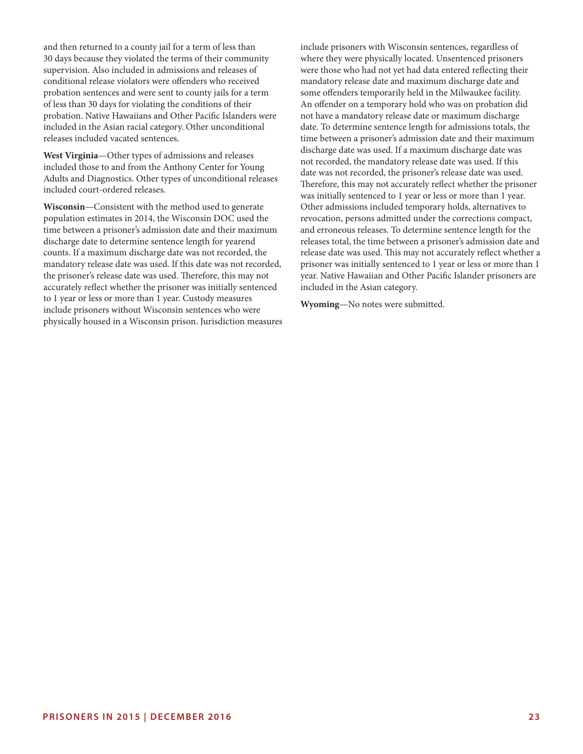and then returned to a county jail for a term of less than 30 days because they violated the terms of their community supervision. Also included in admissions and releases of conditional release violators were offenders who received probation sentences and were sent to county jails for a term of less than 30 days for violating the conditions of their probation. Native Hawaiians and Other Pacific Islanders were included in the Asian racial category. Other unconditional releases included vacated sentences.

**West Virginia**—Other types of admissions and releases included those to and from the Anthony Center for Young Adults and Diagnostics. Other types of unconditional releases included court-ordered releases.

**Wisconsin**—Consistent with the method used to generate population estimates in 2014, the Wisconsin DOC used the time between a prisoner's admission date and their maximum discharge date to determine sentence length for yearend counts. If a maximum discharge date was not recorded, the mandatory release date was used. If this date was not recorded, the prisoner's release date was used. Therefore, this may not accurately reflect whether the prisoner was initially sentenced to 1 year or less or more than 1 year. Custody measures include prisoners without Wisconsin sentences who were physically housed in a Wisconsin prison. Jurisdiction measures include prisoners with Wisconsin sentences, regardless of where they were physically located. Unsentenced prisoners were those who had not yet had data entered reflecting their mandatory release date and maximum discharge date and some offenders temporarily held in the Milwaukee facility. An offender on a temporary hold who was on probation did not have a mandatory release date or maximum discharge date. To determine sentence length for admissions totals, the time between a prisoner's admission date and their maximum discharge date was used. If a maximum discharge date was not recorded, the mandatory release date was used. If this date was not recorded, the prisoner's release date was used. Therefore, this may not accurately reflect whether the prisoner was initially sentenced to 1 year or less or more than 1 year. Other admissions included temporary holds, alternatives to revocation, persons admitted under the corrections compact, and erroneous releases. To determine sentence length for the releases total, the time between a prisoner's admission date and release date was used. This may not accurately reflect whether a prisoner was initially sentenced to 1 year or less or more than 1 year. Native Hawaiian and Other Pacific Islander prisoners are included in the Asian category.

**Wyoming**—No notes were submitted.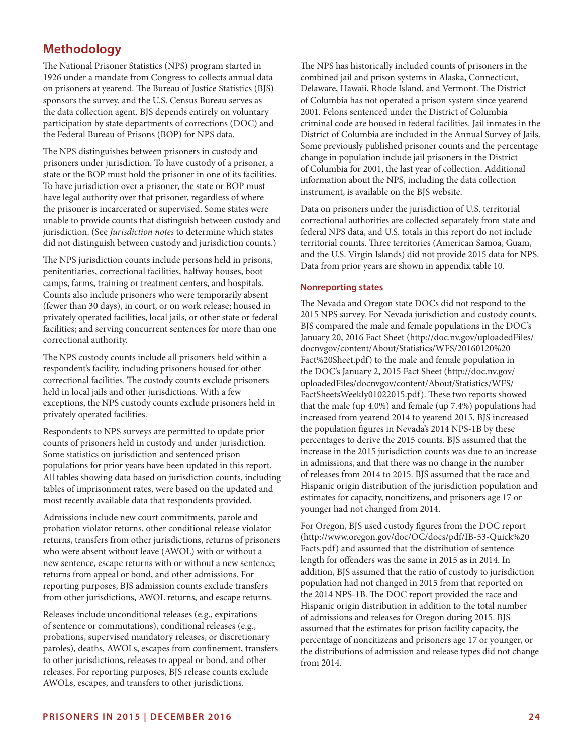# **Methodology**

The National Prisoner Statistics (NPS) program started in 1926 under a mandate from Congress to collects annual data on prisoners at yearend. The Bureau of Justice Statistics (BJS) sponsors the survey, and the U.S. Census Bureau serves as the data collection agent. BJS depends entirely on voluntary participation by state departments of corrections (DOC) and the Federal Bureau of Prisons (BOP) for NPS data.

The NPS distinguishes between prisoners in custody and prisoners under jurisdiction. To have custody of a prisoner, a state or the BOP must hold the prisoner in one of its facilities. To have jurisdiction over a prisoner, the state or BOP must have legal authority over that prisoner, regardless of where the prisoner is incarcerated or supervised. Some states were unable to provide counts that distinguish between custody and jurisdiction. (See *Jurisdiction notes* to determine which states did not distinguish between custody and jurisdiction counts.)

The NPS jurisdiction counts include persons held in prisons, penitentiaries, correctional facilities, halfway houses, boot camps, farms, training or treatment centers, and hospitals. Counts also include prisoners who were temporarily absent (fewer than 30 days), in court, or on work release; housed in privately operated facilities, local jails, or other state or federal facilities; and serving concurrent sentences for more than one correctional authority.

The NPS custody counts include all prisoners held within a respondent's facility, including prisoners housed for other correctional facilities. The custody counts exclude prisoners held in local jails and other jurisdictions. With a few exceptions, the NPS custody counts exclude prisoners held in privately operated facilities.

Respondents to NPS surveys are permitted to update prior counts of prisoners held in custody and under jurisdiction. Some statistics on jurisdiction and sentenced prison populations for prior years have been updated in this report. All tables showing data based on jurisdiction counts, including tables of imprisonment rates, were based on the updated and most recently available data that respondents provided.

Admissions include new court commitments, parole and probation violator returns, other conditional release violator returns, transfers from other jurisdictions, returns of prisoners who were absent without leave (AWOL) with or without a new sentence, escape returns with or without a new sentence; returns from appeal or bond, and other admissions. For reporting purposes, BJS admission counts exclude transfers from other jurisdictions, AWOL returns, and escape returns.

Releases include unconditional releases (e.g., expirations of sentence or commutations), conditional releases (e.g., probations, supervised mandatory releases, or discretionary paroles), deaths, AWOLs, escapes from confinement, transfers to other jurisdictions, releases to appeal or bond, and other releases. For reporting purposes, BJS release counts exclude AWOLs, escapes, and transfers to other jurisdictions.

The NPS has historically included counts of prisoners in the combined jail and prison systems in Alaska, Connecticut, Delaware, Hawaii, Rhode Island, and Vermont. The District of Columbia has not operated a prison system since yearend 2001. Felons sentenced under the District of Columbia criminal code are housed in federal facilities. Jail inmates in the District of Columbia are included in the Annual Survey of Jails. Some previously published prisoner counts and the percentage change in population include jail prisoners in the District of Columbia for 2001, the last year of collection. Additional information about the NPS, including the data collection instrument, is available on the BJS website.

Data on prisoners under the jurisdiction of U.S. territorial correctional authorities are collected separately from state and federal NPS data, and U.S. totals in this report do not include territorial counts. Three territories (American Samoa, Guam, and the U.S. Virgin Islands) did not provide 2015 data for NPS. Data from prior years are shown in appendix table 10.

#### **Nonreporting states**

The Nevada and Oregon state DOCs did not respond to the 2015 NPS survey. For Nevada jurisdiction and custody counts, BJS compared the male and female populations in the DOC's January 20, 2016 Fact Sheet (http://doc.nv.gov/uploadedFiles/ docnvgov/content/About/Statistics/WFS/20160120%20 Fact%20Sheet.pdf) to the male and female population in the DOC's January 2, 2015 Fact Sheet (http://doc.nv.gov/ uploadedFiles/docnvgov/content/About/Statistics/WFS/ FactSheetsWeekly01022015.pdf). These two reports showed that the male (up 4.0%) and female (up 7.4%) populations had increased from yearend 2014 to yearend 2015. BJS increased the population figures in Nevada's 2014 NPS-1B by these percentages to derive the 2015 counts. BJS assumed that the increase in the 2015 jurisdiction counts was due to an increase in admissions, and that there was no change in the number of releases from 2014 to 2015. BJS assumed that the race and Hispanic origin distribution of the jurisdiction population and estimates for capacity, noncitizens, and prisoners age 17 or younger had not changed from 2014.

For Oregon, BJS used custody figures from the DOC report (http://www.oregon.gov/doc/OC/docs/pdf/IB-53-Quick%20 Facts.pdf) and assumed that the distribution of sentence length for offenders was the same in 2015 as in 2014. In addition, BJS assumed that the ratio of custody to jurisdiction population had not changed in 2015 from that reported on the 2014 NPS-1B. The DOC report provided the race and Hispanic origin distribution in addition to the total number of admissions and releases for Oregon during 2015. BJS assumed that the estimates for prison facility capacity, the percentage of noncitizens and prisoners age 17 or younger, or the distributions of admission and release types did not change from 2014.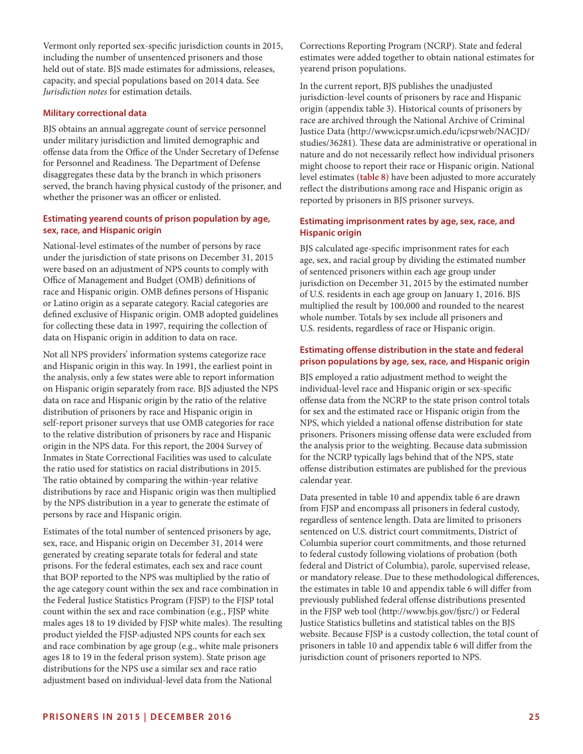Vermont only reported sex-specific jurisdiction counts in 2015, including the number of unsentenced prisoners and those held out of state. BJS made estimates for admissions, releases, capacity, and special populations based on 2014 data. See *Jurisdiction notes* for estimation details.

#### **Military correctional data**

BJS obtains an annual aggregate count of service personnel under military jurisdiction and limited demographic and offense data from the Office of the Under Secretary of Defense for Personnel and Readiness. The Department of Defense disaggregates these data by the branch in which prisoners served, the branch having physical custody of the prisoner, and whether the prisoner was an officer or enlisted.

# **Estimating yearend counts of prison population by age, sex, race, and Hispanic origin**

National-level estimates of the number of persons by race under the jurisdiction of state prisons on December 31, 2015 were based on an adjustment of NPS counts to comply with Office of Management and Budget (OMB) definitions of race and Hispanic origin. OMB defines persons of Hispanic or Latino origin as a separate category. Racial categories are defined exclusive of Hispanic origin. OMB adopted guidelines for collecting these data in 1997, requiring the collection of data on Hispanic origin in addition to data on race.

Not all NPS providers' information systems categorize race and Hispanic origin in this way. In 1991, the earliest point in the analysis, only a few states were able to report information on Hispanic origin separately from race. BJS adjusted the NPS data on race and Hispanic origin by the ratio of the relative distribution of prisoners by race and Hispanic origin in self-report prisoner surveys that use OMB categories for race to the relative distribution of prisoners by race and Hispanic origin in the NPS data. For this report, the 2004 Survey of Inmates in State Correctional Facilities was used to calculate the ratio used for statistics on racial distributions in 2015. The ratio obtained by comparing the within-year relative distributions by race and Hispanic origin was then multiplied by the NPS distribution in a year to generate the estimate of persons by race and Hispanic origin.

Estimates of the total number of sentenced prisoners by age, sex, race, and Hispanic origin on December 31, 2014 were generated by creating separate totals for federal and state prisons. For the federal estimates, each sex and race count that BOP reported to the NPS was multiplied by the ratio of the age category count within the sex and race combination in the Federal Justice Statistics Program (FJSP) to the FJSP total count within the sex and race combination (e.g., FJSP white males ages 18 to 19 divided by FJSP white males). The resulting product yielded the FJSP-adjusted NPS counts for each sex and race combination by age group (e.g., white male prisoners ages 18 to 19 in the federal prison system). State prison age distributions for the NPS use a similar sex and race ratio adjustment based on individual-level data from the National

Corrections Reporting Program (NCRP). State and federal estimates were added together to obtain national estimates for yearend prison populations.

In the current report, BJS publishes the unadjusted jurisdiction-level counts of prisoners by race and Hispanic origin (appendix table 3). Historical counts of prisoners by race are archived through the National Archive of Criminal Justice Data (http://www.icpsr.umich.edu/icpsrweb/NACJD/ studies/36281). These data are administrative or operational in nature and do not necessarily reflect how individual prisoners might choose to report their race or Hispanic origin. National level estimates **(table 8)** have been adjusted to more accurately reflect the distributions among race and Hispanic origin as reported by prisoners in BJS prisoner surveys.

# **Estimating imprisonment rates by age, sex, race, and Hispanic origin**

BJS calculated age-specific imprisonment rates for each age, sex, and racial group by dividing the estimated number of sentenced prisoners within each age group under jurisdiction on December 31, 2015 by the estimated number of U.S. residents in each age group on January 1, 2016. BJS multiplied the result by 100,000 and rounded to the nearest whole number. Totals by sex include all prisoners and U.S. residents, regardless of race or Hispanic origin.

# **Estimating offense distribution in the state and federal prison populations by age, sex, race, and Hispanic origin**

BJS employed a ratio adjustment method to weight the individual-level race and Hispanic origin or sex-specific offense data from the NCRP to the state prison control totals for sex and the estimated race or Hispanic origin from the NPS, which yielded a national offense distribution for state prisoners. Prisoners missing offense data were excluded from the analysis prior to the weighting. Because data submission for the NCRP typically lags behind that of the NPS, state offense distribution estimates are published for the previous calendar year.

Data presented in table 10 and appendix table 6 are drawn from FJSP and encompass all prisoners in federal custody, regardless of sentence length. Data are limited to prisoners sentenced on U.S. district court commitments, District of Columbia superior court commitments, and those returned to federal custody following violations of probation (both federal and District of Columbia), parole, supervised release, or mandatory release. Due to these methodological differences, the estimates in table 10 and appendix table 6 will differ from previously published federal offense distributions presented in the FJSP web tool (http://www.bjs.gov/fjsrc/) or Federal Justice Statistics bulletins and statistical tables on the BJS website. Because FJSP is a custody collection, the total count of prisoners in table 10 and appendix table 6 will differ from the jurisdiction count of prisoners reported to NPS.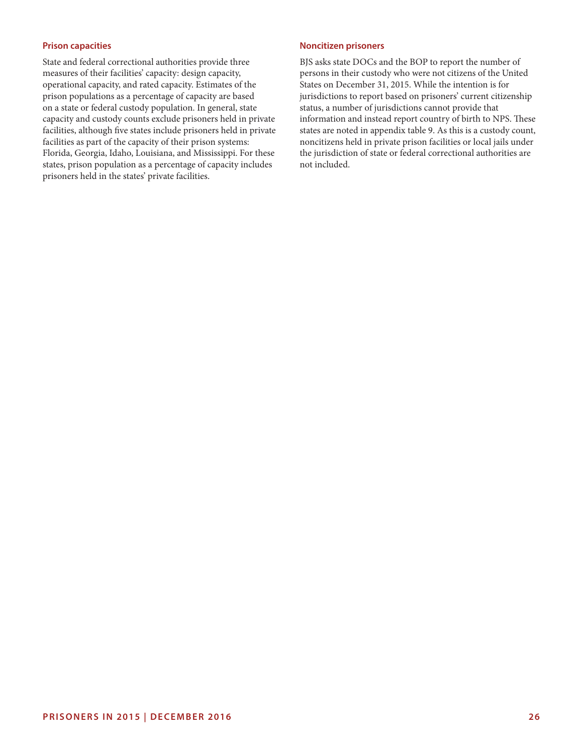# **Prison capacities**

State and federal correctional authorities provide three measures of their facilities' capacity: design capacity, operational capacity, and rated capacity. Estimates of the prison populations as a percentage of capacity are based on a state or federal custody population. In general, state capacity and custody counts exclude prisoners held in private facilities, although five states include prisoners held in private facilities as part of the capacity of their prison systems: Florida, Georgia, Idaho, Louisiana, and Mississippi. For these states, prison population as a percentage of capacity includes prisoners held in the states' private facilities.

#### **Noncitizen prisoners**

BJS asks state DOCs and the BOP to report the number of persons in their custody who were not citizens of the United States on December 31, 2015. While the intention is for jurisdictions to report based on prisoners' current citizenship status, a number of jurisdictions cannot provide that information and instead report country of birth to NPS. These states are noted in appendix table 9. As this is a custody count, noncitizens held in private prison facilities or local jails under the jurisdiction of state or federal correctional authorities are not included.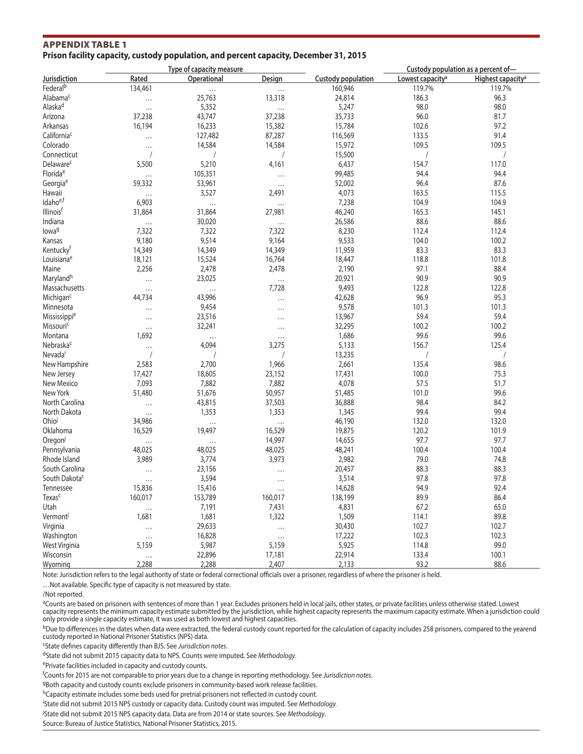# APPENDIX TABLE 1 **Prison facility capacity, custody population, and percent capacity, December 31, 2015**

|                           |                    | Type of capacity measure |                      |                           |                              | Custody population as a percent of- |
|---------------------------|--------------------|--------------------------|----------------------|---------------------------|------------------------------|-------------------------------------|
| Jurisdiction              | Rated              | Operational              | Design               | <b>Custody population</b> | Lowest capacity <sup>a</sup> | Highest capacity <sup>a</sup>       |
| Federal <sup>b</sup>      | 134,461            | $\cdots$                 | $\ldots$             | 160,946                   | 119.7%                       | 119.7%                              |
| Alabama <sup>c</sup>      | $\cdots$           | 25,763                   | 13,318               | 24,814                    | 186.3                        | 96.3                                |
| Alaska <sup>d</sup>       | $\cdots$           | 5,352                    | $\cdots$             | 5,247                     | 98.0                         | 98.0                                |
| Arizona                   | 37,238             | 43,747                   | 37,238               | 35,733                    | 96.0                         | 81.7                                |
| Arkansas                  | 16,194             | 16,233                   | 15,382               | 15,784                    | 102.6                        | 97.2                                |
| California <sup>c</sup>   | $\cdots$           | 127,482                  | 87,287               | 116,569                   | 133.5                        | 91.4                                |
| Colorado                  | $\cdots$           | 14,584                   | 14,584               | 15,972                    | 109.5                        | 109.5                               |
| Connecticut               | $\sqrt{2}$         |                          | $\sqrt{2}$           | 15,500                    | $\sqrt{2}$                   | $\sqrt{2}$                          |
| Delaware <sup>c</sup>     | 5,500              | 5,210                    | 4,161                | 6,437                     | 154.7                        | 117.0                               |
| Florida <sup>e</sup>      | $\cdots$           | 105,351                  | $\cdots$             | 99,485                    | 94.4                         | 94.4                                |
| Georgia <sup>e</sup>      | 59,332             | 53,961                   |                      | 52,002                    | 96.4                         | 87.6                                |
| Hawaii                    |                    | 3,527                    | $\cdots$<br>2,491    | 4,073                     | 163.5                        | 115.5                               |
| Idahoe,f                  | $\cdots$<br>6,903  |                          |                      | 7,238                     | 104.9                        | 104.9                               |
| Illinoisf                 | 31,864             | $\ldots$<br>31,864       | $\cdots$<br>27,981   | 46,240                    | 165.3                        | 145.1                               |
| Indiana                   |                    |                          |                      |                           |                              |                                     |
|                           | $\cdots$           | 30,020                   | $\cdots$             | 26,586                    | 88.6                         | 88.6                                |
| lowa <sup>g</sup>         | 7,322              | 7,322                    | 7,322                | 8,230                     | 112.4                        | 112.4                               |
| Kansas                    | 9,180              | 9,514                    | 9,164                | 9,533                     | 104.0                        | 100.2                               |
| Kentucky <sup>t</sup>     | 14,349             | 14,349                   | 14,349               | 11,959                    | 83.3                         | 83.3                                |
| Louisianae                | 18,121             | 15,524                   | 16,764               | 18,447                    | 118.8                        | 101.8                               |
| Maine                     | 2,256              | 2,478                    | 2,478                | 2,190                     | 97.1                         | 88.4                                |
| Marylandh                 | $\cdots$           | 23,025                   | $\cdots$             | 20,921                    | 90.9                         | 90.9                                |
| Massachusetts             | $\cdots$           | $\cdots$                 | 7,728                | 9,493                     | 122.8                        | 122.8                               |
| Michigan <sup>c</sup>     | 44,734             | 43,996                   | $\cdots$             | 42,628                    | 96.9                         | 95.3                                |
| Minnesota                 | $\cdots$           | 9,454                    | $\cdots$             | 9,578                     | 101.3                        | 101.3                               |
| Mississippie              | $\cdots$           | 23,516                   | $\cdots$             | 13,967                    | 59.4                         | 59.4                                |
| Missouric                 | $\cdots$           | 32,241                   | $\cdots$             | 32,295                    | 100.2                        | 100.2                               |
| Montana                   | 1,692              | $\cdots$                 | $\cdots$             | 1,686                     | 99.6                         | 99.6                                |
| Nebraska <sup>c</sup>     | $\cdots$           | 4,094                    | 3,275                | 5,133                     | 156.7                        | 125.4                               |
| Nevada <sup>i</sup>       | $\overline{1}$     |                          | $\sqrt{2}$           | 13,235                    |                              | $\sqrt{2}$                          |
| New Hampshire             | 2,583              | 2,700                    | 1,966                | 2,661                     | 135.4                        | 98.6                                |
| New Jersey                | 17,427             | 18,605                   | 23,152               | 17,431                    | 100.0                        | 75.3                                |
| New Mexico                | 7,093              | 7,882                    | 7,882                | 4,078                     | 57.5                         | 51.7                                |
| New York                  | 51,480             | 51,676                   | 50,957               | 51,485                    | 101.0                        | 99.6                                |
| North Carolina            | $\cdots$           | 43,815                   | 37,503               | 36,888                    | 98.4                         | 84.2                                |
| North Dakota              | $\cdots$           | 1,353                    | 1,353                | 1,345                     | 99.4                         | 99.4                                |
| Ohio                      | 34,986             | $\cdots$                 | $\cdots$             | 46,190                    | 132.0                        | 132.0                               |
| Oklahoma                  | 16,529             | 19,497                   | 16,529               | 19,875                    | 120.2                        | 101.9                               |
| Oregon                    |                    |                          | 14,997               | 14,655                    | 97.7                         | 97.7                                |
| Pennsylvania              | $\cdots$<br>48,025 | $\cdots$<br>48,025       | 48,025               | 48,241                    | 100.4                        | 100.4                               |
| Rhode Island              | 3,989              | 3,774                    | 3,973                | 2,982                     | 79.0                         | 74.8                                |
| South Carolina            |                    |                          |                      | 20,457                    | 88.3                         |                                     |
|                           | $\cdots$           | 23,156                   | $\cdots$             |                           | 97.8                         | 88.3<br>97.8                        |
| South Dakota <sup>c</sup> | $\cdots$<br>15,836 | 3,594                    | $\ddot{\phantom{a}}$ | 3,514                     |                              |                                     |
| Tennessee                 |                    | 15,416                   |                      | 14,628                    | 94.9                         | 92.4                                |
| Texas <sup>c</sup>        | 160,017            | 153,789                  | 160,017              | 138,199                   | 89.9                         | 86.4                                |
| Utah                      | $\ldots$           | 7,191                    | 7,431                | 4,831                     | 67.2                         | 65.0                                |
| Vermont                   | 1,681              | 1,681                    | 1,322                | 1,509                     | 114.1                        | 89.8                                |
| Virginia                  | $\ldots$           | 29,633                   | $\cdots$             | 30,430                    | 102.7                        | 102.7                               |
| Washington                | $\ldots$           | 16,828                   | $\ldots$             | 17,222                    | 102.3                        | 102.3                               |
| West Virginia             | 5,159              | 5,987                    | 5,159                | 5,925                     | 114.8                        | 99.0                                |
| Wisconsin                 | $\cdots$           | 22,896                   | 17,181               | 22,914                    | 133.4                        | 100.1                               |
| Wyoming                   | 2,288              | 2,288                    | 2,407                | 2,133                     | 93.2                         | 88.6                                |

Note: Jurisdiction refers to the legal authority of state or federal correctional officials over a prisoner, regardless of where the prisoner is held.

…Not available. Specific type of capacity is not measured by state.

<sup>a</sup>Counts are based on prisoners with sentences of more than 1 year. Excludes prisoners held in local jails, other states, or private facilities unless otherwise stated. Lowest capacity represents the minimum capacity estimate submitted by the jurisdiction, while highest capacity represents the maximum capacity estimate. When a jurisdiction could only provide a single capacity estimate, it was used as both lowest and highest capacities.

<sup>b</sup>Due to differences in the dates when data were extracted, the federal custody count reported for the calculation of capacity includes 258 prisoners, compared to the yearend custody reported in National Prisoner Statistics (NPS) data.

cState defines capacity differently than BJS. See *Jurisdiction notes*.

dState did not submit 2015 capacity data to NPS. Counts were imputed. See *Methodology*.

ePrivate facilities included in capacity and custody counts.

f Counts for 2015 are not comparable to prior years due to a change in reporting methodology. See *Jurisdiction notes*.

gBoth capacity and custody counts exclude prisoners in community-based work release facilities.

hCapacity estimate includes some beds used for pretrial prisoners not reflected in custody count.

i State did not submit 2015 NPS custody or capacity data. Custody count was imputed. See *Methodology.*

j State did not submit 2015 NPS capacity data. Data are from 2014 or state sources. See *Methodology*.

Source: Bureau of Justice Statistics, National Prisoner Statistics, 2015.

<sup>/</sup>Not reported.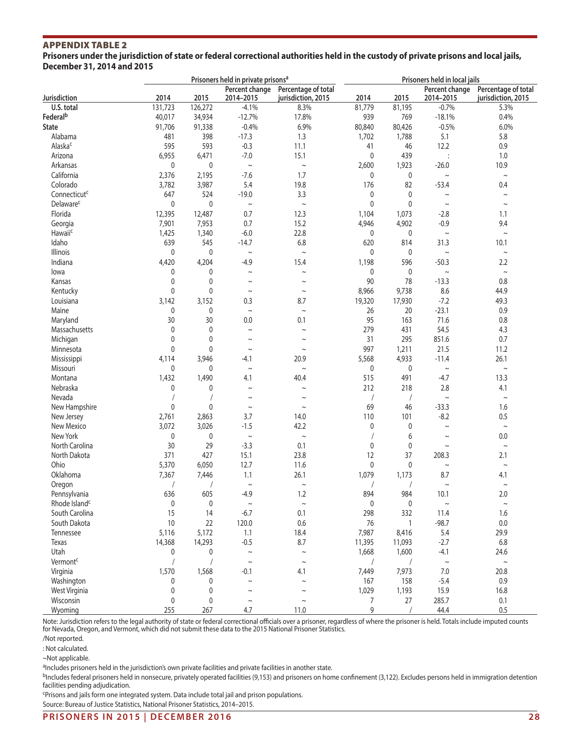**Prisoners under the jurisdiction of state or federal correctional authorities held in the custody of private prisons and local jails, December 31, 2014 and 2015**

|                             |              |              | Prisoners held in private prisons <sup>a</sup> |                                           | Prisoners held in local jails |                  |                             |                                           |
|-----------------------------|--------------|--------------|------------------------------------------------|-------------------------------------------|-------------------------------|------------------|-----------------------------|-------------------------------------------|
| <b>Jurisdiction</b>         | 2014         | 2015         | Percent change<br>2014-2015                    | Percentage of total<br>jurisdiction, 2015 | 2014                          | 2015             | Percent change<br>2014-2015 | Percentage of total<br>jurisdiction, 2015 |
| U.S. total                  | 131,723      | 126,272      | $-4.1%$                                        | 8.3%                                      | 81,779                        | 81,195           | $-0.7%$                     | 5.3%                                      |
| Federal <sup>b</sup>        | 40,017       | 34,934       | $-12.7%$                                       | 17.8%                                     | 939                           | 769              | $-18.1%$                    | 0.4%                                      |
| <b>State</b>                | 91,706       | 91,338       | $-0.4%$                                        | 6.9%                                      | 80,840                        | 80,426           | $-0.5%$                     | 6.0%                                      |
| Alabama                     | 481          | 398          | $-17.3$                                        | 1.3                                       | 1,702                         | 1,788            | 5.1                         | 5.8                                       |
| Alaska <sup>c</sup>         | 595          | 593          | $-0.3$                                         | 11.1                                      | 41                            | 46               | 12.2                        | 0.9                                       |
| Arizona                     | 6,955        | 6,471        | $-7.0$                                         | 15.1                                      | $\mathbf 0$                   | 439              |                             | 1.0                                       |
| Arkansas                    | $\mathbf{0}$ | 0            | $\sim$                                         | $\sim$                                    |                               |                  |                             |                                           |
| California                  |              |              | $-7.6$                                         | 1.7                                       | 2,600                         | 1,923            | $-26.0$                     | 10.9                                      |
|                             | 2,376        | 2,195        |                                                |                                           | 0                             | 0                | $\sim$                      | $\thicksim$                               |
| Colorado                    | 3,782        | 3,987        | 5.4                                            | 19.8                                      | 176                           | 82               | $-53.4$                     | 0.4                                       |
| Connecticut <sup>c</sup>    | 647          | 524          | $-19.0$                                        | 3.3                                       | 0                             | $\mathbf 0$      | $\sim$                      | $\sim$                                    |
| <b>Delaware<sup>c</sup></b> | $\mathbf{0}$ | 0            | $\sim$                                         | $\sim$                                    | 0                             | 0                | $\sim$                      | $\sim$                                    |
| Florida                     | 12,395       | 12,487       | 0.7                                            | 12.3                                      | 1,104                         | 1,073            | $-2.8$                      | 1.1                                       |
| Georgia                     | 7,901        | 7,953        | 0.7                                            | 15.2                                      | 4,946                         | 4,902            | $-0.9$                      | 9.4                                       |
| Hawaiic                     | 1,425        | 1,340        | $-6.0$                                         | 22.8                                      | 0                             | $\mathbf 0$      | $\sim$                      | $\sim$                                    |
| Idaho                       | 639          | 545          | $-14.7$                                        | 6.8                                       | 620                           | 814              | 31.3                        | 10.1                                      |
| Illinois                    | $\mathbf{0}$ | 0            | $\sim$                                         | $\thicksim$                               | 0                             | $\mathbf 0$      | $\sim$                      | $\sim$                                    |
| Indiana                     | 4,420        | 4,204        | $-4.9$                                         | 15.4                                      | 1,198                         | 596              | $-50.3$                     | 2.2                                       |
| lowa                        | 0            | 0            | $\sim$                                         | $\sim$                                    | $\mathbf 0$                   | $\boldsymbol{0}$ | $\sim$                      | $\thicksim$                               |
| Kansas                      | 0            | 0            | $\sim$                                         | $\thicksim$                               | 90                            | 78               | $-13.3$                     | 0.8                                       |
| Kentucky                    | $\mathbf{0}$ | $\mathbf{0}$ | $\sim$                                         | $\thicksim$                               | 8,966                         | 9,738            | 8.6                         | 44.9                                      |
| Louisiana                   | 3,142        | 3,152        | 0.3                                            | 8.7                                       | 19,320                        | 17,930           | $-7.2$                      | 49.3                                      |
| Maine                       | 0            | 0            | $\sim$                                         | $\sim$                                    | 26                            | 20               | $-23.1$                     | 0.9                                       |
| Maryland                    | 30           | 30           | 0.0                                            | 0.1                                       | 95                            | 163              | 71.6                        | 0.8                                       |
| Massachusetts               | $\mathbf 0$  | $\mathbf 0$  | $\sim$                                         | $\sim$                                    | 279                           | 431              | 54.5                        | 4.3                                       |
| Michigan                    | $\mathbf{0}$ | $\mathbf{0}$ | $\sim$                                         | $\thicksim$                               | 31                            | 295              | 851.6                       | 0.7                                       |
| Minnesota                   | $\mathbf 0$  | 0            | $\sim$                                         | $\sim$                                    | 997                           | 1,211            | 21.5                        | 11.2                                      |
| Mississippi                 | 4,114        | 3,946        | $-4.1$                                         | 20.9                                      | 5,568                         | 4,933            | $-11.4$                     | 26.1                                      |
| Missouri                    | $\mathbf{0}$ | 0            | $\sim$                                         | $\sim$                                    | 0                             | 0                | $\thicksim$                 | $\thicksim$                               |
| Montana                     | 1,432        | 1,490        | 4.1                                            | 40.4                                      | 515                           | 491              | $-4.7$                      | 13.3                                      |
| Nebraska                    | 0            | 0            | $\sim$                                         | $\thicksim$                               | 212                           | 218              | 2.8                         | 4.1                                       |
| Nevada                      |              |              | $\sim$                                         | $\sim$                                    | $\sqrt{2}$                    | $\prime$         | $\sim$                      | $\thicksim$                               |
| New Hampshire               | $\mathbf 0$  | $\mathbf 0$  | $\sim$                                         | $\sim$                                    | 69                            | 46               | $-33.3$                     | 1.6                                       |
| New Jersey                  | 2,761        | 2,863        | 3.7                                            | 14.0                                      | 110                           | 101              | $-8.2$                      | 0.5                                       |
| New Mexico                  | 3,072        | 3,026        | $-1.5$                                         | 42.2                                      | 0                             | 0                | $\sim$                      | $\thicksim$                               |
| New York                    | 0            | 0            | $\sim$                                         | $\thicksim$                               |                               | 6                | $\sim$                      | 0.0                                       |
| North Carolina              | 30           | 29           | $-3.3$                                         | 0.1                                       | 0                             | $\mathbf 0$      | $\sim$                      | $\sim$                                    |
| North Dakota                | 371          | 427          | 15.1                                           | 23.8                                      | 12                            | 37               | 208.3                       | 2.1                                       |
| Ohio                        | 5,370        | 6,050        | 12.7                                           | 11.6                                      | $\mathbf 0$                   | $\mathbf 0$      | $\sim$                      | $\sim$                                    |
| Oklahoma                    | 7,367        | 7,446        | 1.1                                            | 26.1                                      | 1,079                         | 1,173            | 8.7                         | 4.1                                       |
| Oregon                      | $\prime$     |              | $\sim$                                         | $\thicksim$                               |                               |                  | $\sim$                      | $\sim$                                    |
| Pennsylvania                | 636          | 605          | $-4.9$                                         | 1.2                                       | 894                           | 984              | 10.1                        | 2.0                                       |
| Rhode Island <sup>c</sup>   | U            | U            |                                                | $\tilde{}$                                | U                             | U                | $\tilde{}$                  | $\sim$                                    |
| South Carolina              | 15           | 14           | $-6.7$                                         | 0.1                                       | 298                           | 332              | 11.4                        | 1.6                                       |
| South Dakota                | 10           | 22           | 120.0                                          | 0.6                                       | 76                            | 1                | $-98.7$                     | $0.0\,$                                   |
| Tennessee                   | 5,116        | 5,172        | 1.1                                            | 18.4                                      | 7,987                         | 8,416            | 5.4                         | 29.9                                      |
| Texas                       | 14,368       | 14,293       | $-0.5$                                         | 8.7                                       | 11,395                        | 11,093           | $-2.7$                      | 6.8                                       |
| Utah                        | 0            | 0            | $\sim$                                         | $\sim$                                    | 1,668                         | 1,600            | $-4.1$                      | 24.6                                      |
| Vermont <sup>c</sup>        |              |              | $\thicksim$                                    | $\sim$                                    | $\sqrt{2}$                    |                  | $\sim$                      | $\sim$                                    |
| Virginia                    | 1,570        | 1,568        | $-0.1$                                         | 4.1                                       | 7,449                         | 7,973            | 7.0                         | 20.8                                      |
| Washington                  | 0            | 0            | $\sim$                                         | $\sim$                                    | 167                           | 158              | $-5.4$                      | 0.9                                       |
| West Virginia               | 0            | 0            | $\sim$                                         | $\sim$                                    | 1,029                         | 1,193            | 15.9                        | 16.8                                      |
| Wisconsin                   | 0            | 0            | $\thicksim$                                    | $\sim$                                    | 7                             | 27               | 285.7                       | $0.1\,$                                   |
| Wyoming                     | 255          | 267          | 4.7                                            | 11.0                                      | 9                             |                  | 44.4                        | 0.5                                       |

Note: Jurisdiction refers to the legal authority of state or federal correctional officials over a prisoner, regardless of where the prisoner is held. Totals include imputed counts for Nevada, Oregon, and Vermont, which did not submit these data to the 2015 National Prisoner Statistics.

/Not reported.

: Not calculated.

<sup>a</sup>Includes prisoners held in the jurisdiction's own private facilities and private facilities in another state.

b<sub>Includes</sub> federal prisoners held in nonsecure, privately operated facilities (9,153) and prisoners on home confinement (3,122). Excludes persons held in immigration detention facilities pending adjudication.

cPrisons and jails form one integrated system. Data include total jail and prison populations. Source: Bureau of Justice Statistics, National Prisoner Statistics, 2014–2015.

<sup>~</sup>Not applicable.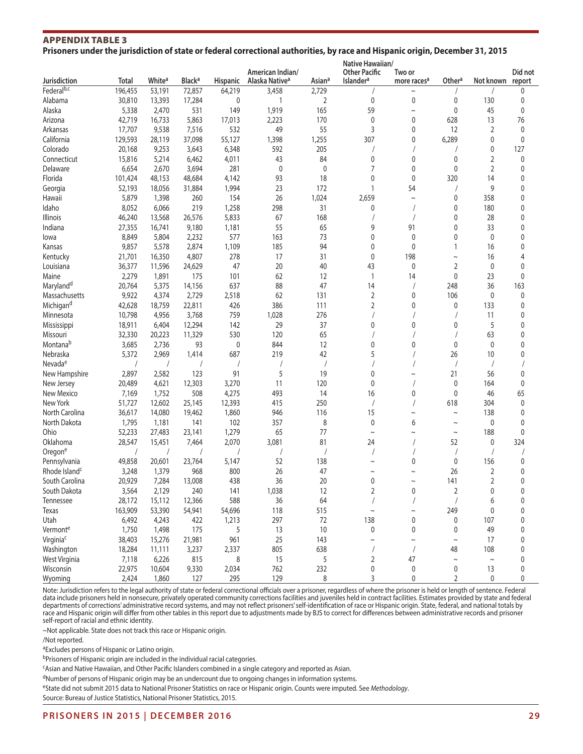#### APPENDIX TABLE 3 **Prisoners under the jurisdiction of state or federal correctional authorities, by race and Hispanic origin, December 31, 2015**

|                           |            |                    |                          |                 |                                                |                    | Native Hawaiian/                              |                                   |                |                |                   |
|---------------------------|------------|--------------------|--------------------------|-----------------|------------------------------------------------|--------------------|-----------------------------------------------|-----------------------------------|----------------|----------------|-------------------|
| Jurisdiction              | Total      | White <sup>a</sup> | <b>Black<sup>a</sup></b> | <b>Hispanic</b> | American Indian/<br>Alaska Native <sup>a</sup> | Asian <sup>a</sup> | <b>Other Pacific</b><br>Islander <sup>a</sup> | Two or<br>more races <sup>a</sup> | Othera         | Not known      | Did not<br>report |
| Federalb,c                | 196,455    | 53,191             | 72,857                   | 64,219          | 3,458                                          | 2,729              |                                               | $\sim$                            |                |                | 0                 |
| Alabama                   | 30,810     | 13,393             | 17,284                   | 0               | 1                                              | $\overline{2}$     | 0                                             | 0                                 | 0              | 130            | 0                 |
| Alaska                    | 5,338      | 2,470              | 531                      | 149             | 1,919                                          | 165                | 59                                            | $\sim$                            | 0              | 45             | 0                 |
| Arizona                   | 42,719     | 16,733             | 5,863                    | 17,013          | 2,223                                          | 170                | $\pmb{0}$                                     | 0                                 | 628            | 13             | 76                |
| Arkansas                  | 17,707     | 9,538              | 7,516                    | 532             | 49                                             | 55                 | 3                                             | 0                                 | 12             | 2              | $\mathbf 0$       |
| California                | 129,593    | 28,119             | 37,098                   | 55,127          | 1,398                                          | 1,255              | 307                                           | 0                                 | 6,289          | 0              | $\mathbf 0$       |
| Colorado                  | 20,168     | 9,253              | 3,643                    | 6,348           | 592                                            | 205                |                                               |                                   |                | 0              | 127               |
| Connecticut               | 15,816     | 5,214              | 6,462                    | 4,011           | 43                                             | 84                 | 0                                             | 0                                 | 0              | 2              | 0                 |
| Delaware                  | 6,654      | 2,670              | 3,694                    | 281             | 0                                              | 0                  | 7                                             | 0                                 | $\mathbf{0}$   | $\overline{2}$ | $\mathbf 0$       |
| Florida                   | 101,424    | 48,153             | 48,684                   | 4,142           | 93                                             | 18                 | $\pmb{0}$                                     | $\pmb{0}$                         | 320            | 14             | 0                 |
| Georgia                   | 52,193     | 18,056             | 31,884                   | 1,994           | 23                                             | 172                | $\mathbf{1}$                                  | 54                                | $\prime$       | 9              | $\mathbf 0$       |
| Hawaii                    | 5,879      | 1,398              | 260                      | 154             | 26                                             | 1,024              | 2,659                                         | $\sim$                            | 0              | 358            | 0                 |
| Idaho                     | 8,052      | 6,066              | 219                      | 1,258           | 298                                            | 31                 | 0                                             |                                   | 0              | 180            | 0                 |
| <b>Illinois</b>           | 46,240     | 13,568             | 26,576                   | 5,833           | 67                                             | 168                |                                               |                                   | 0              | 28             | 0                 |
| Indiana                   | 27,355     | 16,741             | 9,180                    | 1,181           | 55                                             | 65                 | 9                                             | 91                                | 0              | 33             | $\mathbf 0$       |
| lowa                      | 8,849      | 5,804              | 2,232                    | 577             | 163                                            | 73                 | 0                                             | $\mathbf 0$                       | 0              | $\mathbf 0$    | $\mathbf 0$       |
| Kansas                    | 9,857      | 5,578              | 2,874                    | 1,109           | 185                                            | 94                 | 0                                             | 0                                 | $\mathbf{1}$   | 16             | $\mathbf 0$       |
| Kentucky                  | 21,701     | 16,350             | 4,807                    | 278             | 17                                             | 31                 | 0                                             | 198                               | $\sim$         | 16             | 4                 |
| Louisiana                 | 36,377     | 11,596             | 24,629                   | 47              | 20                                             | 40                 | 43                                            | 0                                 | 2              | $\mathbf 0$    | $\mathbf 0$       |
| Maine                     | 2,279      | 1,891              | 175                      | 101             | 62                                             | 12                 | $\mathbf{1}$                                  | 14                                | $\pmb{0}$      | 23             | $\mathbf 0$       |
| Maryland <sup>d</sup>     | 20,764     | 5,375              | 14,156                   | 637             | 88                                             | 47                 | 14                                            |                                   | 248            | 36             | 163               |
| Massachusetts             | 9,922      | 4,374              | 2,729                    | 2,518           | 62                                             | 131                | $\overline{2}$                                | 0                                 | 106            | $\mathbf 0$    | 0                 |
|                           |            |                    |                          |                 |                                                |                    |                                               |                                   |                |                |                   |
| Michigan <sup>d</sup>     | 42,628     | 18,759             | 22,811                   | 426             | 386                                            | 111                | 2                                             | 0                                 | 0              | 133            | 0                 |
| Minnesota                 | 10,798     | 4,956              | 3,768                    | 759             | 1,028                                          | 276                |                                               |                                   |                | 11             | 0                 |
| Mississippi               | 18,911     | 6,404              | 12,294                   | 142             | 29                                             | 37                 | 0                                             | 0                                 | 0              | 5              | 0                 |
| Missouri                  | 32,330     | 20,223             | 11,329                   | 530             | 120                                            | 65                 |                                               |                                   |                | 63             | $\mathbf 0$       |
| Montanab                  | 3,685      | 2,736              | 93                       | 0               | 844                                            | 12                 | 0                                             | 0                                 | 0              | $\mathbf 0$    | $\mathbf 0$       |
| Nebraska                  | 5,372      | 2,969              | 1,414                    | 687             | 219                                            | 42                 | 5                                             |                                   | 26             | 10             | $\mathbf 0$       |
| Nevada <sup>e</sup>       |            |                    |                          |                 |                                                |                    |                                               |                                   |                |                |                   |
| New Hampshire             | 2,897      | 2,582              | 123                      | 91              | 5                                              | 19                 | 0                                             |                                   | 21             | 56             | 0                 |
| New Jersey                | 20,489     | 4,621              | 12,303                   | 3,270           | 11                                             | 120                | $\mathbf 0$                                   |                                   | $\mathbf{0}$   | 164            | $\mathbf 0$       |
| New Mexico                | 7,169      | 1,752              | 508                      | 4,275           | 493                                            | 14                 | 16                                            | 0                                 | 0              | 46             | 65                |
| New York                  | 51,727     | 12,602             | 25,145                   | 12,393          | 415                                            | 250                |                                               |                                   | 618            | 304            | $\mathbf 0$       |
| North Carolina            | 36,617     | 14,080             | 19,462                   | 1,860           | 946                                            | 116                | 15                                            | $\sim$                            | $\tilde{}$     | 138            | 0                 |
| North Dakota              | 1,795      | 1,181              | 141                      | 102             | 357                                            | 8                  | $\mathbf 0$                                   | 6                                 | $\thicksim$    | 0              | 0                 |
| Ohio                      | 52,233     | 27,483             | 23,141                   | 1,279           | 65                                             | 77                 | $\sim$                                        | $\sim$                            | $\thicksim$    | 188            | 0                 |
| Oklahoma                  | 28,547     | 15,451             | 7,464                    | 2,070           | 3,081                                          | 81                 | 24                                            |                                   | 52             | 0              | 324               |
| Oregone                   | $\sqrt{2}$ |                    |                          |                 |                                                |                    |                                               |                                   |                |                |                   |
| Pennsylvania              | 49,858     | 20,601             | 23,764                   | 5,147           | 52                                             | 138                | $\sim$                                        | 0                                 | 0              | 156            | 0                 |
| Rhode Island <sup>c</sup> | 3,248      | 1,379              | 968                      | 800             | 26                                             | 47                 | $\sim$                                        | $\sim$                            | 26             | 2              | 0                 |
| South Carolina            | 20,929     | 7,284              | 13,008                   | 438             | 36                                             | 20                 | $\mathbf{0}$                                  | $\sim$                            | 141            | $\overline{2}$ | $\mathbf 0$       |
| South Dakota              | 3,564      | 2,129              | 240                      | 141             | 1,038                                          | 12                 | 2                                             | 0                                 | $\overline{2}$ | 0              | 0                 |
| Tennessee                 | 28,172     | 15,112             | 12,366                   | 588             | 36                                             | 64                 |                                               |                                   | $\overline{1}$ | 6              | $\mathbf 0$       |
| Texas                     | 163,909    | 53,390             | 54,941                   | 54,696          | 118                                            | 515                | $\thicksim$                                   | $\sim$                            | 249            | 0              | 0                 |
| Utah                      | 6,492      | 4,243              | 422                      | 1,213           | 297                                            | 72                 | 138                                           | $\pmb{0}$                         | 0              | 107            | 0                 |
| Vermonte                  | 1,750      | 1,498              | 175                      | 5               | 13                                             | 10                 | 0                                             | 0                                 | 0              | 49             | 0                 |
| Virginia <sup>c</sup>     | 38,403     | 15,276             | 21,981                   | 961             | 25                                             | 143                | $\sim$                                        | $\sim$                            | $\thicksim$    | 17             | 0                 |
| Washington                | 18,284     | 11,111             | 3,237                    | 2,337           | 805                                            | 638                |                                               |                                   | 48             | 108            | 0                 |
| West Virginia             | 7,118      | 6,226              | 815                      | 8               | 15                                             | 5                  | 2                                             | 47                                | $\sim$         | $\sim$         | 0                 |
| Wisconsin                 | 22,975     | 10,604             | 9,330                    | 2,034           | 762                                            | 232                | 0                                             | 0                                 | 0              | 13             | 0                 |
| Wyoming                   | 2,424      | 1,860              | 127                      | 295             | 129                                            | 8                  | 3                                             | 0                                 | $\overline{2}$ | $\pmb{0}$      | 0                 |

Note: Jurisdiction refers to the legal authority of state or federal correctional officials over a prisoner, regardless of where the prisoner is held or length of sentence. Federal data include prisoners held in nonsecure, privately operated community corrections facilities and juveniles held in contract facilities. Estimates provided by state and federal departments of corrections' administrative record systems, and may not reflect prisoners' self-identification of race or Hispanic origin. State, federal, and national totals by race and Hispanic origin will differ from other tables in this report due to adjustments made by BJS to correct for differences between administrative records and prisoner self-report of racial and ethnic identity.

~Not applicable. State does not track this race or Hispanic origin.

/Not reported.

aExcludes persons of Hispanic or Latino origin.

bPrisoners of Hispanic origin are included in the individual racial categories.

cAsian and Native Hawaiian, and Other Pacific Islanders combined in a single category and reported as Asian.

<sup>d</sup>Number of persons of Hispanic origin may be an undercount due to ongoing changes in information systems.

eState did not submit 2015 data to National Prisoner Statistics on race or Hispanic origin. Counts were imputed. See *Methodology*.

Source: Bureau of Justice Statistics, National Prisoner Statistics, 2015.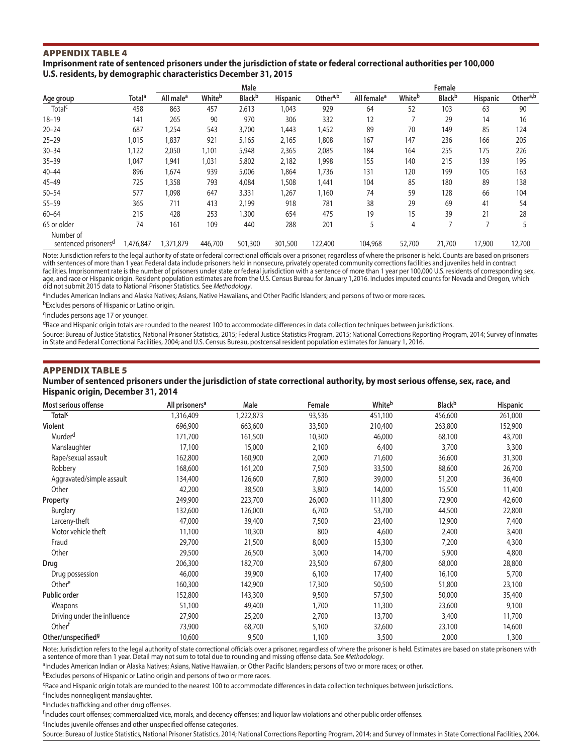#### **Imprisonment rate of sentenced prisoners under the jurisdiction of state or federal correctional authorities per 100,000 U.S. residents, by demographic characteristics December 31, 2015**

| Total <sup>a</sup> | All male <sup>a</sup> | Whiteb    | <b>Black</b> b | Hispanic        | Othera,b | All female <sup>a</sup> | Whiteb  | <b>Black</b> b | <b>Hispanic</b>  | Othera,b |
|--------------------|-----------------------|-----------|----------------|-----------------|----------|-------------------------|---------|----------------|------------------|----------|
| 458                | 863                   | 457       | 2,613          | 1,043           | 929      | 64                      | 52      | 103            | 63               | 90       |
| 141                | 265                   | 90        | 970            | 306             | 332      | 12                      |         | 29             | 14               | 16       |
| 687                | 1,254                 | 543       | 3,700          | 1,443           | 1,452    | 89                      | 70      | 149            | 85               | 124      |
| 1,015              | 1,837                 | 921       | 5,165          | 2,165           | 1,808    | 167                     | 147     | 236            | 166              | 205      |
| 1,122              | 2,050                 | 1,101     | 5,948          | 2,365           | 2,085    | 184                     | 164     | 255            | 175              | 226      |
| ,047               | 1,941                 | 1,031     | 5,802          | 2,182           | 1,998    | 155                     | 140     | 215            | 139              | 195      |
| 896                | 1,674                 | 939       | 5,006          | 1,864           | 1,736    | 131                     | 120     | 199            | 105              | 163      |
| 725                | 1,358                 | 793       | 4,084          | 1,508           | 1,441    | 104                     | 85      | 180            | 89               | 138      |
| 577                | 1,098                 | 647       | 3,331          | 1,267           | 1,160    | 74                      | 59      | 128            | 66               | 104      |
| 365                | 711                   | 413       | 2,199          | 918             | 781      | 38                      | 29      | 69             | 41               | 54       |
| 215                | 428                   | 253       | ,300           | 654             | 475      | 19                      | 15      | 39             | 21               | 28       |
| 74                 | 161                   | 109       | 440            | 288             | 201      | 5                       | 4       |                |                  |          |
|                    |                       |           |                |                 |          |                         |         |                |                  | 12,700   |
|                    | 1,476,847             | 1,371,879 | 446,700        | Male<br>501,300 | 301,500  | 122,400                 | 104,968 | 52,700         | Female<br>21,700 | 17,900   |

Note: Jurisdiction refers to the legal authority of state or federal correctional officials over a prisoner, regardless of where the prisoner is held. Counts are based on prisoners with sentences of more than 1 year. Federal data include prisoners held in nonsecure, privately operated community corrections facilities and juveniles held in contract facilities. Imprisonment rate is the number of prisoners under state or federal jurisdiction with a sentence of more than 1 year per 100,000 U.S. residents of corresponding sex, age, and race or Hispanic origin. Resident population estimates are from the U.S. Census Bureau for January 1,2016. Includes imputed counts for Nevada and Oregon, which did not submit 2015 data to National Prisoner Statistics. See *Methodology*.

aIncludes American Indians and Alaska Natives; Asians, Native Hawaiians, and Other Pacific Islanders; and persons of two or more races.

bExcludes persons of Hispanic or Latino origin.

cIncludes persons age 17 or younger.

dRace and Hispanic origin totals are rounded to the nearest 100 to accommodate differences in data collection techniques between jurisdictions.

Source: Bureau of Justice Statistics, National Prisoner Statistics, 2015; Federal Justice Statistics Program, 2015; National Corrections Reporting Program, 2014; Survey of Inmates in State and Federal Correctional Facilities, 2004; and U.S. Census Bureau, postcensal resident population estimates for January 1, 2016.

#### APPENDIX TABLE 5 **Number of sentenced prisoners under the jurisdiction of state correctional authority, by most serious offense, sex, race, and Hispanic origin, December 31, 2014**

| Most serious offense           | All prisoners <sup>a</sup> | Male      | Female | <b>White</b> <sup>b</sup> | <b>Black</b> b | Hispanic |
|--------------------------------|----------------------------|-----------|--------|---------------------------|----------------|----------|
| <b>Total<sup>c</sup></b>       | 1,316,409                  | 1,222,873 | 93,536 | 451,100                   | 456,600        | 261,000  |
| Violent                        | 696,900                    | 663,600   | 33,500 | 210,400                   | 263,800        | 152,900  |
| Murder <sup>d</sup>            | 171,700                    | 161,500   | 10,300 | 46,000                    | 68,100         | 43,700   |
| Manslaughter                   | 17,100                     | 15,000    | 2,100  | 6,400                     | 3,700          | 3,300    |
| Rape/sexual assault            | 162,800                    | 160,900   | 2,000  | 71,600                    | 36,600         | 31,300   |
| Robbery                        | 168,600                    | 161,200   | 7,500  | 33,500                    | 88,600         | 26,700   |
| Aggravated/simple assault      | 134,400                    | 126,600   | 7,800  | 39,000                    | 51,200         | 36,400   |
| Other                          | 42,200                     | 38,500    | 3,800  | 14,000                    | 15,500         | 11,400   |
| Property                       | 249,900                    | 223,700   | 26,000 | 111,800                   | 72,900         | 42,600   |
| Burglary                       | 132,600                    | 126,000   | 6,700  | 53,700                    | 44,500         | 22,800   |
| Larceny-theft                  | 47,000                     | 39,400    | 7,500  | 23,400                    | 12,900         | 7,400    |
| Motor vehicle theft            | 11,100                     | 10,300    | 800    | 4,600                     | 2,400          | 3,400    |
| Fraud                          | 29,700                     | 21,500    | 8,000  | 15,300                    | 7,200          | 4,300    |
| Other                          | 29,500                     | 26,500    | 3,000  | 14,700                    | 5,900          | 4,800    |
| Drug                           | 206,300                    | 182,700   | 23,500 | 67,800                    | 68,000         | 28,800   |
| Drug possession                | 46,000                     | 39,900    | 6,100  | 17,400                    | 16,100         | 5,700    |
| Othere                         | 160,300                    | 142,900   | 17,300 | 50,500                    | 51,800         | 23,100   |
| Public order                   | 152,800                    | 143,300   | 9,500  | 57,500                    | 50,000         | 35,400   |
| Weapons                        | 51,100                     | 49,400    | 1,700  | 11,300                    | 23,600         | 9,100    |
| Driving under the influence    | 27,900                     | 25,200    | 2,700  | 13,700                    | 3,400          | 11,700   |
| Other <sup>f</sup>             | 73,900                     | 68,700    | 5,100  | 32,600                    | 23,100         | 14,600   |
| Other/unspecified <sup>9</sup> | 10,600                     | 9,500     | 1,100  | 3,500                     | 2,000          | 1,300    |

Note: Jurisdiction refers to the legal authority of state correctional officials over a prisoner, regardless of where the prisoner is held. Estimates are based on state prisoners with<br>a sentence of more than 1 year. Detail

aIncludes American Indian or Alaska Natives; Asians, Native Hawaiian, or Other Pacific Islanders; persons of two or more races; or other.

bExcludes persons of Hispanic or Latino origin and persons of two or more races.

cRace and Hispanic origin totals are rounded to the nearest 100 to accommodate differences in data collection techniques between jurisdictions.

dIncludes nonnegligent manslaughter.

eIncludes trafficking and other drug offenses.

f Includes court offenses; commercialized vice, morals, and decency offenses; and liquor law violations and other public order offenses.

gIncludes juvenile offenses and other unspecified offense categories.

Source: Bureau of Justice Statistics, National Prisoner Statistics, 2014; National Corrections Reporting Program, 2014; and Survey of Inmates in State Correctional Facilities, 2004.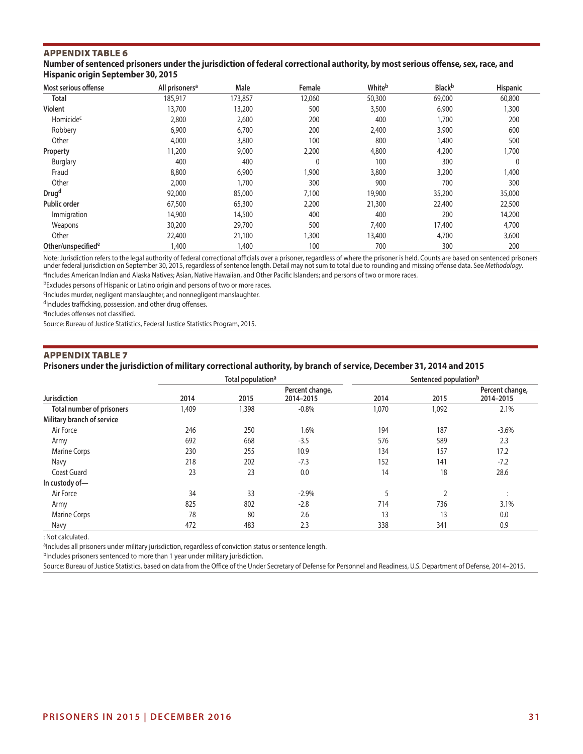**Number of sentenced prisoners under the jurisdiction of federal correctional authority, by most serious offense, sex, race, and Hispanic origin September 30, 2015**

| Most serious offense           | All prisoners <sup>a</sup> | Male    | Female | Whiteb | <b>Black</b> b | <b>Hispanic</b> |
|--------------------------------|----------------------------|---------|--------|--------|----------------|-----------------|
| Total                          | 185,917                    | 173,857 | 12,060 | 50,300 | 69,000         | 60,800          |
| Violent                        | 13,700                     | 13,200  | 500    | 3,500  | 6,900          | 1,300           |
| Homicide <sup>c</sup>          | 2,800                      | 2,600   | 200    | 400    | 1,700          | 200             |
| Robbery                        | 6,900                      | 6,700   | 200    | 2,400  | 3,900          | 600             |
| Other                          | 4,000                      | 3,800   | 100    | 800    | 1,400          | 500             |
| Property                       | 11,200                     | 9,000   | 2,200  | 4,800  | 4,200          | 1,700           |
| Burglary                       | 400                        | 400     | 0      | 100    | 300            | $\mathbf{0}$    |
| Fraud                          | 8,800                      | 6,900   | 1,900  | 3,800  | 3,200          | 1,400           |
| Other                          | 2,000                      | .700    | 300    | 900    | 700            | 300             |
| Drug <sup>d</sup>              | 92,000                     | 85,000  | 7,100  | 19,900 | 35,200         | 35,000          |
| <b>Public order</b>            | 67,500                     | 65,300  | 2,200  | 21,300 | 22,400         | 22,500          |
| Immigration                    | 14,900                     | 14,500  | 400    | 400    | 200            | 14,200          |
| Weapons                        | 30,200                     | 29,700  | 500    | 7,400  | 17,400         | 4,700           |
| Other                          | 22,400                     | 21,100  | 1,300  | 13,400 | 4,700          | 3,600           |
| Other/unspecified <sup>e</sup> | 1,400                      | 1,400   | 100    | 700    | 300            | 200             |

Note: Jurisdiction refers to the legal authority of federal correctional officials over a prisoner, regardless of where the prisoner is held. Counts are based on sentenced prisoners under federal jurisdiction on September 30, 2015, regardless of sentence length. Detail may not sum to total due to rounding and missing offense data. See *Methodology*. aIncludes American Indian and Alaska Natives; Asian, Native Hawaiian, and Other Pacific Islanders; and persons of two or more races.

bExcludes persons of Hispanic or Latino origin and persons of two or more races.

cIncludes murder, negligent manslaughter, and nonnegligent manslaughter.

dIncludes trafficking, possession, and other drug offenses.

eIncludes offenses not classified.

Source: Bureau of Justice Statistics, Federal Justice Statistics Program, 2015.

#### APPENDIX TABLE 7

#### **Prisoners under the jurisdiction of military correctional authority, by branch of service, December 31, 2014 and 2015**

|                                  |       | Total population <sup>a</sup> |                              | Sentenced population <sup>b</sup> |                |                              |  |
|----------------------------------|-------|-------------------------------|------------------------------|-----------------------------------|----------------|------------------------------|--|
| <b>Jurisdiction</b>              | 2014  | 2015                          | Percent change,<br>2014-2015 | 2014                              | 2015           | Percent change,<br>2014-2015 |  |
| <b>Total number of prisoners</b> | 1,409 | 1,398                         | $-0.8%$                      | 1,070                             | 1,092          | 2.1%                         |  |
| Military branch of service       |       |                               |                              |                                   |                |                              |  |
| Air Force                        | 246   | 250                           | 1.6%                         | 194                               | 187            | $-3.6%$                      |  |
| Army                             | 692   | 668                           | $-3.5$                       | 576                               | 589            | 2.3                          |  |
| <b>Marine Corps</b>              | 230   | 255                           | 10.9                         | 134                               | 157            | 17.2                         |  |
| Navy                             | 218   | 202                           | $-7.3$                       | 152                               | 141            | $-7.2$                       |  |
| Coast Guard                      | 23    | 23                            | 0.0                          | 14                                | 18             | 28.6                         |  |
| In custody of-                   |       |                               |                              |                                   |                |                              |  |
| Air Force                        | 34    | 33                            | $-2.9%$                      | 5                                 | $\overline{2}$ | $\cdot$<br>$\cdot$           |  |
| Army                             | 825   | 802                           | $-2.8$                       | 714                               | 736            | 3.1%                         |  |
| <b>Marine Corps</b>              | 78    | 80                            | 2.6                          | 13                                | 13             | 0.0                          |  |
| Navy                             | 472   | 483                           | 2.3                          | 338                               | 341            | 0.9                          |  |

: Not calculated.

<sup>a</sup>Includes all prisoners under military jurisdiction, regardless of conviction status or sentence length.

bIncludes prisoners sentenced to more than 1 year under military jurisdiction.

Source: Bureau of Justice Statistics, based on data from the Office of the Under Secretary of Defense for Personnel and Readiness, U.S. Department of Defense, 2014–2015.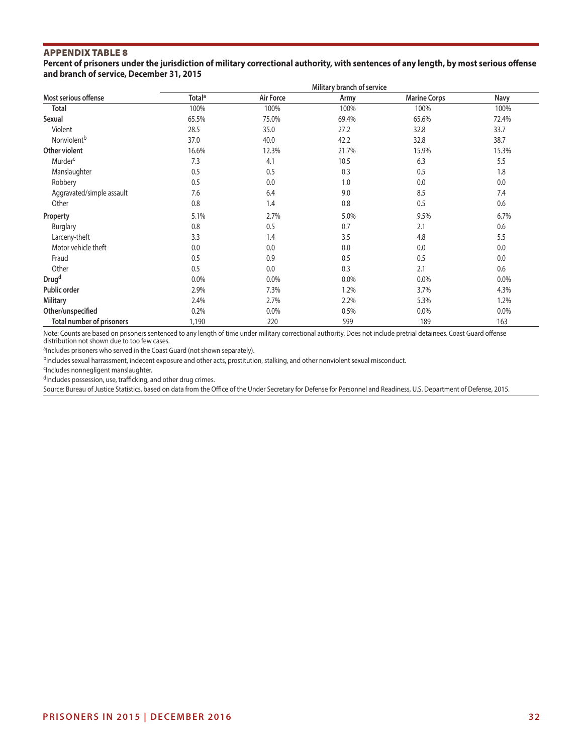**Percent of prisoners under the jurisdiction of military correctional authority, with sentences of any length, by most serious offense and branch of service, December 31, 2015**

|                                  |                          |           | Military branch of service |                     |         |
|----------------------------------|--------------------------|-----------|----------------------------|---------------------|---------|
| Most serious offense             | <b>Total<sup>a</sup></b> | Air Force | Army                       | <b>Marine Corps</b> | Navy    |
| <b>Total</b>                     | 100%                     | 100%      | 100%                       | 100%                | 100%    |
| Sexual                           | 65.5%                    | 75.0%     | 69.4%                      | 65.6%               | 72.4%   |
| Violent                          | 28.5                     | 35.0      | 27.2                       | 32.8                | 33.7    |
| Nonviolent <sup>b</sup>          | 37.0                     | 40.0      | 42.2                       | 32.8                | 38.7    |
| Other violent                    | 16.6%                    | 12.3%     | 21.7%                      | 15.9%               | 15.3%   |
| Murder <sup>c</sup>              | 7.3                      | 4.1       | 10.5                       | 6.3                 | 5.5     |
| Manslaughter                     | 0.5                      | 0.5       | 0.3                        | 0.5                 | 1.8     |
| Robbery                          | 0.5                      | 0.0       | 1.0                        | 0.0                 | 0.0     |
| Aggravated/simple assault        | 7.6                      | 6.4       | 9.0                        | 8.5                 | 7.4     |
| Other                            | 0.8                      | 1.4       | 0.8                        | 0.5                 | 0.6     |
| Property                         | 5.1%                     | 2.7%      | 5.0%                       | 9.5%                | 6.7%    |
| <b>Burglary</b>                  | 0.8                      | 0.5       | 0.7                        | 2.1                 | 0.6     |
| Larceny-theft                    | 3.3                      | 1.4       | 3.5                        | 4.8                 | 5.5     |
| Motor vehicle theft              | 0.0                      | 0.0       | 0.0                        | 0.0                 | 0.0     |
| Fraud                            | 0.5                      | 0.9       | 0.5                        | 0.5                 | 0.0     |
| Other                            | 0.5                      | 0.0       | 0.3                        | 2.1                 | 0.6     |
| Drug <sup>d</sup>                | 0.0%                     | 0.0%      | 0.0%                       | $0.0\%$             | $0.0\%$ |
| Public order                     | 2.9%                     | 7.3%      | 1.2%                       | 3.7%                | 4.3%    |
| <b>Military</b>                  | 2.4%                     | 2.7%      | 2.2%                       | 5.3%                | 1.2%    |
| Other/unspecified                | 0.2%                     | 0.0%      | 0.5%                       | $0.0\%$             | $0.0\%$ |
| <b>Total number of prisoners</b> | 1,190                    | 220       | 599                        | 189                 | 163     |

Note: Counts are based on prisoners sentenced to any length of time under military correctional authority. Does not include pretrial detainees. Coast Guard offense distribution not shown due to too few cases.

aIncludes prisoners who served in the Coast Guard (not shown separately).

b<sub>Includes</sub> sexual harrassment, indecent exposure and other acts, prostitution, stalking, and other nonviolent sexual misconduct.

cIncludes nonnegligent manslaughter.

 $d$ Includes possession, use, trafficking, and other drug crimes.

Source: Bureau of Justice Statistics, based on data from the Office of the Under Secretary for Defense for Personnel and Readiness, U.S. Department of Defense, 2015.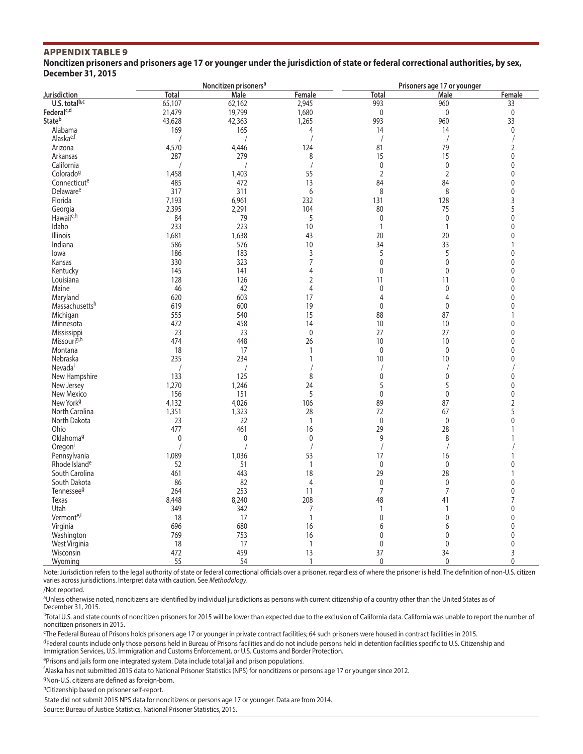**Noncitizen prisoners and prisoners age 17 or younger under the jurisdiction of state or federal correctional authorities, by sex, December 31, 2015**

|                           |              | Noncitizen prisoners <sup>a</sup> |                |                      | Prisoners age 17 or younger |                  |
|---------------------------|--------------|-----------------------------------|----------------|----------------------|-----------------------------|------------------|
| Jurisdiction              | <b>Total</b> | Male                              | Female         | <b>Total</b>         | Male                        | Female           |
| U.S. totalb,c             | 65,107       | 62,162                            | 2,945          | 993                  | 960                         | 33               |
| Federal <sup>c,d</sup>    | 21,479       | 19,799                            | 1,680          | $\mathbf 0$          | $\mathbf{0}$                | $\boldsymbol{0}$ |
| Stateb                    | 43,628       | 42,363                            | 1,265          | 993                  | 960                         | 33               |
| Alabama                   | 169          | 165                               | 4              | 14                   | 14                          | $\mathbf 0$      |
| Alaska <sup>e,f</sup>     |              |                                   |                |                      |                             | $\sqrt{2}$       |
|                           |              |                                   |                |                      | $\overline{1}$              |                  |
| Arizona                   | 4,570        | 4,446                             | 124            | 81                   | 79                          | $\overline{2}$   |
| Arkansas                  | 287          | 279                               | 8              | 15                   | 15                          | $\mathbf 0$      |
| California                |              | $\sqrt{2}$                        |                | $\pmb{0}$            | $\mathbf{0}$                | $\mathbf{0}$     |
| Colorado <sup>g</sup>     | 1,458        | 1,403                             | 55             | $\mathbf 2$          | $\overline{2}$              | $\mathbf 0$      |
| Connecticute              | 485          | 472                               | 13             | 84                   | 84                          | $\mathbf 0$      |
| Delaware <sup>e</sup>     | 317          | 311                               | 6              | 8                    | 8                           | $\pmb{0}$        |
| Florida                   | 7,193        | 6,961                             | 232            | 131                  | 128                         | 3                |
| Georgia                   | 2,395        | 2,291                             | 104            | 80                   | 75                          | 5                |
| Hawaii <sup>e,h</sup>     | 84           | 79                                | 5              | $\pmb{0}$            | $\mathbf 0$                 | $\mathbf 0$      |
| Idaho                     | 233          | 223                               | 10             | $\mathbf{1}$         | $\overline{1}$              | $\mathbf{0}$     |
| <b>Illinois</b>           |              |                                   |                |                      |                             | $\mathbf 0$      |
|                           | 1,681        | 1,638                             | 43             | 20                   | 20                          |                  |
| Indiana                   | 586          | 576                               | 10             | 34                   | 33                          | $\mathbf{1}$     |
| lowa                      | 186          | 183                               | 3              | 5                    | 5                           | $\mathbf 0$      |
| Kansas                    | 330          | 323                               | 7              | $\mathbf 0$          | $\mathbf{0}$                | $\mathbf 0$      |
| Kentucky                  | 145          | 141                               | 4              | $\mathbf 0$          | $\mathbf{0}$                | $\mathbf 0$      |
| Louisiana                 | 128          | 126                               | 2              | 11                   | 11                          | $\mathbf 0$      |
| Maine                     | 46           | 42                                | $\overline{4}$ | $\pmb{0}$            | $\mathbf{0}$                | $\pmb{0}$        |
| Marvland                  | 620          | 603                               | 17             | $\overline{4}$       | $\overline{4}$              | $\mathbf{0}$     |
| Massachusettsh            | 619          | 600                               | 19             | $\mathbf 0$          | $\mathbf{0}$                | $\mathbf 0$      |
| Michigan                  | 555          | 540                               | 15             | 88                   | 87                          | 1                |
| Minnesota                 | 472          | 458                               | 14             | 10                   | 10                          | $\mathbf 0$      |
|                           |              |                                   |                |                      |                             |                  |
| Mississippi               | 23           | 23                                | $\pmb{0}$      | 27                   | 27                          | $\mathbf 0$      |
| Missourig,h               | 474          | 448                               | 26             | 10                   | 10                          | $\pmb{0}$        |
| Montana                   | 18           | 17                                | $\mathbf{1}$   | $\pmb{0}$            | $\mathbf{0}$                | $\mathbf{0}$     |
| Nebraska                  | 235          | 234                               | $\mathbf{1}$   | 10                   | 10                          | $\mathbf 0$      |
| Nevada <sup>i</sup>       |              |                                   |                |                      |                             |                  |
| New Hampshire             | 133          | 125                               | 8              | $\mathbf 0$          | $\mathbf{0}$                | $\mathbf 0$      |
| New Jersey                | 1,270        | 1,246                             | 24             | 5                    | 5                           | $\mathbf 0$      |
| New Mexico                | 156          | 151                               | 5              | $\mathbf 0$          | $\mathbf{0}$                | $\mathbf 0$      |
| New York <sup>g</sup>     | 4,132        | 4,026                             | 106            | 89                   | 87                          | $\overline{2}$   |
| North Carolina            | 1,351        | 1,323                             | 28             | 72                   | 67                          | 5                |
| North Dakota              | 23           | 22                                | $\mathbf{1}$   | $\mathbf 0$          | $\mathbf 0$                 | $\mathbf{0}$     |
|                           |              |                                   |                |                      |                             | 1                |
| Ohio                      | 477          | 461                               | 16             | 29                   | 28                          |                  |
| Oklahoma <sup>9</sup>     | $\mathbf 0$  | $\mathbf 0$                       | $\mathbf 0$    | 9                    | 8                           | 1                |
| Oregon                    |              |                                   | $\sqrt{2}$     | $\sqrt{\phantom{a}}$ |                             |                  |
| Pennsylvania              | 1,089        | 1,036                             | 53             | 17                   | 16                          | 1                |
| Rhode Island <sup>e</sup> | 52           | 51                                | $\mathbf{1}$   | $\pmb{0}$            | $\pmb{0}$                   | $\pmb{0}$        |
| South Carolina            | 461          | 443                               | 18             | 29                   | 28                          | 1                |
| South Dakota              | 86           | 82                                | $\overline{4}$ | $\mathbf 0$          | $\mathbf{0}$                | $\mathbf 0$      |
| Tennessee <sup>g</sup>    | 264          | 253                               | 11             | $\overline{7}$       | $\overline{7}$              | $\mathbf 0$      |
| Texas                     | 8,448        | 8,240                             | 208            | 48                   | 41                          | 7                |
| Utah                      | 349          | 342                               | 7              | 1                    | $\mathbf{1}$                | $\mathbf 0$      |
| Vermonte,i                | 18           | 17                                | $\mathbf{1}$   | 0                    | $\mathbf{0}$                | $\mathbf 0$      |
|                           |              |                                   |                |                      |                             |                  |
| Virginia                  | 696          | 680                               | 16             | 6                    | 6                           | $\pmb{0}$        |
| Washington                | 769          | 753                               | 16             | $\mathbf{0}$         | $\mathbf{0}$                | $\mathbf 0$      |
| West Virginia             | 18           | 17                                | $\mathbf{1}$   | $\mathbf 0$          | $\mathbf{0}$                | $\pmb{0}$        |
| Wisconsin                 | 472          | 459                               | 13             | 37                   | 34                          | 3                |
| Wyoming                   | 55           | 54                                | $\mathbf{1}$   | $\mathbf{0}$         | $\mathbf{0}$                | $\mathbf{0}$     |

Note: Jurisdiction refers to the legal authority of state or federal correctional officials over a prisoner, regardless of where the prisoner is held. The definition of non-U.S. citizen varies across jurisdictions. Interpret data with caution. See *Methodology*.

/Not reported.

aUnless otherwise noted, noncitizens are identified by individual jurisdictions as persons with current citizenship of a country other than the United States as of December 31, 2015.

bTotal U.S. and state counts of noncitizen prisoners for 2015 will be lower than expected due to the exclusion of California data. California was unable to report the number of noncitizen prisoners in 2015.

c The Federal Bureau of Prisons holds prisoners age 17 or younger in private contract facilities; 64 such prisoners were housed in contract facilities in 2015.

dFederal counts include only those persons held in Bureau of Prisons facilities and do not include persons held in detention facilities specific to U.S. Citizenship and Immigration Services, U.S. Immigration and Customs Enforcement, or U.S. Customs and Border Protection.

ePrisons and jails form one integrated system. Data include total jail and prison populations.

f Alaska has not submitted 2015 data to National Prisoner Statistics (NPS) for noncitizens or persons age 17 or younger since 2012.

gNon-U.S. citizens are defined as foreign-born.

hCitizenship based on prisoner self-report.

i State did not submit 2015 NPS data for noncitizens or persons age 17 or younger. Data are from 2014.

Source: Bureau of Justice Statistics, National Prisoner Statistics, 2015.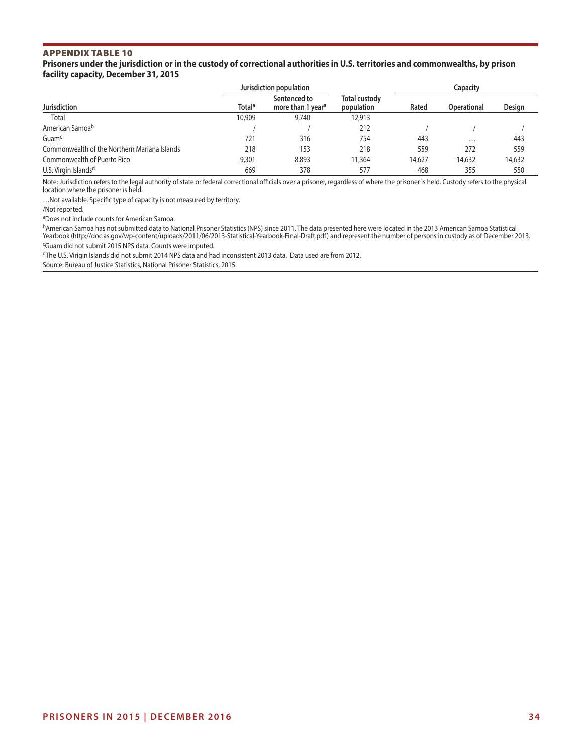#### **Prisoners under the jurisdiction or in the custody of correctional authorities in U.S. territories and commonwealths, by prison facility capacity, December 31, 2015**

|                                              |                           | Jurisdiction population                       |                                    | Capacity |                    |        |  |
|----------------------------------------------|---------------------------|-----------------------------------------------|------------------------------------|----------|--------------------|--------|--|
| <b>Jurisdiction</b>                          | <b>Total</b> <sup>a</sup> | Sentenced to<br>more than 1 year <sup>a</sup> | <b>Total custody</b><br>population | Rated    | <b>Operational</b> | Design |  |
| Total                                        | 10,909                    | 9,740                                         | 12,913                             |          |                    |        |  |
| American Samoa <sup>b</sup>                  |                           |                                               | 212                                |          |                    |        |  |
| Guam <sup>c</sup>                            | 721                       | 316                                           | 754                                | 443      | $\cdots$           | 443    |  |
| Commonwealth of the Northern Mariana Islands | 218                       | 153                                           | 218                                | 559      | 272                | 559    |  |
| Commonwealth of Puerto Rico                  | 9,301                     | 8,893                                         | 11,364                             | 14,627   | 14,632             | 14,632 |  |
| U.S. Virgin Islands <sup>d</sup>             | 669                       | 378                                           | 577                                | 468      | 355                | 550    |  |

Note: Jurisdiction refers to the legal authority of state or federal correctional officials over a prisoner, regardless of where the prisoner is held. Custody refers to the physical location where the prisoner is held.

…Not available. Specific type of capacity is not measured by territory.

/Not reported.

aDoes not include counts for American Samoa.

bAmerican Samoa has not submitted data to National Prisoner Statistics (NPS) since 2011. The data presented here were located in the 2013 American Samoa Statistical Yearbook (http://doc.as.gov/wp-content/uploads/2011/06/2013-Statistical-Yearbook-Final-Draft.pdf) and represent the number of persons in custody as of December 2013. cGuam did not submit 2015 NPS data. Counts were imputed.

dThe U.S. Virigin Islands did not submit 2014 NPS data and had inconsistent 2013 data. Data used are from 2012.

Source: Bureau of Justice Statistics, National Prisoner Statistics, 2015.